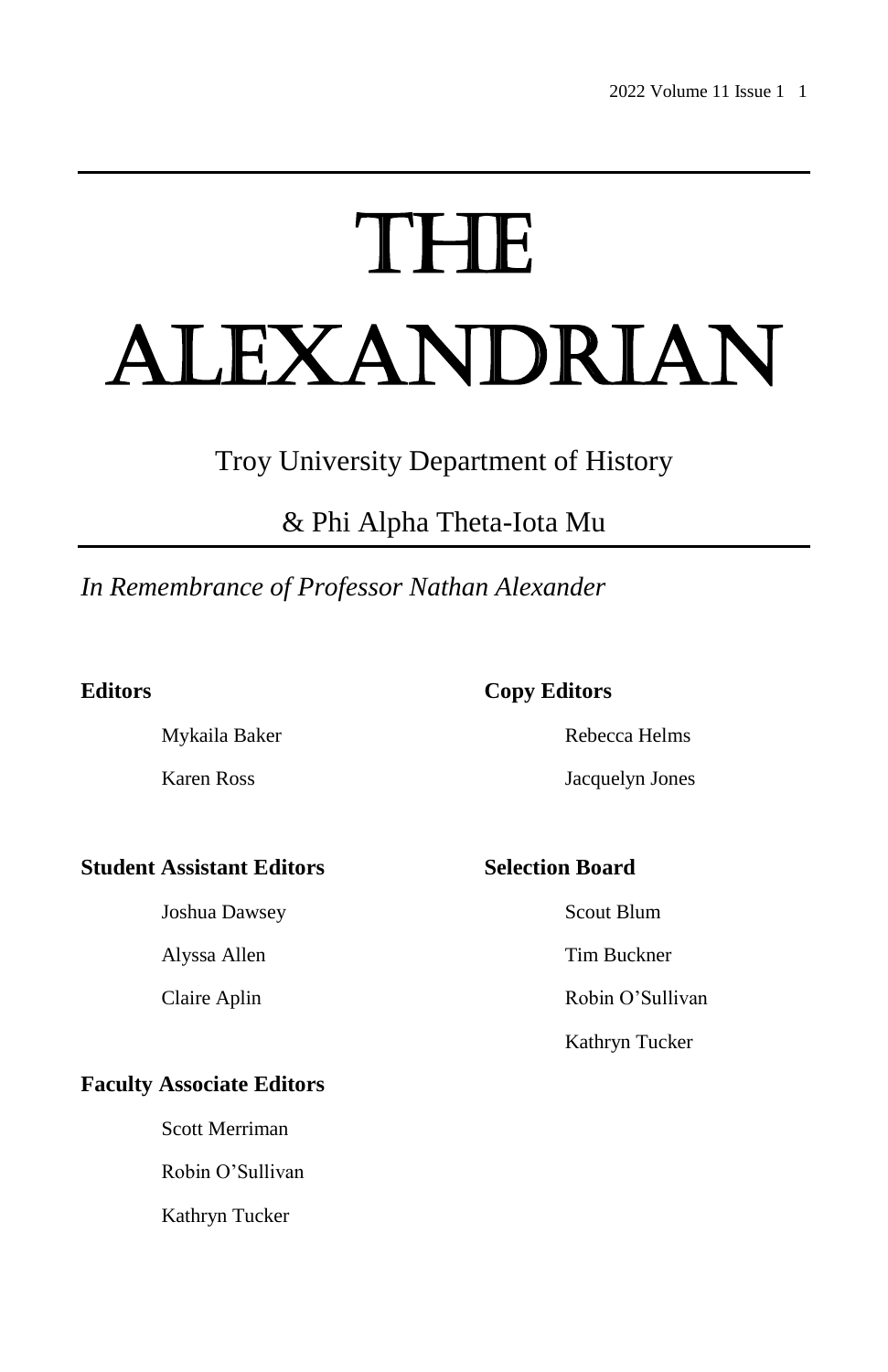# **THE** Alexandrian

Troy University Department of History

## & Phi Alpha Theta-Iota Mu

*In Remembrance of Professor Nathan Alexander*

**Editors**

Mykaila Baker

Karen Ross

#### **Student Assistant Editors**

Joshua Dawsey

Alyssa Allen

Claire Aplin

#### **Faculty Associate Editors**

Scott Merriman

Robin O'Sullivan

Kathryn Tucker

**Copy Editors** 

Rebecca Helms

Jacquelyn Jones

**Selection Board** 

Scout Blum

Tim Buckner

Robin O'Sullivan

Kathryn Tucker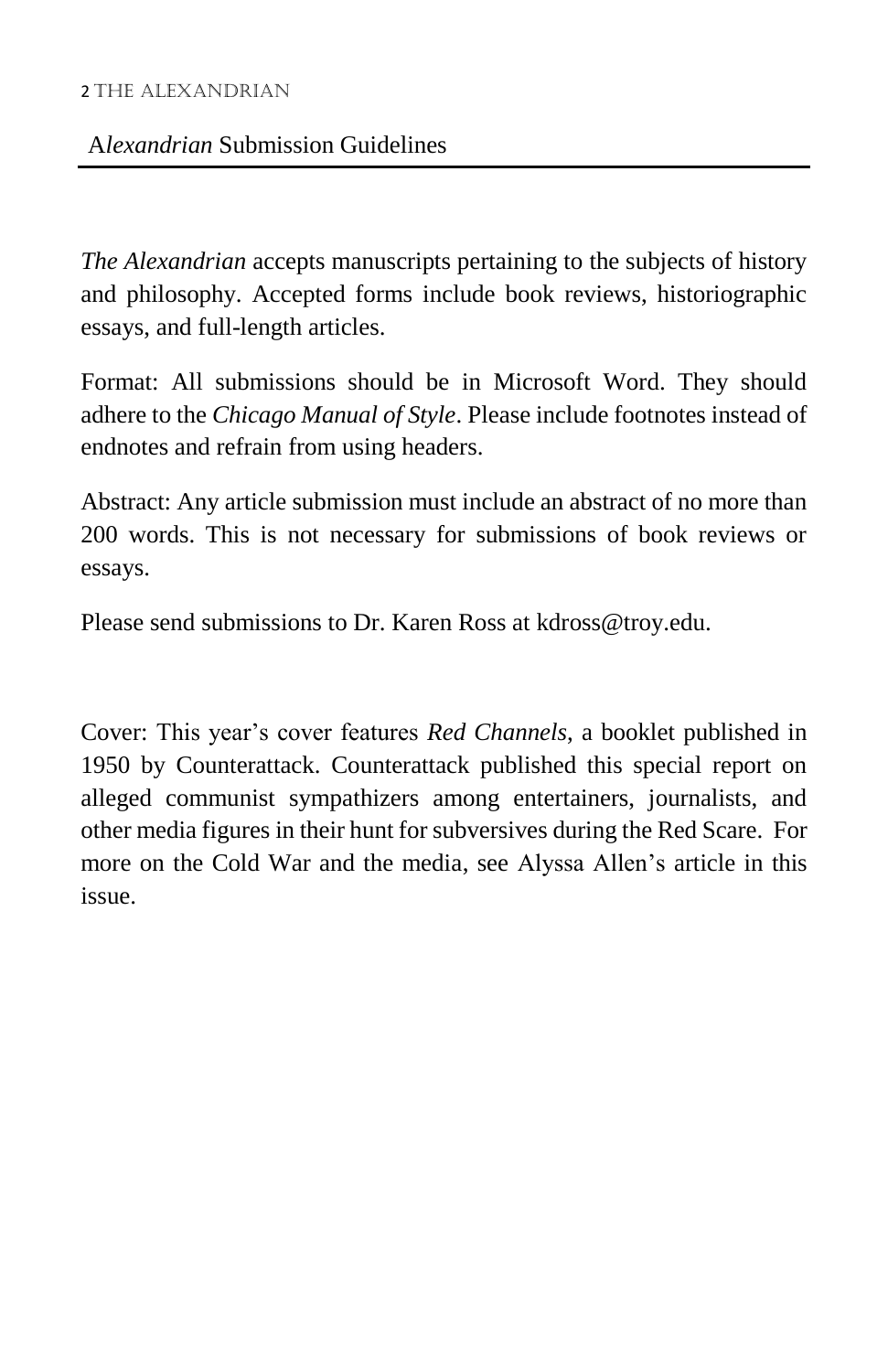A*lexandrian* Submission Guidelines

*The Alexandrian* accepts manuscripts pertaining to the subjects of history and philosophy. Accepted forms include book reviews, historiographic essays, and full-length articles.

Format: All submissions should be in Microsoft Word. They should adhere to the *Chicago Manual of Style*. Please include footnotes instead of endnotes and refrain from using headers.

Abstract: Any article submission must include an abstract of no more than 200 words. This is not necessary for submissions of book reviews or essays.

Please send submissions to Dr. Karen Ross at kdross@troy.edu.

Cover: This year's cover features *Red Channels*, a booklet published in 1950 by Counterattack. Counterattack published this special report on alleged communist sympathizers among entertainers, journalists, and other media figures in their hunt for subversives during the Red Scare. For more on the Cold War and the media, see Alyssa Allen's article in this issue.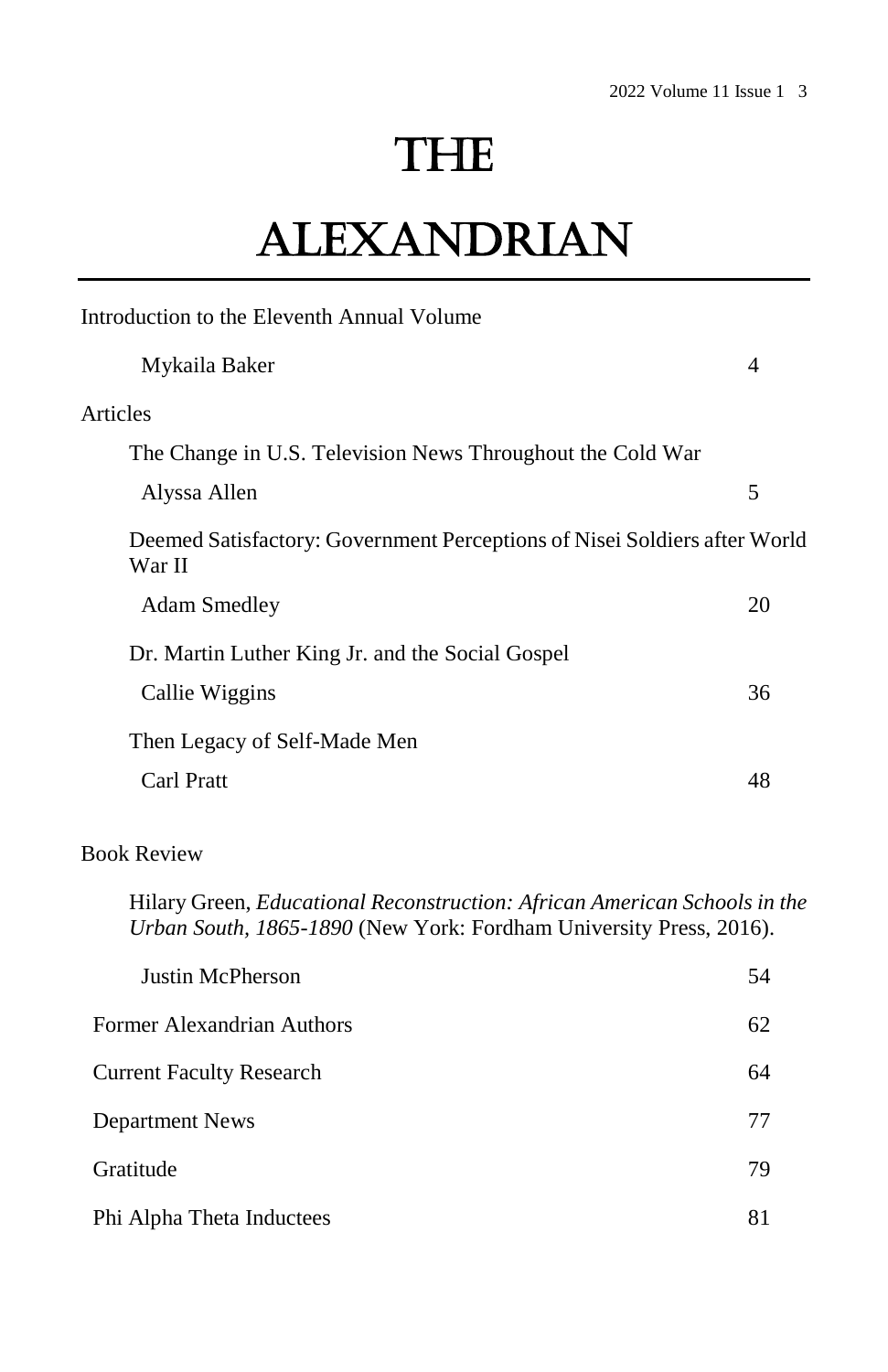# **THE**

# Alexandrian

| Introduction to the Eleventh Annual Volume                                                                                                      |                |
|-------------------------------------------------------------------------------------------------------------------------------------------------|----------------|
| Mykaila Baker                                                                                                                                   | $\overline{4}$ |
| Articles                                                                                                                                        |                |
| The Change in U.S. Television News Throughout the Cold War                                                                                      |                |
| Alyssa Allen                                                                                                                                    | 5              |
| Deemed Satisfactory: Government Perceptions of Nisei Soldiers after World<br>War II                                                             |                |
| <b>Adam Smedley</b>                                                                                                                             | 20             |
| Dr. Martin Luther King Jr. and the Social Gospel                                                                                                |                |
| Callie Wiggins                                                                                                                                  | 36             |
| Then Legacy of Self-Made Men                                                                                                                    |                |
| Carl Pratt                                                                                                                                      | 48             |
| <b>Book Review</b>                                                                                                                              |                |
| Hilary Green, Educational Reconstruction: African American Schools in the<br>Urban South, 1865-1890 (New York: Fordham University Press, 2016). |                |

| Justin McPherson                | 54 |
|---------------------------------|----|
| Former Alexandrian Authors      | 62 |
| <b>Current Faculty Research</b> | 64 |
| Department News                 | 77 |
| Gratitude                       | 79 |
| Phi Alpha Theta Inductees       | 81 |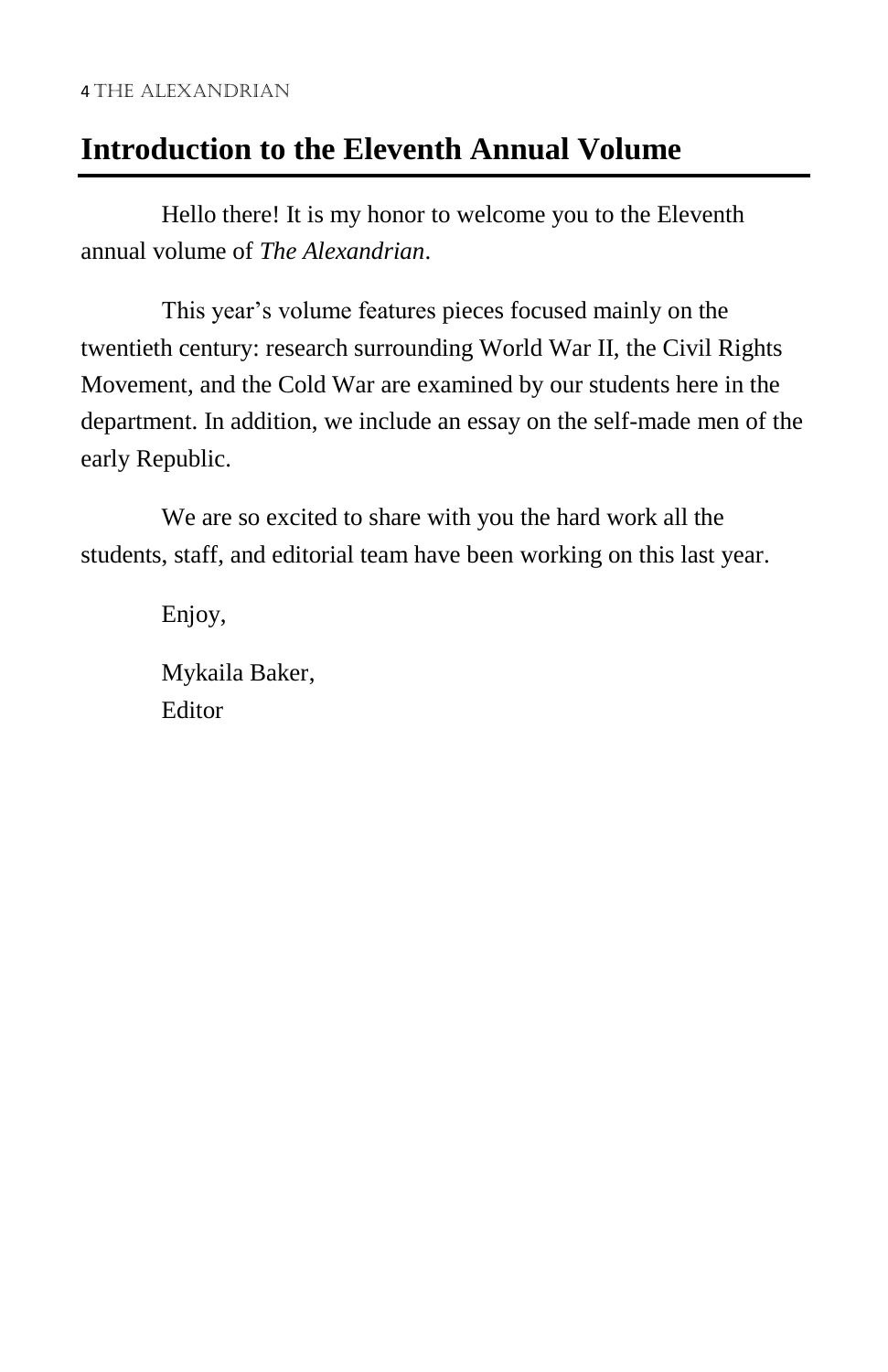### **Introduction to the Eleventh Annual Volume**

Hello there! It is my honor to welcome you to the Eleventh annual volume of *The Alexandrian*.

This year's volume features pieces focused mainly on the twentieth century: research surrounding World War II, the Civil Rights Movement, and the Cold War are examined by our students here in the department. In addition, we include an essay on the self-made men of the early Republic.

We are so excited to share with you the hard work all the students, staff, and editorial team have been working on this last year.

> Enjoy, Mykaila Baker, Editor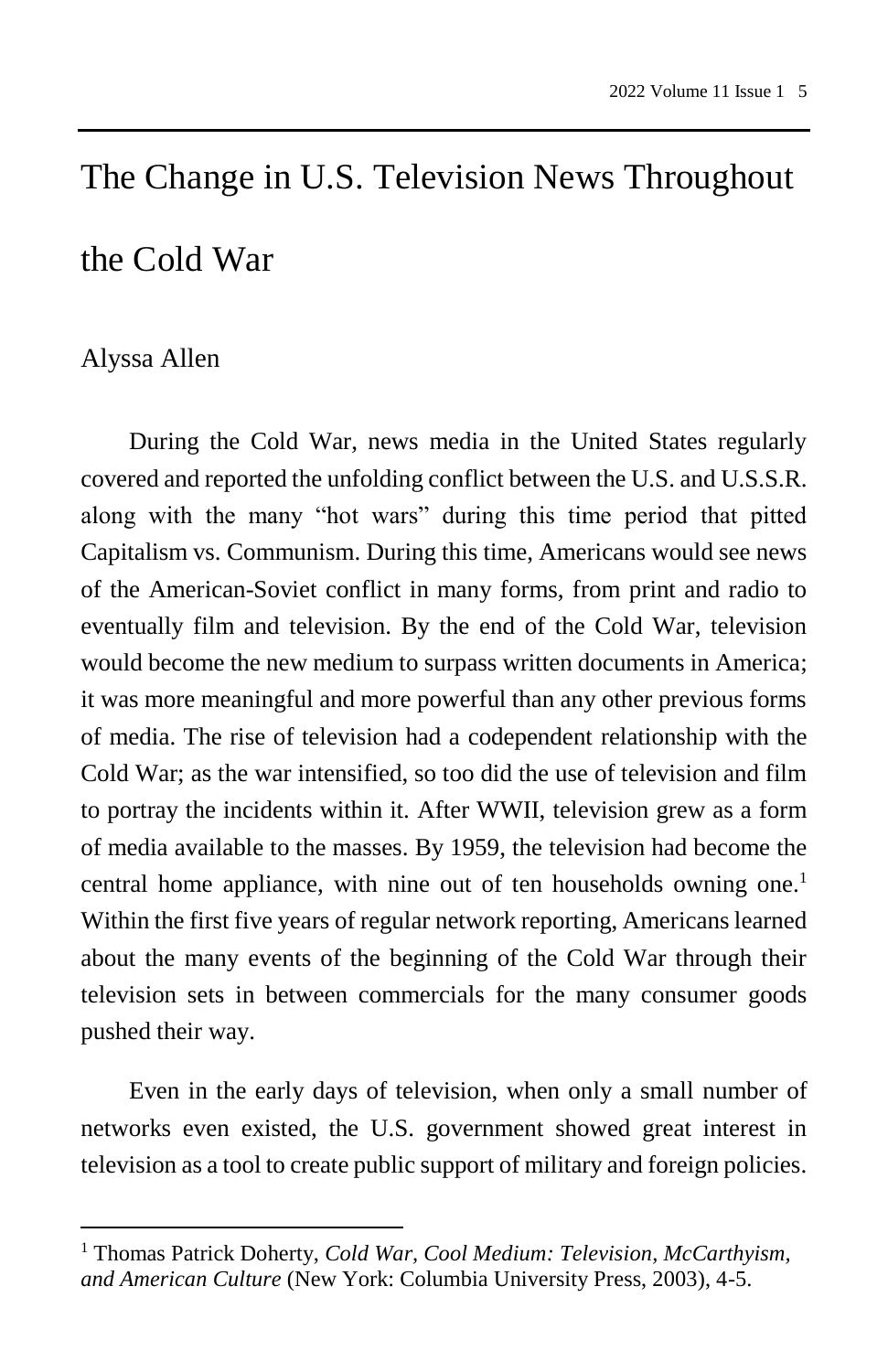# The Change in U.S. Television News Throughout

### the Cold War

#### Alyssa Allen

 $\overline{a}$ 

During the Cold War, news media in the United States regularly covered and reported the unfolding conflict between the U.S. and U.S.S.R. along with the many "hot wars" during this time period that pitted Capitalism vs. Communism. During this time, Americans would see news of the American-Soviet conflict in many forms, from print and radio to eventually film and television. By the end of the Cold War, television would become the new medium to surpass written documents in America; it was more meaningful and more powerful than any other previous forms of media. The rise of television had a codependent relationship with the Cold War; as the war intensified, so too did the use of television and film to portray the incidents within it. After WWII, television grew as a form of media available to the masses. By 1959, the television had become the central home appliance, with nine out of ten households owning one.<sup>1</sup> Within the first five years of regular network reporting, Americans learned about the many events of the beginning of the Cold War through their television sets in between commercials for the many consumer goods pushed their way.

Even in the early days of television, when only a small number of networks even existed, the U.S. government showed great interest in television as a tool to create public support of military and foreign policies.

<sup>1</sup> Thomas Patrick Doherty, *Cold War, Cool Medium: Television, McCarthyism, and American Culture* (New York: Columbia University Press, 2003), 4-5.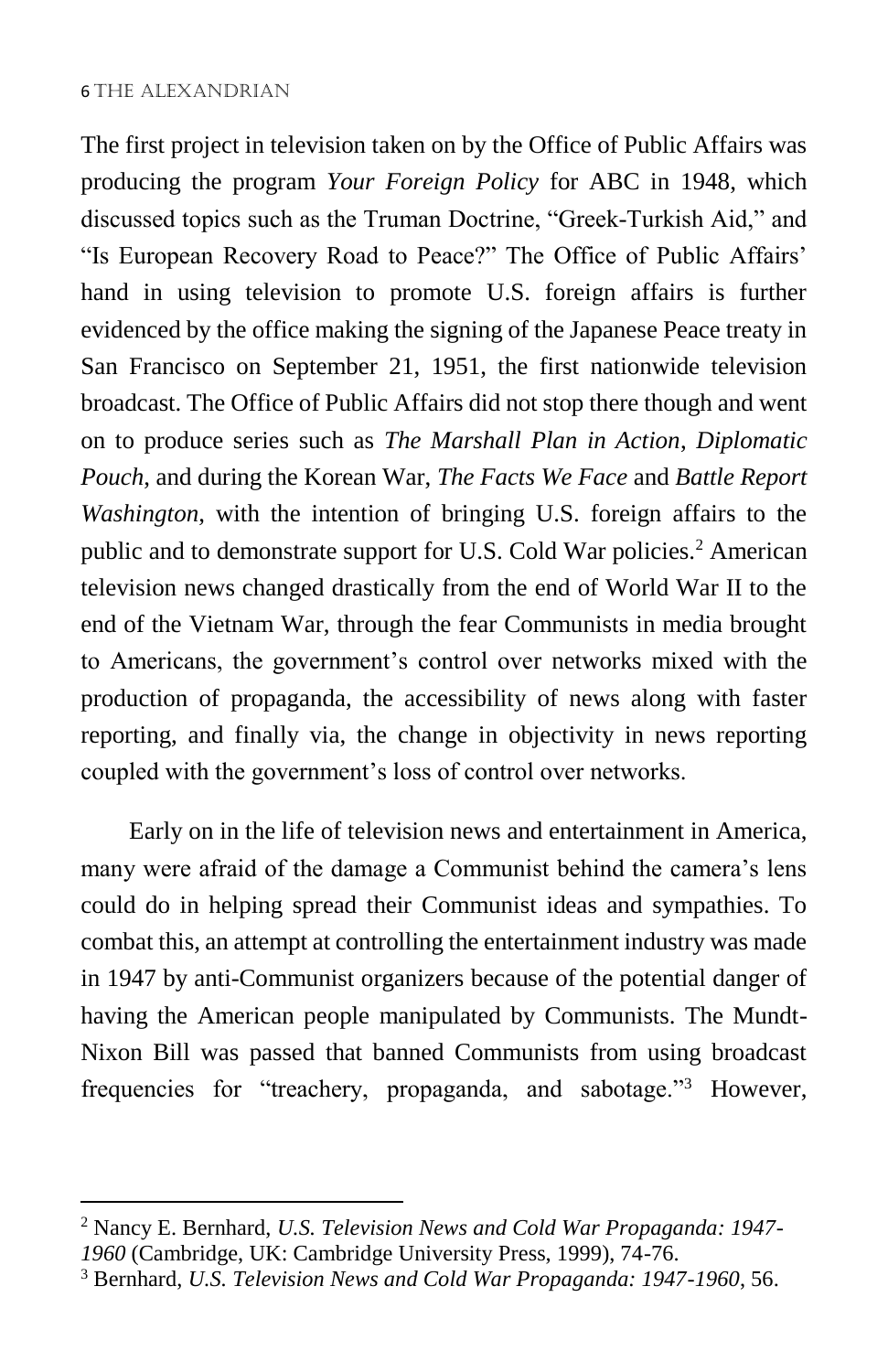$\overline{\phantom{a}}$ 

The first project in television taken on by the Office of Public Affairs was producing the program *Your Foreign Policy* for ABC in 1948, which discussed topics such as the Truman Doctrine, "Greek-Turkish Aid," and "Is European Recovery Road to Peace?" The Office of Public Affairs' hand in using television to promote U.S. foreign affairs is further evidenced by the office making the signing of the Japanese Peace treaty in San Francisco on September 21, 1951, the first nationwide television broadcast. The Office of Public Affairs did not stop there though and went on to produce series such as *The Marshall Plan in Action*, *Diplomatic Pouch*, and during the Korean War, *The Facts We Face* and *Battle Report Washington*, with the intention of bringing U.S. foreign affairs to the public and to demonstrate support for U.S. Cold War policies.<sup>2</sup> American television news changed drastically from the end of World War II to the end of the Vietnam War, through the fear Communists in media brought to Americans, the government's control over networks mixed with the production of propaganda, the accessibility of news along with faster reporting, and finally via, the change in objectivity in news reporting coupled with the government's loss of control over networks.

Early on in the life of television news and entertainment in America, many were afraid of the damage a Communist behind the camera's lens could do in helping spread their Communist ideas and sympathies. To combat this, an attempt at controlling the entertainment industry was made in 1947 by anti-Communist organizers because of the potential danger of having the American people manipulated by Communists. The Mundt-Nixon Bill was passed that banned Communists from using broadcast frequencies for "treachery, propaganda, and sabotage."<sup>3</sup> However,

<sup>2</sup> Nancy E. Bernhard, *U.S. Television News and Cold War Propaganda: 1947- 1960* (Cambridge, UK: Cambridge University Press, 1999), 74-76.

<sup>3</sup> Bernhard, *U.S. Television News and Cold War Propaganda: 1947-1960*, 56.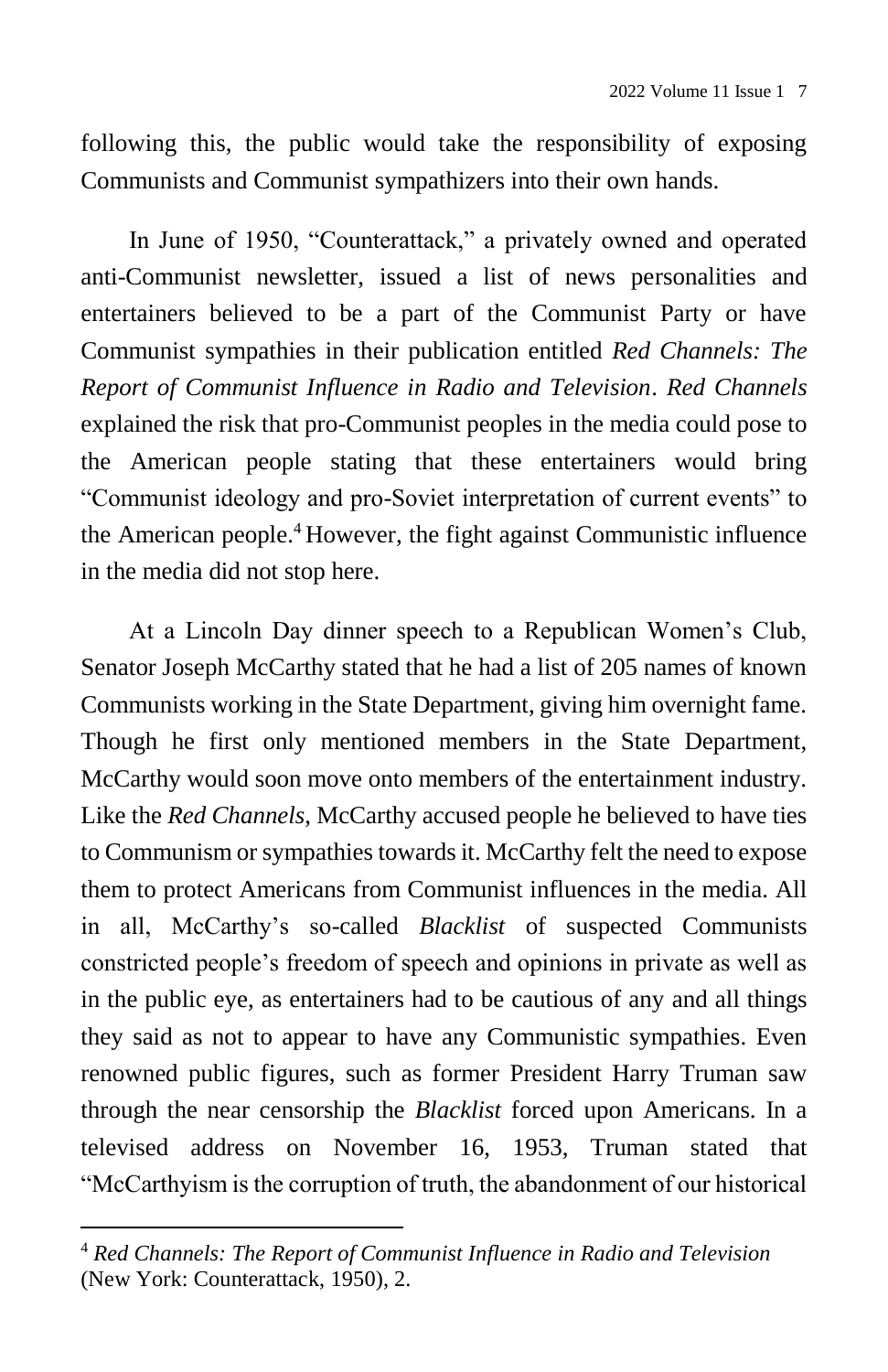following this, the public would take the responsibility of exposing Communists and Communist sympathizers into their own hands.

In June of 1950, "Counterattack," a privately owned and operated anti-Communist newsletter, issued a list of news personalities and entertainers believed to be a part of the Communist Party or have Communist sympathies in their publication entitled *Red Channels: The Report of Communist Influence in Radio and Television*. *Red Channels* explained the risk that pro-Communist peoples in the media could pose to the American people stating that these entertainers would bring "Communist ideology and pro-Soviet interpretation of current events" to the American people.<sup>4</sup> However, the fight against Communistic influence in the media did not stop here.

At a Lincoln Day dinner speech to a Republican Women's Club, Senator Joseph McCarthy stated that he had a list of 205 names of known Communists working in the State Department, giving him overnight fame. Though he first only mentioned members in the State Department, McCarthy would soon move onto members of the entertainment industry. Like the *Red Channels*, McCarthy accused people he believed to have ties to Communism or sympathies towards it. McCarthy felt the need to expose them to protect Americans from Communist influences in the media. All in all, McCarthy's so-called *Blacklist* of suspected Communists constricted people's freedom of speech and opinions in private as well as in the public eye, as entertainers had to be cautious of any and all things they said as not to appear to have any Communistic sympathies. Even renowned public figures, such as former President Harry Truman saw through the near censorship the *Blacklist* forced upon Americans. In a televised address on November 16, 1953, Truman stated that "McCarthyism is the corruption of truth, the abandonment of our historical

 $\overline{a}$ 

<sup>4</sup> *Red Channels: The Report of Communist Influence in Radio and Television* (New York: Counterattack, 1950), 2.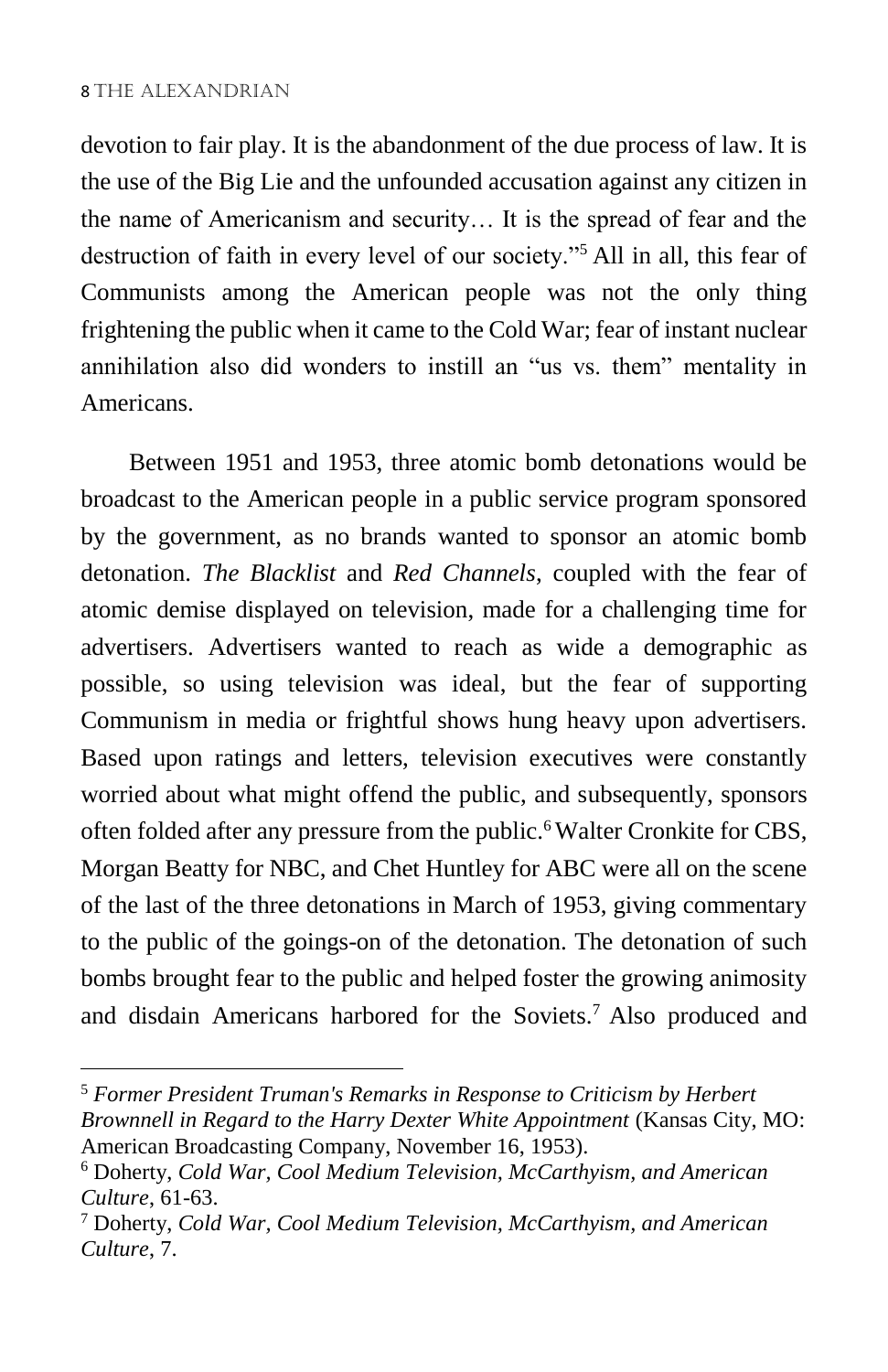$\overline{a}$ 

devotion to fair play. It is the abandonment of the due process of law. It is the use of the Big Lie and the unfounded accusation against any citizen in the name of Americanism and security… It is the spread of fear and the destruction of faith in every level of our society."<sup>5</sup> All in all, this fear of Communists among the American people was not the only thing frightening the public when it came to the Cold War; fear of instant nuclear annihilation also did wonders to instill an "us vs. them" mentality in Americans.

Between 1951 and 1953, three atomic bomb detonations would be broadcast to the American people in a public service program sponsored by the government, as no brands wanted to sponsor an atomic bomb detonation. *The Blacklist* and *Red Channels*, coupled with the fear of atomic demise displayed on television, made for a challenging time for advertisers. Advertisers wanted to reach as wide a demographic as possible, so using television was ideal, but the fear of supporting Communism in media or frightful shows hung heavy upon advertisers. Based upon ratings and letters, television executives were constantly worried about what might offend the public, and subsequently, sponsors often folded after any pressure from the public.<sup>6</sup> Walter Cronkite for CBS, Morgan Beatty for NBC, and Chet Huntley for ABC were all on the scene of the last of the three detonations in March of 1953, giving commentary to the public of the goings-on of the detonation. The detonation of such bombs brought fear to the public and helped foster the growing animosity and disdain Americans harbored for the Soviets.<sup>7</sup> Also produced and

<sup>5</sup> *Former President Truman's Remarks in Response to Criticism by Herbert Brownnell in Regard to the Harry Dexter White Appointment* (Kansas City, MO: American Broadcasting Company, November 16, 1953).

<sup>6</sup> Doherty, *Cold War, Cool Medium Television, McCarthyism, and American Culture*, 61-63.

<sup>7</sup> Doherty, *Cold War, Cool Medium Television, McCarthyism, and American Culture*, 7.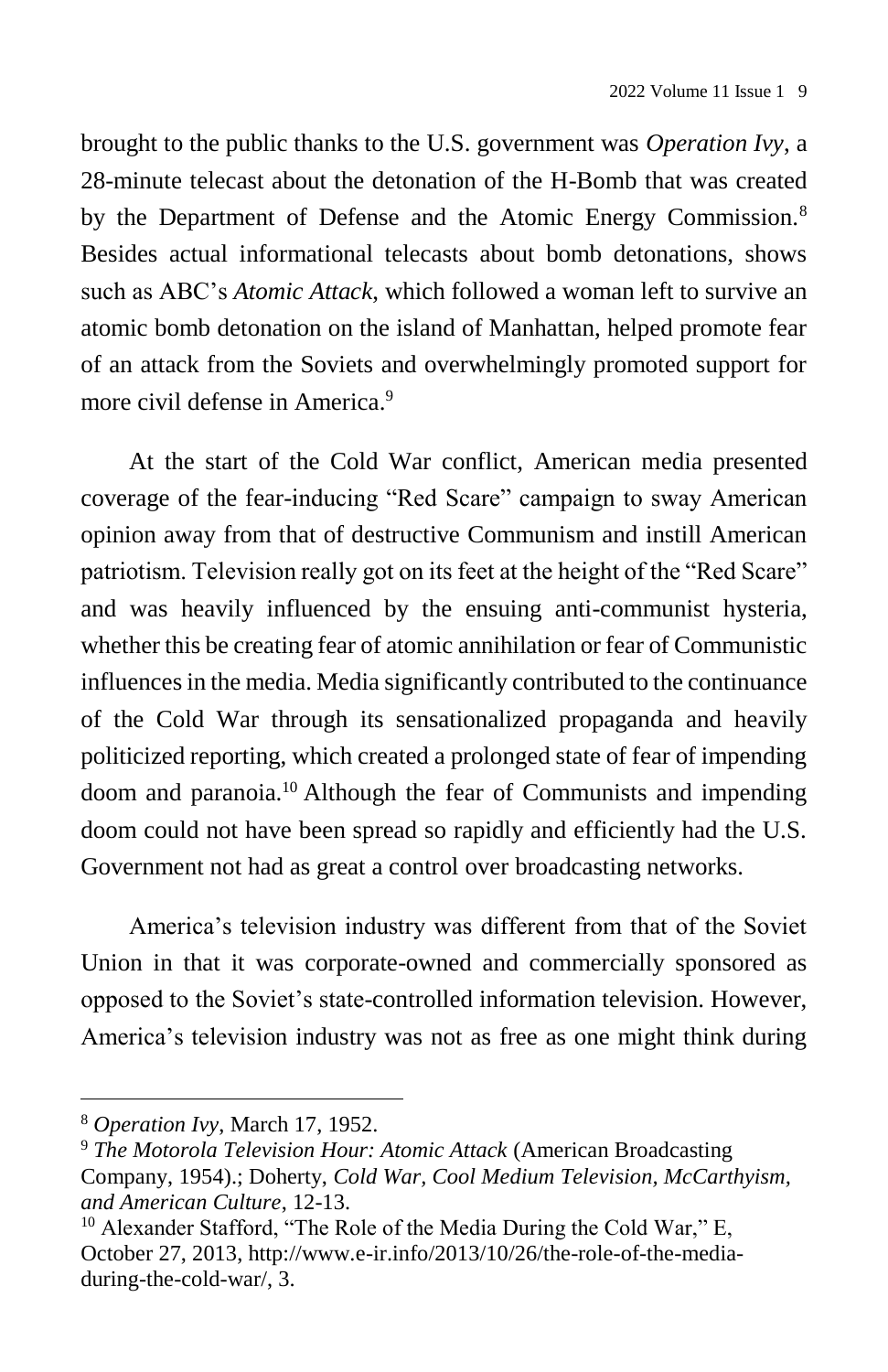brought to the public thanks to the U.S. government was *Operation Ivy*, a 28-minute telecast about the detonation of the H-Bomb that was created by the Department of Defense and the Atomic Energy Commission.<sup>8</sup> Besides actual informational telecasts about bomb detonations, shows such as ABC's *Atomic Attack*, which followed a woman left to survive an atomic bomb detonation on the island of Manhattan, helped promote fear of an attack from the Soviets and overwhelmingly promoted support for more civil defense in America.<sup>9</sup>

At the start of the Cold War conflict, American media presented coverage of the fear-inducing "Red Scare" campaign to sway American opinion away from that of destructive Communism and instill American patriotism. Television really got on its feet at the height of the "Red Scare" and was heavily influenced by the ensuing anti-communist hysteria, whether this be creating fear of atomic annihilation or fear of Communistic influences in the media. Media significantly contributed to the continuance of the Cold War through its sensationalized propaganda and heavily politicized reporting, which created a prolonged state of fear of impending doom and paranoia.<sup>10</sup> Although the fear of Communists and impending doom could not have been spread so rapidly and efficiently had the U.S. Government not had as great a control over broadcasting networks.

America's television industry was different from that of the Soviet Union in that it was corporate-owned and commercially sponsored as opposed to the Soviet's state-controlled information television. However, America's television industry was not as free as one might think during

<sup>8</sup> *Operation Ivy*, March 17, 1952.

<sup>9</sup> *The Motorola Television Hour: Atomic Attack* (American Broadcasting Company, 1954).; Doherty, *Cold War, Cool Medium Television, McCarthyism, and American Culture*, 12-13.

<sup>&</sup>lt;sup>10</sup> Alexander Stafford, "The Role of the Media During the Cold War," E, October 27, 2013, http://www.e-ir.info/2013/10/26/the-role-of-the-mediaduring-the-cold-war/, 3.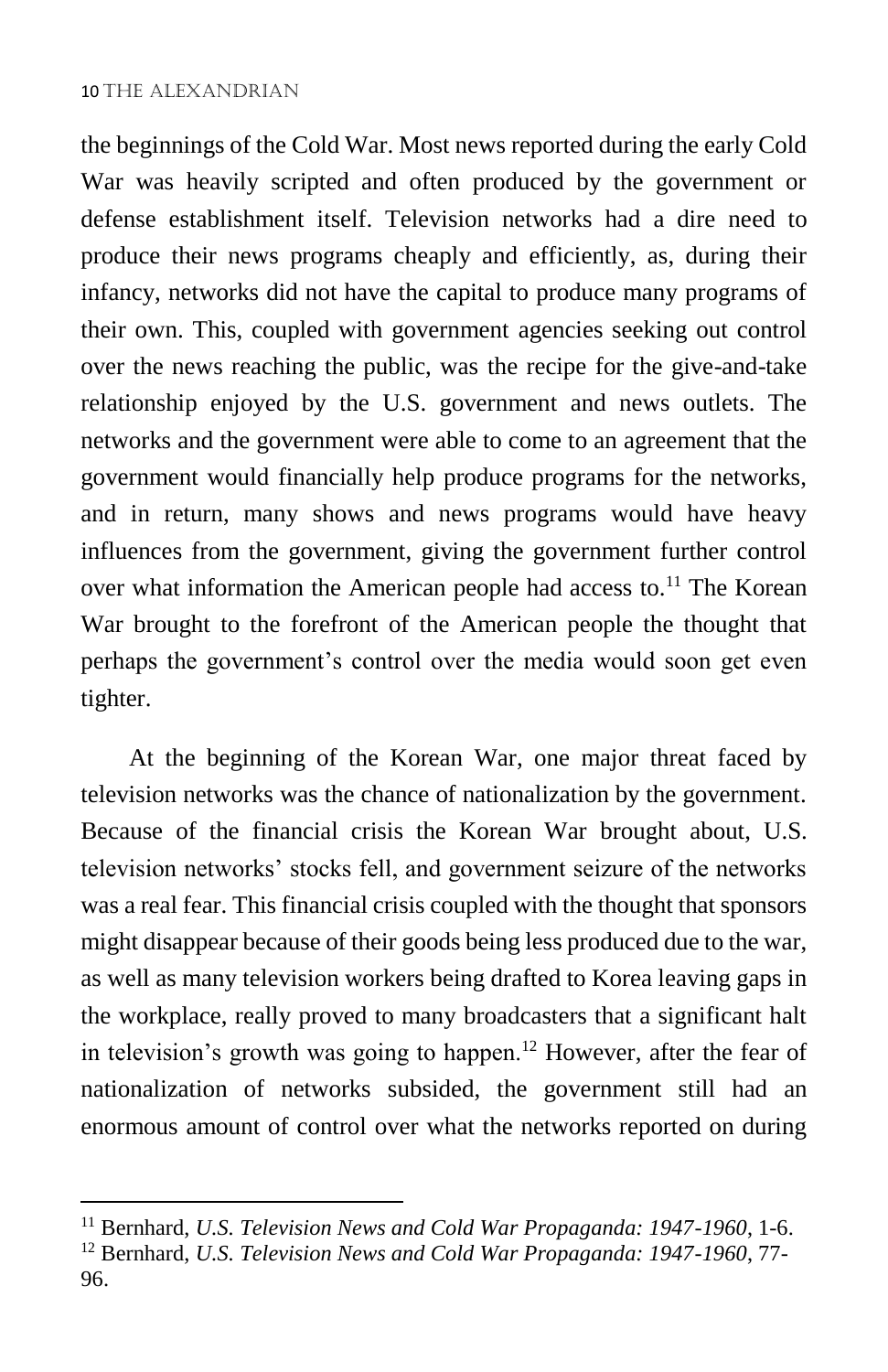$\overline{\phantom{a}}$ 

the beginnings of the Cold War. Most news reported during the early Cold War was heavily scripted and often produced by the government or defense establishment itself. Television networks had a dire need to produce their news programs cheaply and efficiently, as, during their infancy, networks did not have the capital to produce many programs of their own. This, coupled with government agencies seeking out control over the news reaching the public, was the recipe for the give-and-take relationship enjoyed by the U.S. government and news outlets. The networks and the government were able to come to an agreement that the government would financially help produce programs for the networks, and in return, many shows and news programs would have heavy influences from the government, giving the government further control over what information the American people had access to.<sup>11</sup> The Korean War brought to the forefront of the American people the thought that perhaps the government's control over the media would soon get even tighter.

At the beginning of the Korean War, one major threat faced by television networks was the chance of nationalization by the government. Because of the financial crisis the Korean War brought about, U.S. television networks' stocks fell, and government seizure of the networks was a real fear. This financial crisis coupled with the thought that sponsors might disappear because of their goods being less produced due to the war, as well as many television workers being drafted to Korea leaving gaps in the workplace, really proved to many broadcasters that a significant halt in television's growth was going to happen.<sup>12</sup> However, after the fear of nationalization of networks subsided, the government still had an enormous amount of control over what the networks reported on during

<sup>11</sup> Bernhard, *U.S. Television News and Cold War Propaganda: 1947-1960*, 1-6.

<sup>12</sup> Bernhard, *U.S. Television News and Cold War Propaganda: 1947-1960*, 77- 96.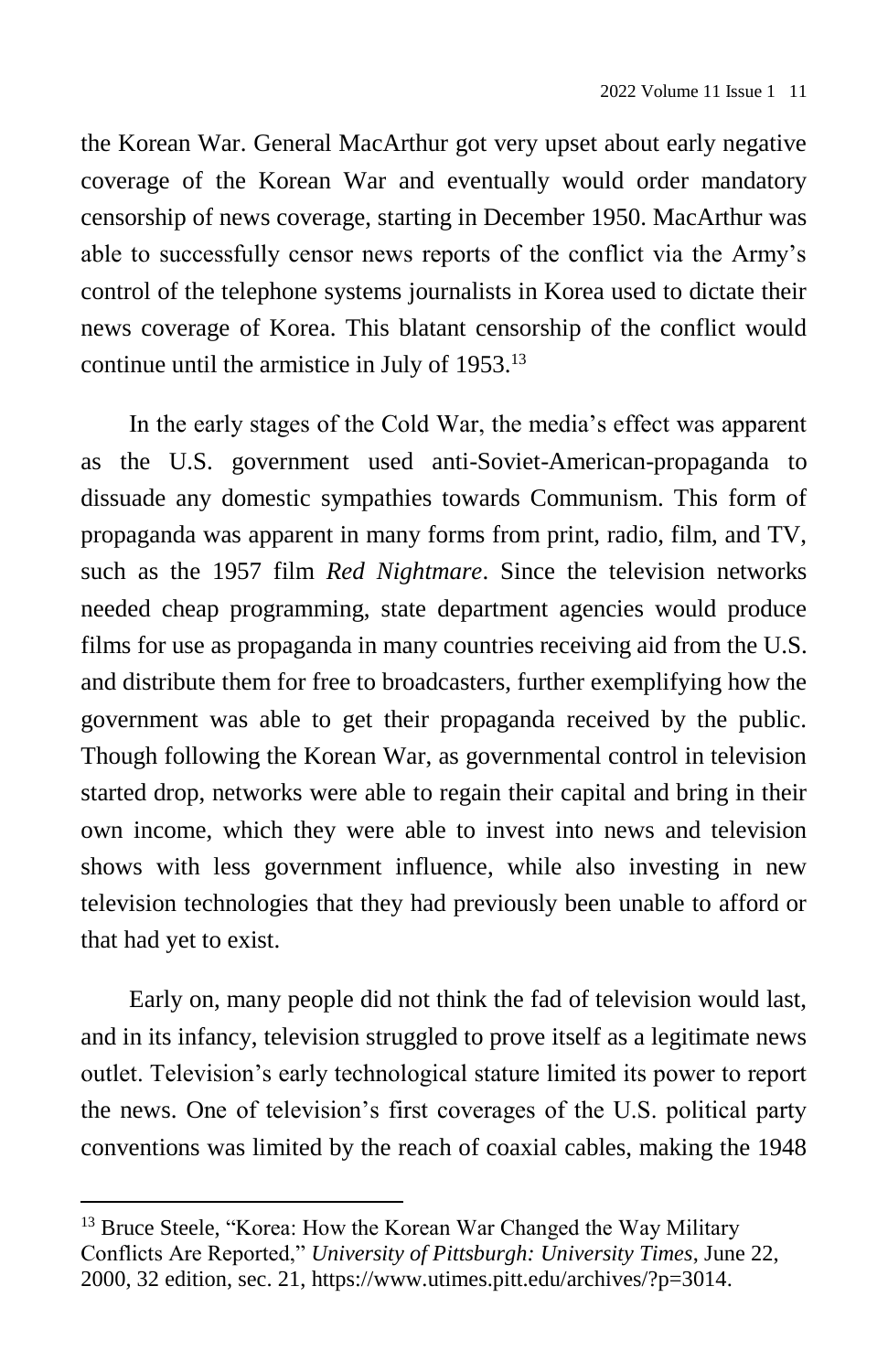the Korean War. General MacArthur got very upset about early negative coverage of the Korean War and eventually would order mandatory censorship of news coverage, starting in December 1950. MacArthur was able to successfully censor news reports of the conflict via the Army's control of the telephone systems journalists in Korea used to dictate their news coverage of Korea. This blatant censorship of the conflict would continue until the armistice in July of 1953.<sup>13</sup>

In the early stages of the Cold War, the media's effect was apparent as the U.S. government used anti-Soviet-American-propaganda to dissuade any domestic sympathies towards Communism. This form of propaganda was apparent in many forms from print, radio, film, and TV, such as the 1957 film *Red Nightmare*. Since the television networks needed cheap programming, state department agencies would produce films for use as propaganda in many countries receiving aid from the U.S. and distribute them for free to broadcasters, further exemplifying how the government was able to get their propaganda received by the public. Though following the Korean War, as governmental control in television started drop, networks were able to regain their capital and bring in their own income, which they were able to invest into news and television shows with less government influence, while also investing in new television technologies that they had previously been unable to afford or that had yet to exist.

Early on, many people did not think the fad of television would last, and in its infancy, television struggled to prove itself as a legitimate news outlet. Television's early technological stature limited its power to report the news. One of television's first coverages of the U.S. political party conventions was limited by the reach of coaxial cables, making the 1948

<sup>&</sup>lt;sup>13</sup> Bruce Steele, "Korea: How the Korean War Changed the Way Military Conflicts Are Reported," *University of Pittsburgh: University Times*, June 22, 2000, 32 edition, sec. 21, https://www.utimes.pitt.edu/archives/?p=3014.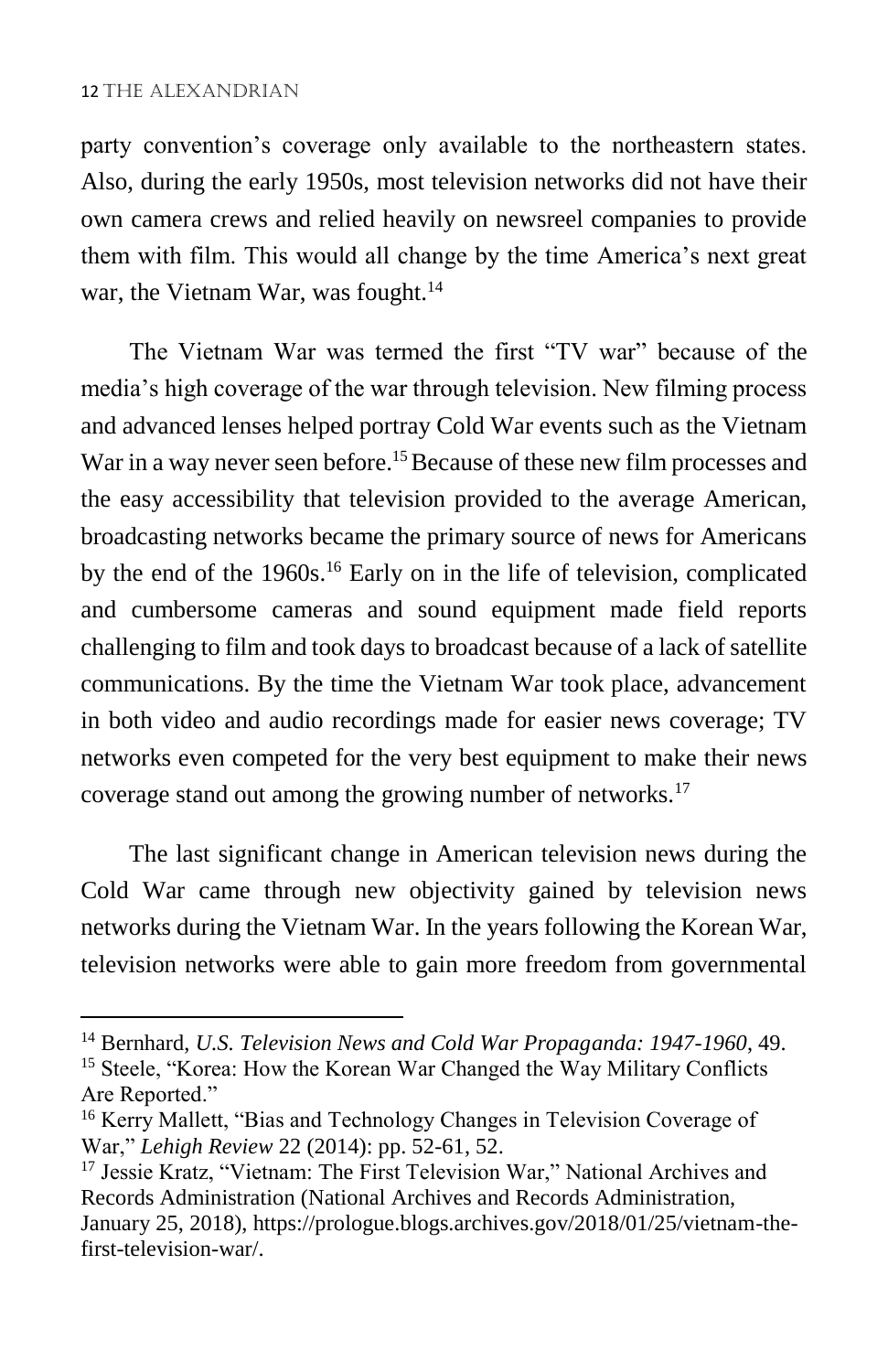$\overline{\phantom{a}}$ 

party convention's coverage only available to the northeastern states. Also, during the early 1950s, most television networks did not have their own camera crews and relied heavily on newsreel companies to provide them with film. This would all change by the time America's next great war, the Vietnam War, was fought.<sup>14</sup>

The Vietnam War was termed the first "TV war" because of the media's high coverage of the war through television. New filming process and advanced lenses helped portray Cold War events such as the Vietnam War in a way never seen before.<sup>15</sup> Because of these new film processes and the easy accessibility that television provided to the average American, broadcasting networks became the primary source of news for Americans by the end of the 1960s.<sup>16</sup> Early on in the life of television, complicated and cumbersome cameras and sound equipment made field reports challenging to film and took days to broadcast because of a lack of satellite communications. By the time the Vietnam War took place, advancement in both video and audio recordings made for easier news coverage; TV networks even competed for the very best equipment to make their news coverage stand out among the growing number of networks.<sup>17</sup>

The last significant change in American television news during the Cold War came through new objectivity gained by television news networks during the Vietnam War. In the years following the Korean War, television networks were able to gain more freedom from governmental

<sup>14</sup> Bernhard, *U.S. Television News and Cold War Propaganda: 1947-1960*, 49.

<sup>&</sup>lt;sup>15</sup> Steele, "Korea: How the Korean War Changed the Way Military Conflicts Are Reported."

<sup>&</sup>lt;sup>16</sup> Kerry Mallett, "Bias and Technology Changes in Television Coverage of War," *Lehigh Review* 22 (2014): pp. 52-61, 52.

<sup>&</sup>lt;sup>17</sup> Jessie Kratz, "Vietnam: The First Television War," National Archives and Records Administration (National Archives and Records Administration, January 25, 2018), https://prologue.blogs.archives.gov/2018/01/25/vietnam-thefirst-television-war/.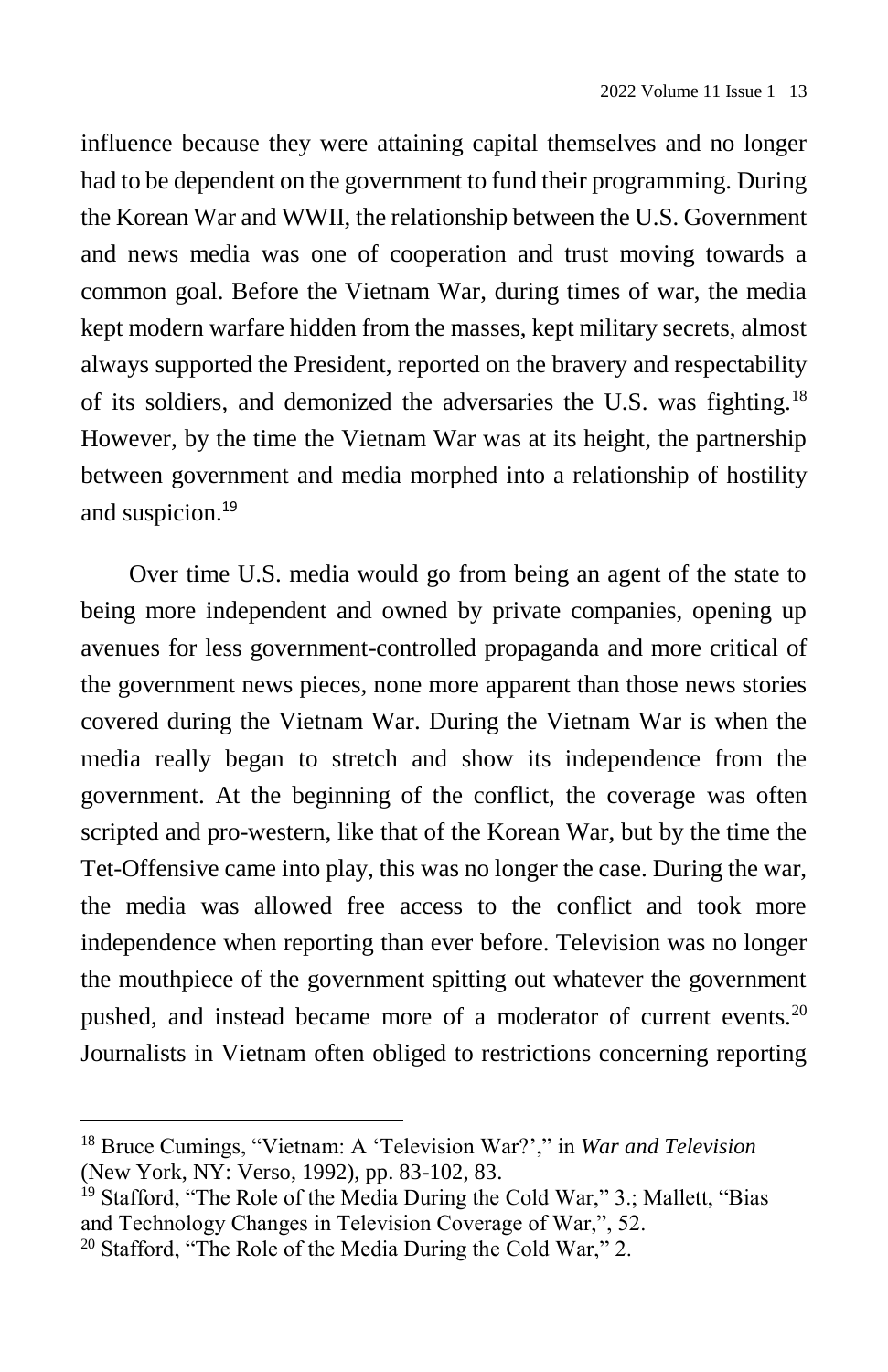influence because they were attaining capital themselves and no longer had to be dependent on the government to fund their programming. During the Korean War and WWII, the relationship between the U.S. Government and news media was one of cooperation and trust moving towards a common goal. Before the Vietnam War, during times of war, the media kept modern warfare hidden from the masses, kept military secrets, almost always supported the President, reported on the bravery and respectability of its soldiers, and demonized the adversaries the U.S. was fighting.<sup>18</sup> However, by the time the Vietnam War was at its height, the partnership between government and media morphed into a relationship of hostility and suspicion.<sup>19</sup>

Over time U.S. media would go from being an agent of the state to being more independent and owned by private companies, opening up avenues for less government-controlled propaganda and more critical of the government news pieces, none more apparent than those news stories covered during the Vietnam War. During the Vietnam War is when the media really began to stretch and show its independence from the government. At the beginning of the conflict, the coverage was often scripted and pro-western, like that of the Korean War, but by the time the Tet-Offensive came into play, this was no longer the case. During the war, the media was allowed free access to the conflict and took more independence when reporting than ever before. Television was no longer the mouthpiece of the government spitting out whatever the government pushed, and instead became more of a moderator of current events.<sup>20</sup> Journalists in Vietnam often obliged to restrictions concerning reporting

<sup>18</sup> Bruce Cumings, "Vietnam: A 'Television War?'," in *War and Television* (New York, NY: Verso, 1992), pp. 83-102, 83.

<sup>&</sup>lt;sup>19</sup> Stafford, "The Role of the Media During the Cold War," 3.; Mallett, "Bias and Technology Changes in Television Coverage of War,", 52.

<sup>&</sup>lt;sup>20</sup> Stafford, "The Role of the Media During the Cold War," 2.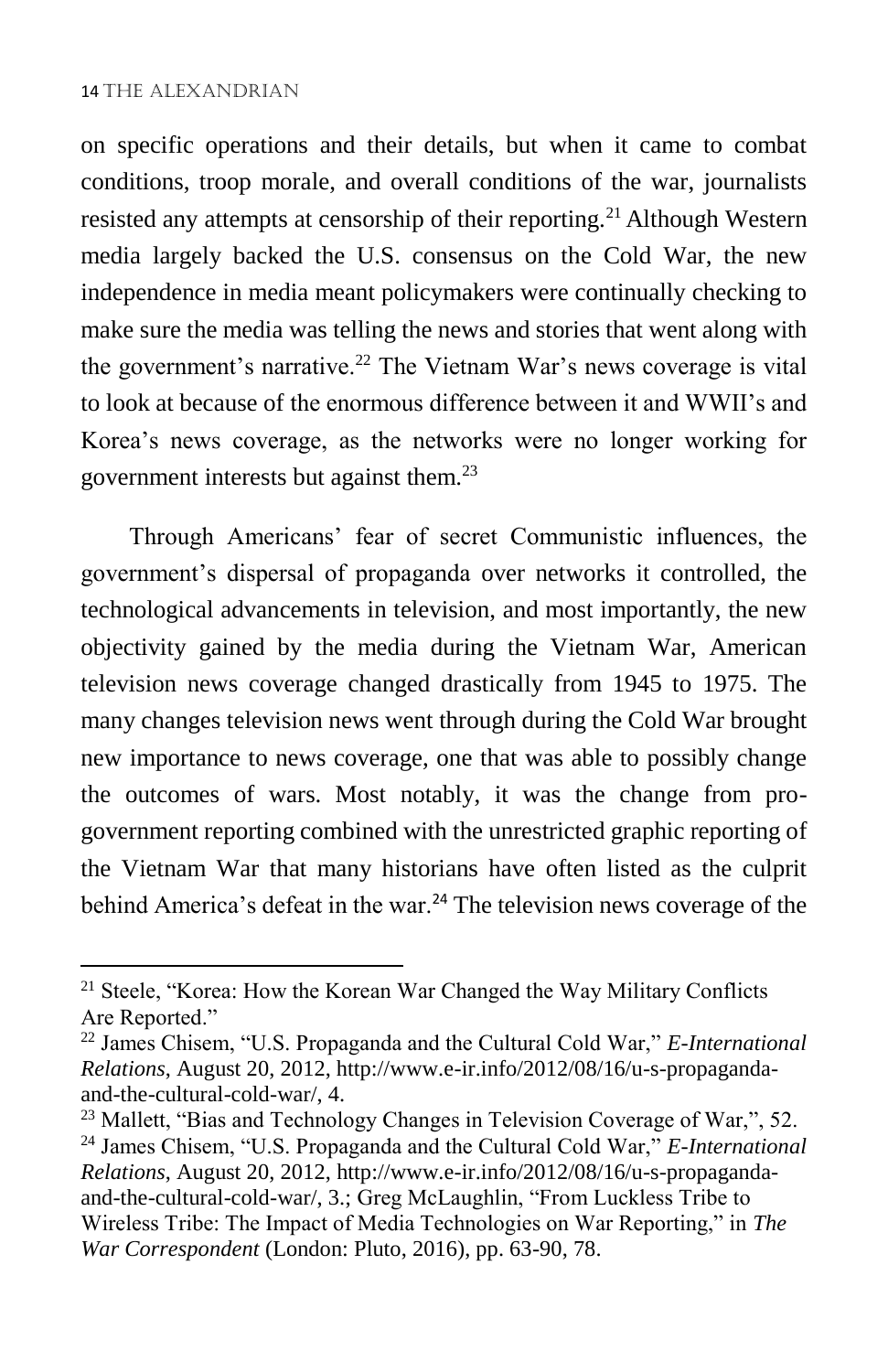l

on specific operations and their details, but when it came to combat conditions, troop morale, and overall conditions of the war, journalists resisted any attempts at censorship of their reporting.<sup>21</sup> Although Western media largely backed the U.S. consensus on the Cold War, the new independence in media meant policymakers were continually checking to make sure the media was telling the news and stories that went along with the government's narrative.<sup>22</sup> The Vietnam War's news coverage is vital to look at because of the enormous difference between it and WWII's and Korea's news coverage, as the networks were no longer working for government interests but against them.<sup>23</sup>

Through Americans' fear of secret Communistic influences, the government's dispersal of propaganda over networks it controlled, the technological advancements in television, and most importantly, the new objectivity gained by the media during the Vietnam War, American television news coverage changed drastically from 1945 to 1975. The many changes television news went through during the Cold War brought new importance to news coverage, one that was able to possibly change the outcomes of wars. Most notably, it was the change from progovernment reporting combined with the unrestricted graphic reporting of the Vietnam War that many historians have often listed as the culprit behind America's defeat in the war.<sup>24</sup> The television news coverage of the

<sup>21</sup> Steele, "Korea: How the Korean War Changed the Way Military Conflicts Are Reported."

<sup>22</sup> James Chisem, "U.S. Propaganda and the Cultural Cold War," *E-International Relations*, August 20, 2012, http://www.e-ir.info/2012/08/16/u-s-propagandaand-the-cultural-cold-war/, 4.

<sup>&</sup>lt;sup>23</sup> Mallett, "Bias and Technology Changes in Television Coverage of War,", 52. <sup>24</sup> James Chisem, "U.S. Propaganda and the Cultural Cold War," *E-International Relations*, August 20, 2012, http://www.e-ir.info/2012/08/16/u-s-propagandaand-the-cultural-cold-war/, 3.; Greg McLaughlin, "From Luckless Tribe to Wireless Tribe: The Impact of Media Technologies on War Reporting," in *The War Correspondent* (London: Pluto, 2016), pp. 63-90, 78.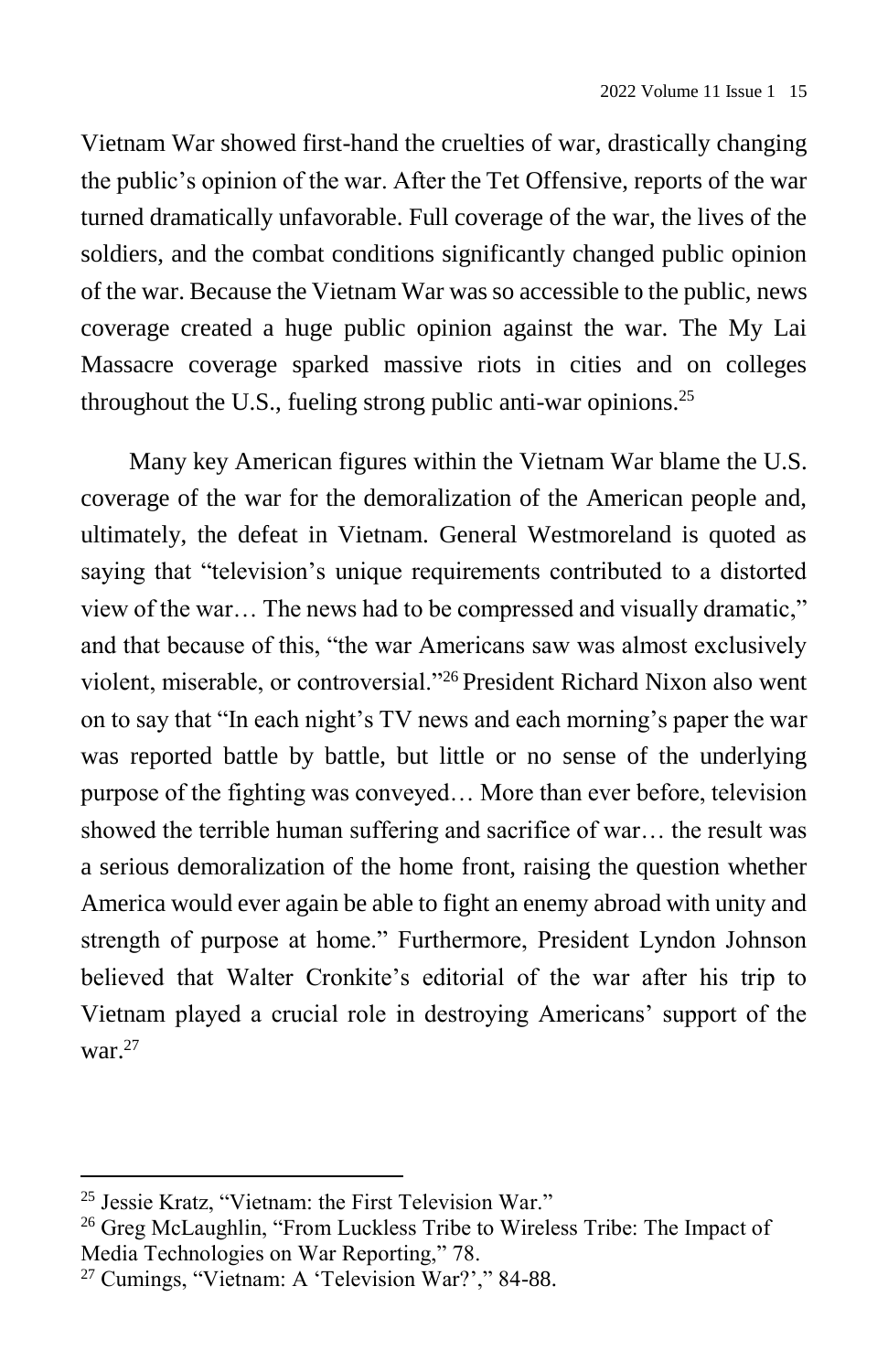Vietnam War showed first-hand the cruelties of war, drastically changing the public's opinion of the war. After the Tet Offensive, reports of the war turned dramatically unfavorable. Full coverage of the war, the lives of the soldiers, and the combat conditions significantly changed public opinion of the war. Because the Vietnam War was so accessible to the public, news coverage created a huge public opinion against the war. The My Lai Massacre coverage sparked massive riots in cities and on colleges throughout the U.S., fueling strong public anti-war opinions.<sup>25</sup>

Many key American figures within the Vietnam War blame the U.S. coverage of the war for the demoralization of the American people and, ultimately, the defeat in Vietnam. General Westmoreland is quoted as saying that "television's unique requirements contributed to a distorted view of the war… The news had to be compressed and visually dramatic," and that because of this, "the war Americans saw was almost exclusively violent, miserable, or controversial."<sup>26</sup> President Richard Nixon also went on to say that "In each night's TV news and each morning's paper the war was reported battle by battle, but little or no sense of the underlying purpose of the fighting was conveyed… More than ever before, television showed the terrible human suffering and sacrifice of war… the result was a serious demoralization of the home front, raising the question whether America would ever again be able to fight an enemy abroad with unity and strength of purpose at home." Furthermore, President Lyndon Johnson believed that Walter Cronkite's editorial of the war after his trip to Vietnam played a crucial role in destroying Americans' support of the war. $27$ 

 $\overline{a}$ 

<sup>25</sup> Jessie Kratz, "Vietnam: the First Television War."

<sup>&</sup>lt;sup>26</sup> Greg McLaughlin, "From Luckless Tribe to Wireless Tribe: The Impact of Media Technologies on War Reporting," 78.

<sup>27</sup> Cumings, "Vietnam: A 'Television War?'," 84-88.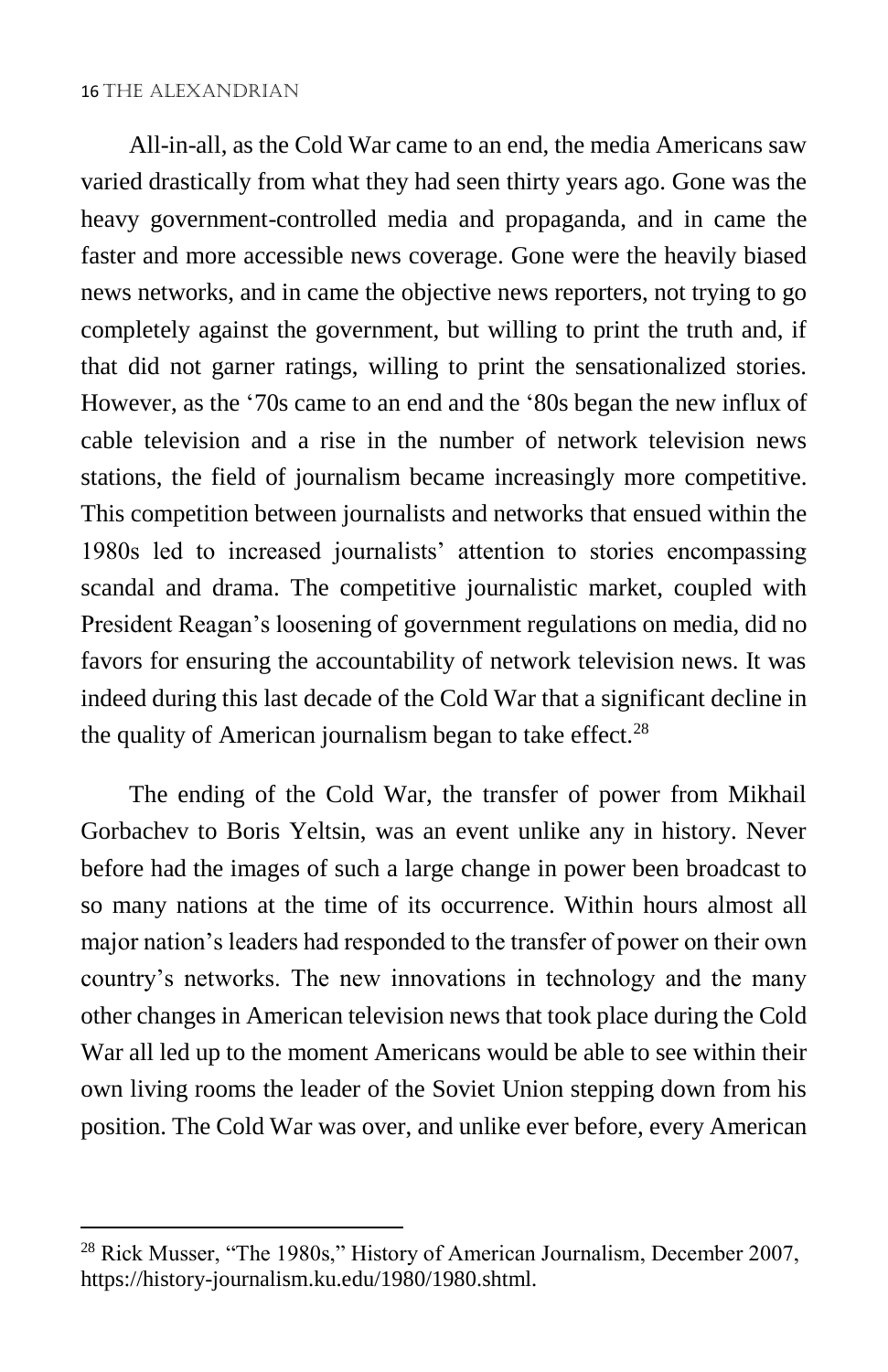$\overline{a}$ 

All-in-all, as the Cold War came to an end, the media Americans saw varied drastically from what they had seen thirty years ago. Gone was the heavy government-controlled media and propaganda, and in came the faster and more accessible news coverage. Gone were the heavily biased news networks, and in came the objective news reporters, not trying to go completely against the government, but willing to print the truth and, if that did not garner ratings, willing to print the sensationalized stories. However, as the '70s came to an end and the '80s began the new influx of cable television and a rise in the number of network television news stations, the field of journalism became increasingly more competitive. This competition between journalists and networks that ensued within the 1980s led to increased journalists' attention to stories encompassing scandal and drama. The competitive journalistic market, coupled with President Reagan's loosening of government regulations on media, did no favors for ensuring the accountability of network television news. It was indeed during this last decade of the Cold War that a significant decline in the quality of American journalism began to take effect.<sup>28</sup>

The ending of the Cold War, the transfer of power from Mikhail Gorbachev to Boris Yeltsin, was an event unlike any in history. Never before had the images of such a large change in power been broadcast to so many nations at the time of its occurrence. Within hours almost all major nation's leaders had responded to the transfer of power on their own country's networks. The new innovations in technology and the many other changes in American television news that took place during the Cold War all led up to the moment Americans would be able to see within their own living rooms the leader of the Soviet Union stepping down from his position. The Cold War was over, and unlike ever before, every American

<sup>&</sup>lt;sup>28</sup> Rick Musser, "The 1980s," History of American Journalism, December 2007, https://history-journalism.ku.edu/1980/1980.shtml.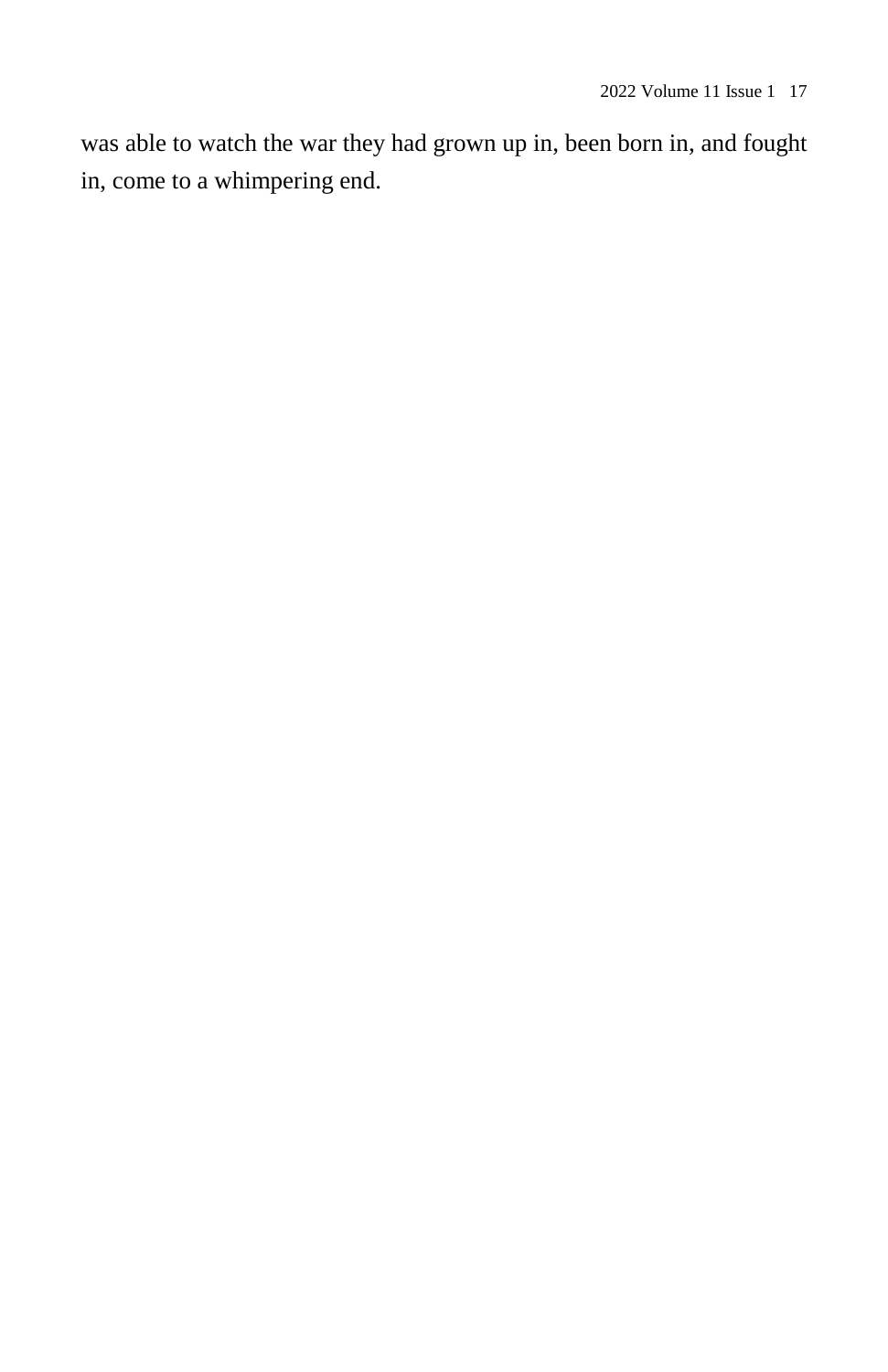was able to watch the war they had grown up in, been born in, and fought in, come to a whimpering end.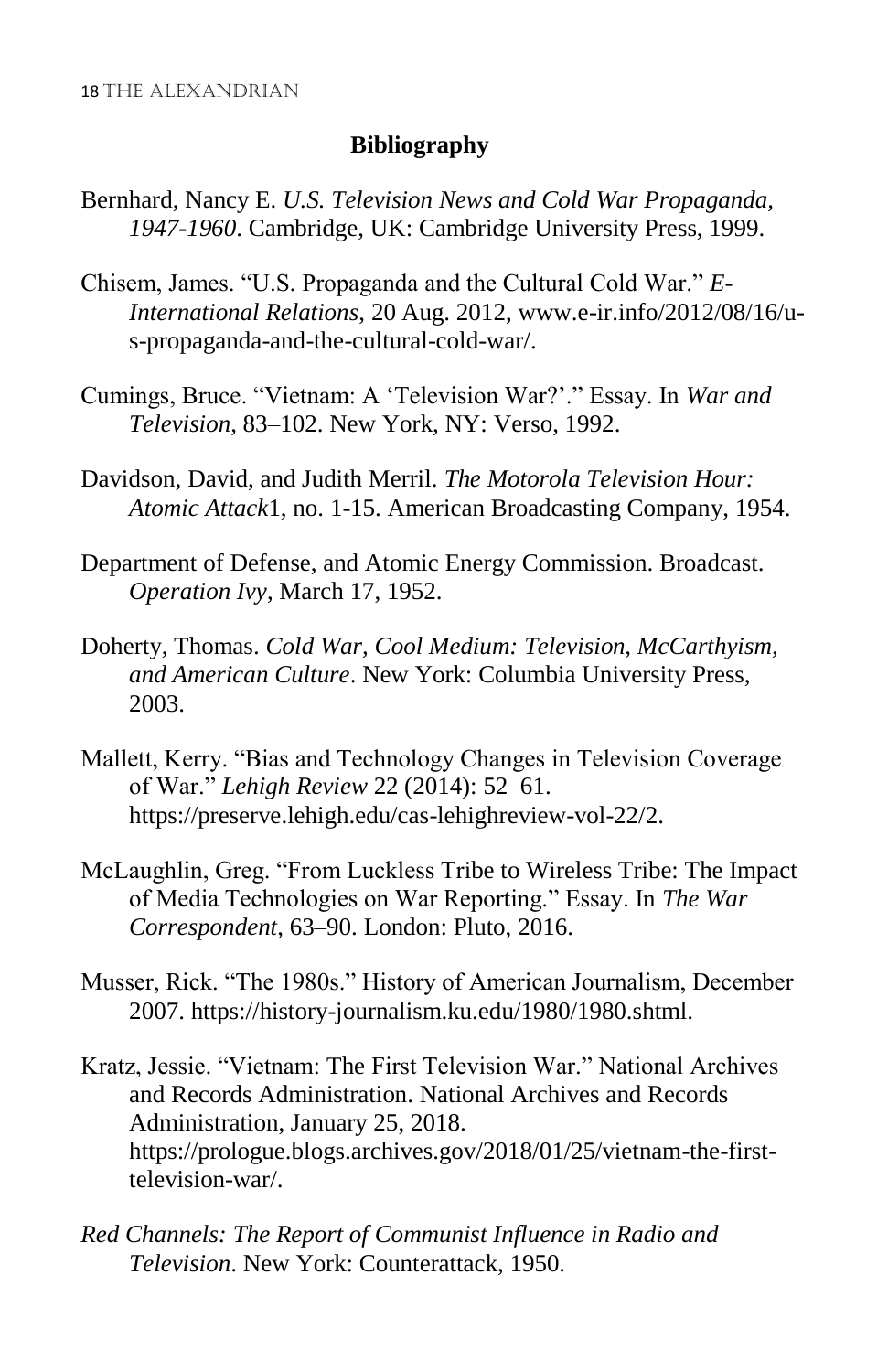#### **Bibliography**

- Bernhard, Nancy E. *U.S. Television News and Cold War Propaganda, 1947-1960*. Cambridge, UK: Cambridge University Press, 1999.
- Chisem, James. "U.S. Propaganda and the Cultural Cold War." *E-International Relations*, 20 Aug. 2012, www.e-ir.info/2012/08/16/us-propaganda-and-the-cultural-cold-war/.
- Cumings, Bruce. "Vietnam: A 'Television War?'." Essay. In *War and Television*, 83–102. New York, NY: Verso, 1992.
- Davidson, David, and Judith Merril. *The Motorola Television Hour: Atomic Attack*1, no. 1-15. American Broadcasting Company, 1954.
- Department of Defense, and Atomic Energy Commission. Broadcast. *Operation Ivy*, March 17, 1952.
- Doherty, Thomas. *Cold War, Cool Medium: Television, McCarthyism, and American Culture*. New York: Columbia University Press, 2003.
- Mallett, Kerry. "Bias and Technology Changes in Television Coverage of War." *Lehigh Review* 22 (2014): 52–61. https://preserve.lehigh.edu/cas-lehighreview-vol-22/2.
- McLaughlin, Greg. "From Luckless Tribe to Wireless Tribe: The Impact of Media Technologies on War Reporting." Essay. In *The War Correspondent*, 63–90. London: Pluto, 2016.
- Musser, Rick. "The 1980s." History of American Journalism, December 2007. https://history-journalism.ku.edu/1980/1980.shtml.
- Kratz, Jessie. "Vietnam: The First Television War." National Archives and Records Administration. National Archives and Records Administration, January 25, 2018. https://prologue.blogs.archives.gov/2018/01/25/vietnam-the-firsttelevision-war/.
- *Red Channels: The Report of Communist Influence in Radio and Television*. New York: Counterattack, 1950.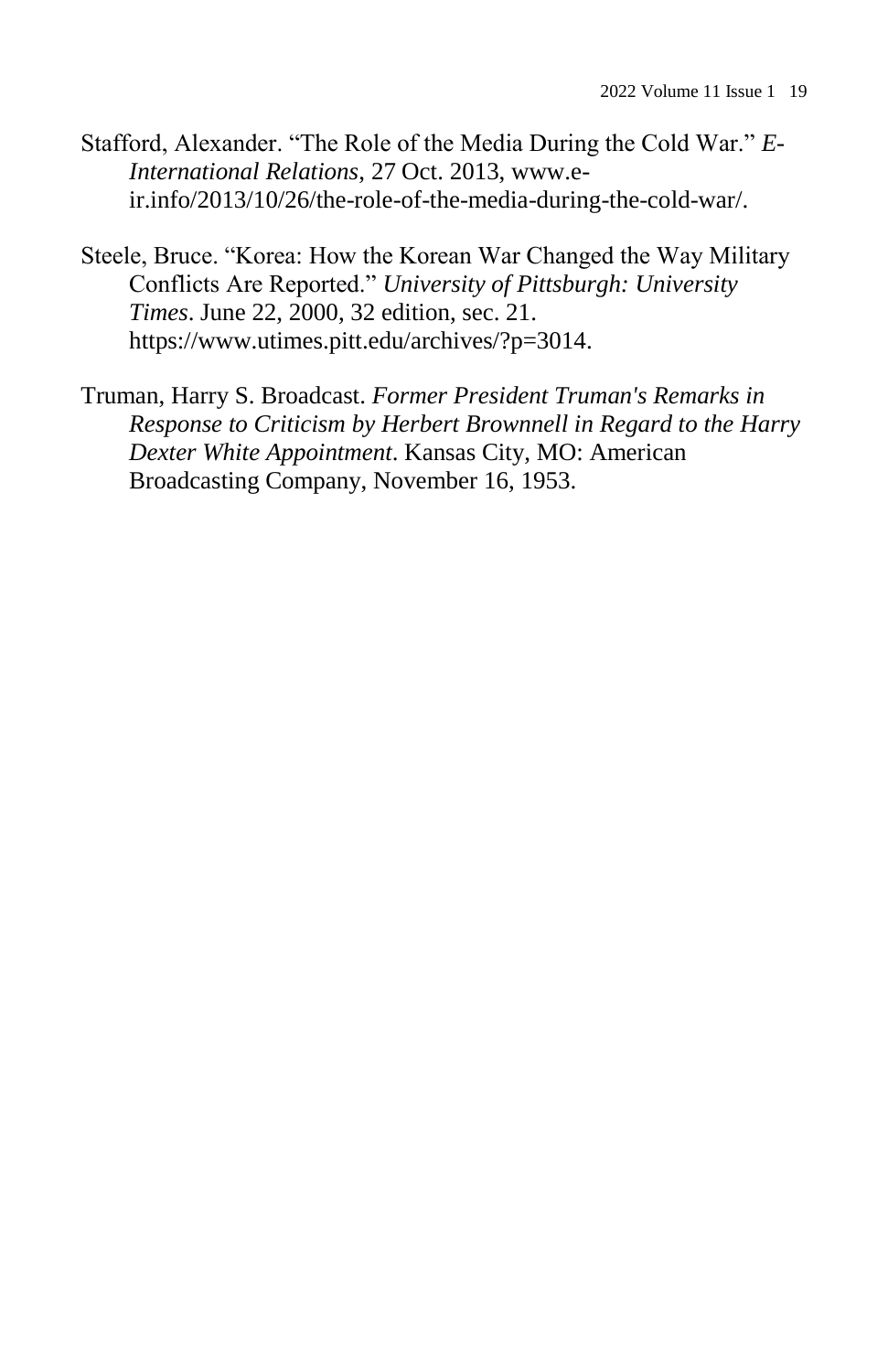- Stafford, Alexander. "The Role of the Media During the Cold War." *E-International Relations*, 27 Oct. 2013, www.eir.info/2013/10/26/the-role-of-the-media-during-the-cold-war/.
- Steele, Bruce. "Korea: How the Korean War Changed the Way Military Conflicts Are Reported." *University of Pittsburgh: University Times*. June 22, 2000, 32 edition, sec. 21. https://www.utimes.pitt.edu/archives/?p=3014.
- Truman, Harry S. Broadcast. *Former President Truman's Remarks in Response to Criticism by Herbert Brownnell in Regard to the Harry Dexter White Appointment*. Kansas City, MO: American Broadcasting Company, November 16, 1953.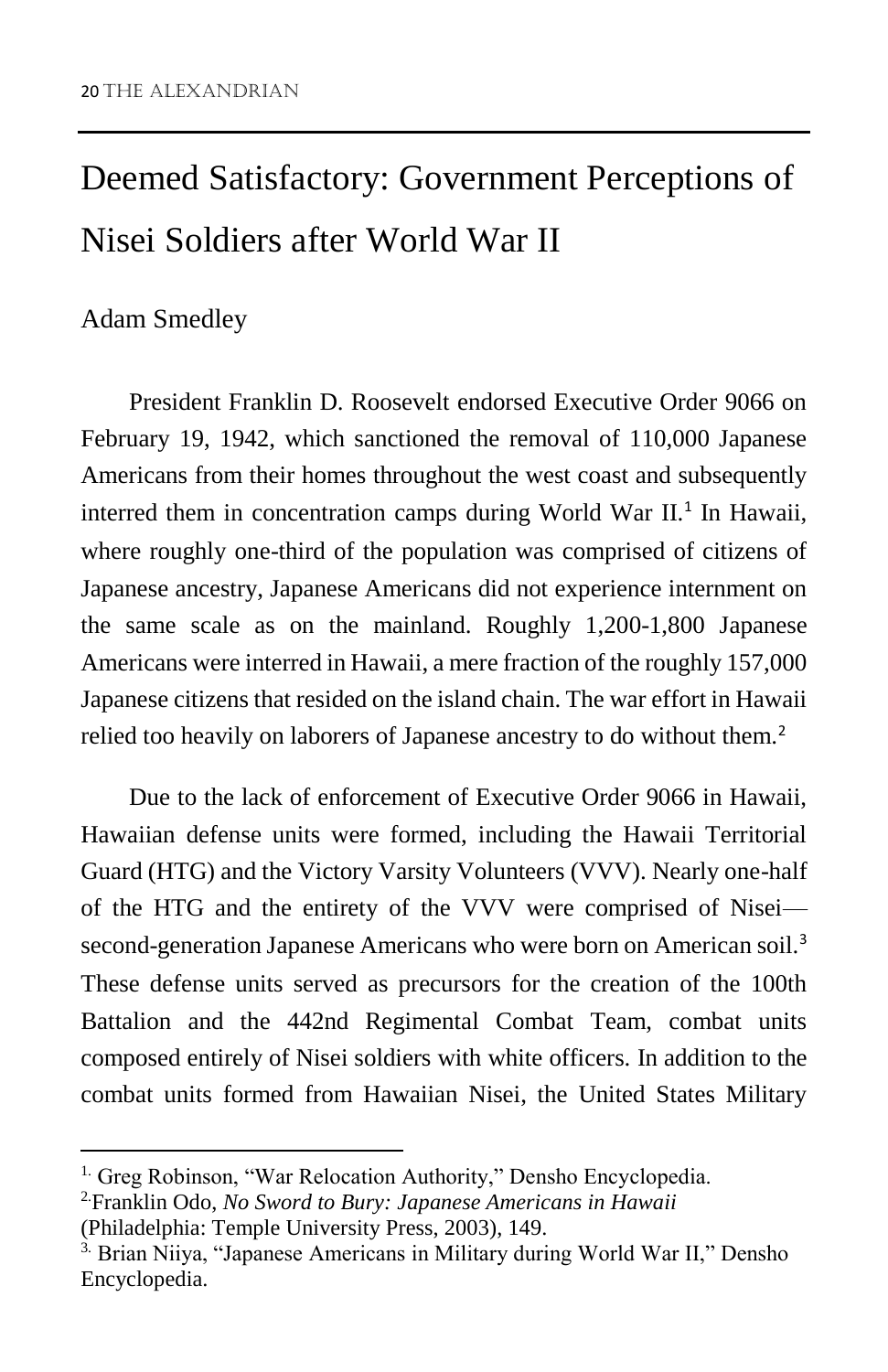# Deemed Satisfactory: Government Perceptions of Nisei Soldiers after World War II

#### Adam Smedley

l

President Franklin D. Roosevelt endorsed Executive Order 9066 on February 19, 1942, which sanctioned the removal of 110,000 Japanese Americans from their homes throughout the west coast and subsequently interred them in concentration camps during World War  $II<sup>1</sup>$  In Hawaii, where roughly one-third of the population was comprised of citizens of Japanese ancestry, Japanese Americans did not experience internment on the same scale as on the mainland. Roughly 1,200-1,800 Japanese Americans were interred in Hawaii, a mere fraction of the roughly 157,000 Japanese citizens that resided on the island chain. The war effort in Hawaii relied too heavily on laborers of Japanese ancestry to do without them.<sup>2</sup>

Due to the lack of enforcement of Executive Order 9066 in Hawaii, Hawaiian defense units were formed, including the Hawaii Territorial Guard (HTG) and the Victory Varsity Volunteers (VVV). Nearly one-half of the HTG and the entirety of the VVV were comprised of Nisei second-generation Japanese Americans who were born on American soil.<sup>3</sup> These defense units served as precursors for the creation of the 100th Battalion and the 442nd Regimental Combat Team, combat units composed entirely of Nisei soldiers with white officers. In addition to the combat units formed from Hawaiian Nisei, the United States Military

<sup>&</sup>lt;sup>1.</sup> Greg Robinson, "War Relocation Authority," Densho Encyclopedia.

<sup>2.</sup>Franklin Odo, *No Sword to Bury: Japanese Americans in Hawaii* (Philadelphia: Temple University Press, 2003), 149.

<sup>3.</sup> Brian Niiya, "Japanese Americans in Military during World War II," Densho Encyclopedia.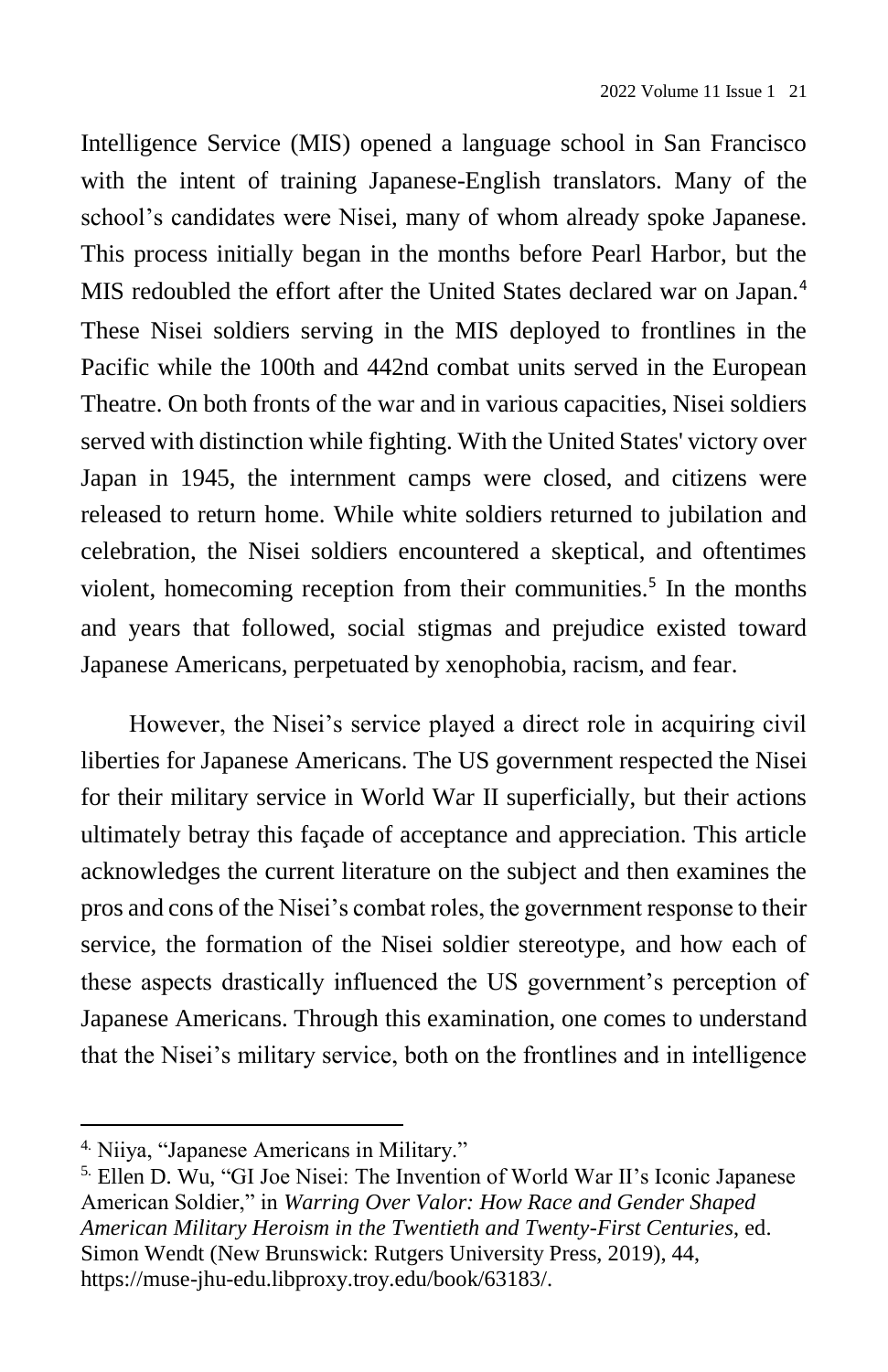Intelligence Service (MIS) opened a language school in San Francisco with the intent of training Japanese-English translators. Many of the school's candidates were Nisei, many of whom already spoke Japanese. This process initially began in the months before Pearl Harbor, but the MIS redoubled the effort after the United States declared war on Japan.<sup>4</sup> These Nisei soldiers serving in the MIS deployed to frontlines in the Pacific while the 100th and 442nd combat units served in the European Theatre. On both fronts of the war and in various capacities, Nisei soldiers served with distinction while fighting. With the United States' victory over Japan in 1945, the internment camps were closed, and citizens were released to return home. While white soldiers returned to jubilation and celebration, the Nisei soldiers encountered a skeptical, and oftentimes violent, homecoming reception from their communities.<sup>5</sup> In the months and years that followed, social stigmas and prejudice existed toward Japanese Americans, perpetuated by xenophobia, racism, and fear.

However, the Nisei's service played a direct role in acquiring civil liberties for Japanese Americans. The US government respected the Nisei for their military service in World War II superficially, but their actions ultimately betray this façade of acceptance and appreciation. This article acknowledges the current literature on the subject and then examines the pros and cons of the Nisei's combat roles, the government response to their service, the formation of the Nisei soldier stereotype, and how each of these aspects drastically influenced the US government's perception of Japanese Americans. Through this examination, one comes to understand that the Nisei's military service, both on the frontlines and in intelligence

<sup>4.</sup> Niiya, "Japanese Americans in Military."

<sup>5.</sup> Ellen D. Wu, "GI Joe Nisei: The Invention of World War II's Iconic Japanese American Soldier," in *Warring Over Valor: How Race and Gender Shaped American Military Heroism in the Twentieth and Twenty-First Centuries*, ed. Simon Wendt (New Brunswick: Rutgers University Press, 2019), 44, https://muse-jhu-edu.libproxy.troy.edu/book/63183/.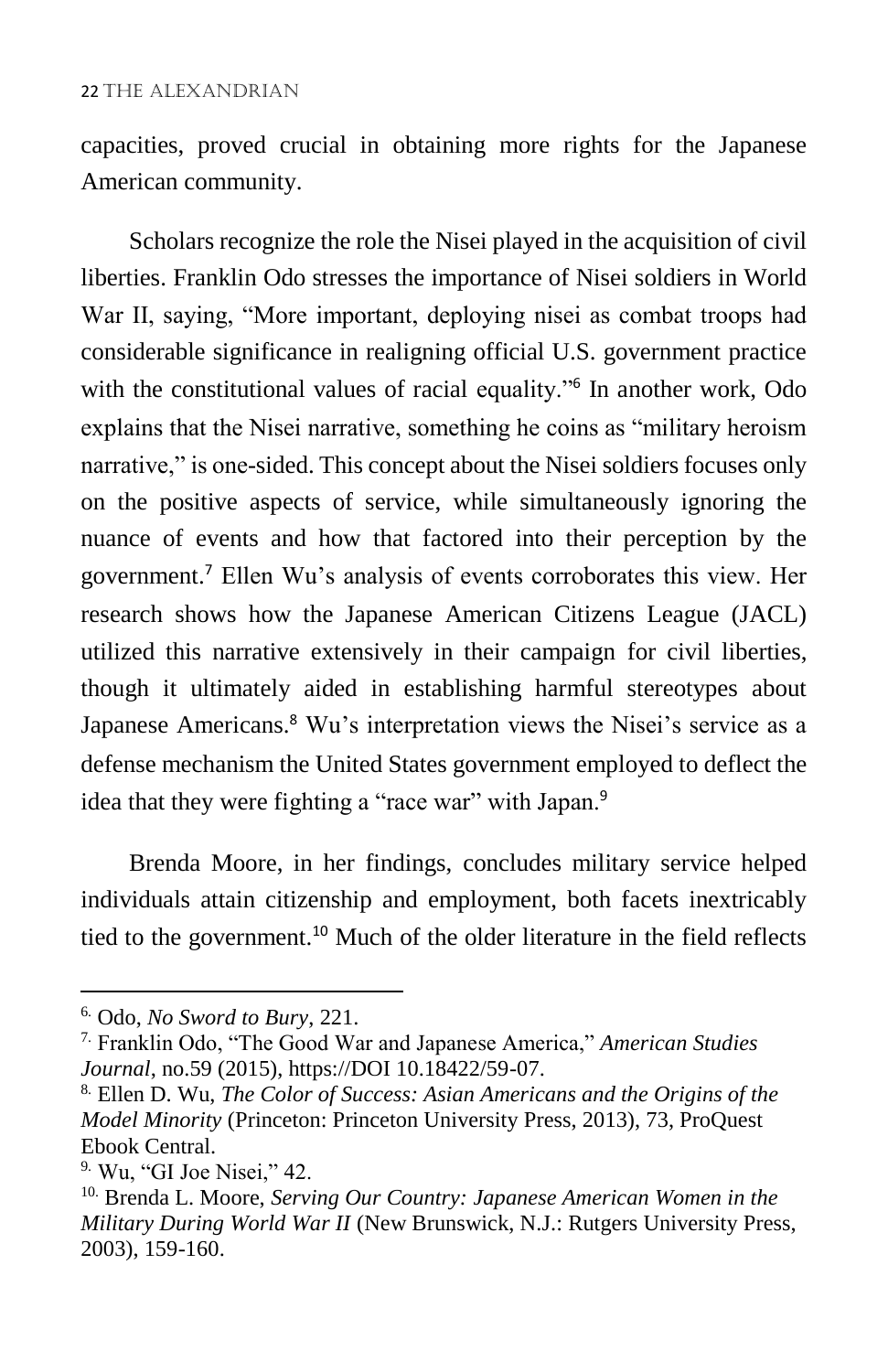capacities, proved crucial in obtaining more rights for the Japanese American community.

Scholars recognize the role the Nisei played in the acquisition of civil liberties. Franklin Odo stresses the importance of Nisei soldiers in World War II, saying, "More important, deploying nisei as combat troops had considerable significance in realigning official U.S. government practice with the constitutional values of racial equality."<sup>6</sup> In another work, Odo explains that the Nisei narrative, something he coins as "military heroism narrative," is one-sided. This concept about the Nisei soldiers focuses only on the positive aspects of service, while simultaneously ignoring the nuance of events and how that factored into their perception by the government.<sup>7</sup> Ellen Wu's analysis of events corroborates this view. Her research shows how the Japanese American Citizens League (JACL) utilized this narrative extensively in their campaign for civil liberties, though it ultimately aided in establishing harmful stereotypes about Japanese Americans.<sup>8</sup> Wu's interpretation views the Nisei's service as a defense mechanism the United States government employed to deflect the idea that they were fighting a "race war" with Japan.<sup>9</sup>

Brenda Moore, in her findings, concludes military service helped individuals attain citizenship and employment, both facets inextricably tied to the government.<sup>10</sup> Much of the older literature in the field reflects

 $\overline{a}$ 

<sup>6.</sup> Odo, *No Sword to Bury*, 221.

<sup>7.</sup> Franklin Odo, "The Good War and Japanese America," *American Studies Journal*, no.59 (2015), https://DOI 10.18422/59-07.

<sup>8.</sup> Ellen D. Wu, *The Color of Success: Asian Americans and the Origins of the Model Minority* (Princeton: Princeton University Press, 2013), 73, ProQuest Ebook Central.

<sup>9.</sup> Wu, "GI Joe Nisei," 42.

<sup>10.</sup> Brenda L. Moore, *Serving Our Country: Japanese American Women in the Military During World War II* (New Brunswick, N.J.: Rutgers University Press, 2003), 159-160.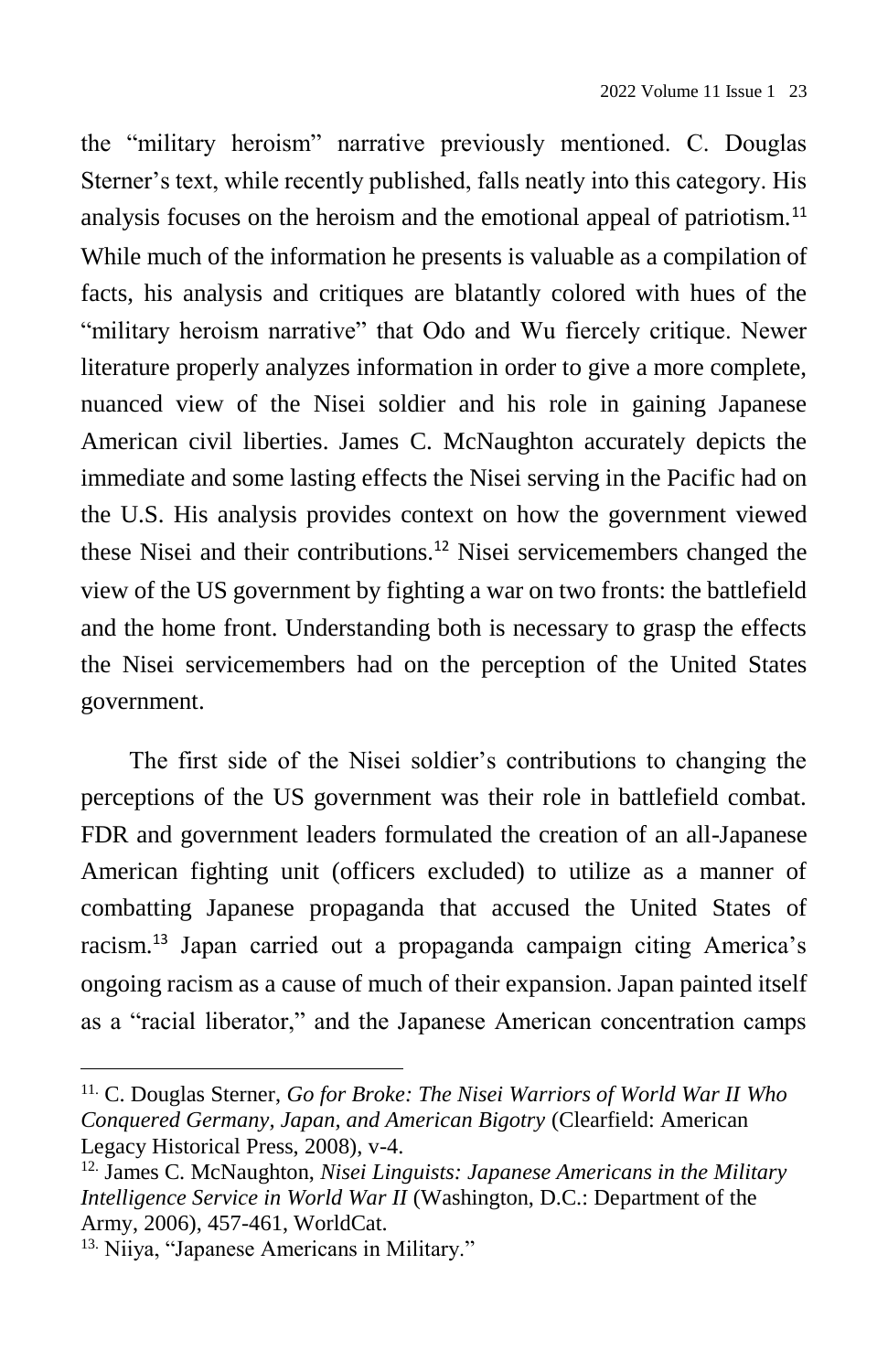the "military heroism" narrative previously mentioned. C. Douglas Sterner's text, while recently published, falls neatly into this category. His analysis focuses on the heroism and the emotional appeal of patriotism.<sup>11</sup> While much of the information he presents is valuable as a compilation of facts, his analysis and critiques are blatantly colored with hues of the "military heroism narrative" that Odo and Wu fiercely critique. Newer literature properly analyzes information in order to give a more complete, nuanced view of the Nisei soldier and his role in gaining Japanese American civil liberties. James C. McNaughton accurately depicts the immediate and some lasting effects the Nisei serving in the Pacific had on the U.S. His analysis provides context on how the government viewed these Nisei and their contributions.<sup>12</sup> Nisei servicemembers changed the view of the US government by fighting a war on two fronts: the battlefield and the home front. Understanding both is necessary to grasp the effects the Nisei servicemembers had on the perception of the United States government.

The first side of the Nisei soldier's contributions to changing the perceptions of the US government was their role in battlefield combat. FDR and government leaders formulated the creation of an all-Japanese American fighting unit (officers excluded) to utilize as a manner of combatting Japanese propaganda that accused the United States of racism.<sup>13</sup> Japan carried out a propaganda campaign citing America's ongoing racism as a cause of much of their expansion. Japan painted itself as a "racial liberator," and the Japanese American concentration camps

 $\overline{a}$ 

<sup>11.</sup> C. Douglas Sterner, *Go for Broke: The Nisei Warriors of World War II Who Conquered Germany, Japan, and American Bigotry* (Clearfield: American Legacy Historical Press, 2008), v-4.

<sup>12.</sup> James C. McNaughton, *Nisei Linguists: Japanese Americans in the Military Intelligence Service in World War II* (Washington, D.C.: Department of the Army, 2006), 457-461, WorldCat.

<sup>13.</sup> Niiya, "Japanese Americans in Military."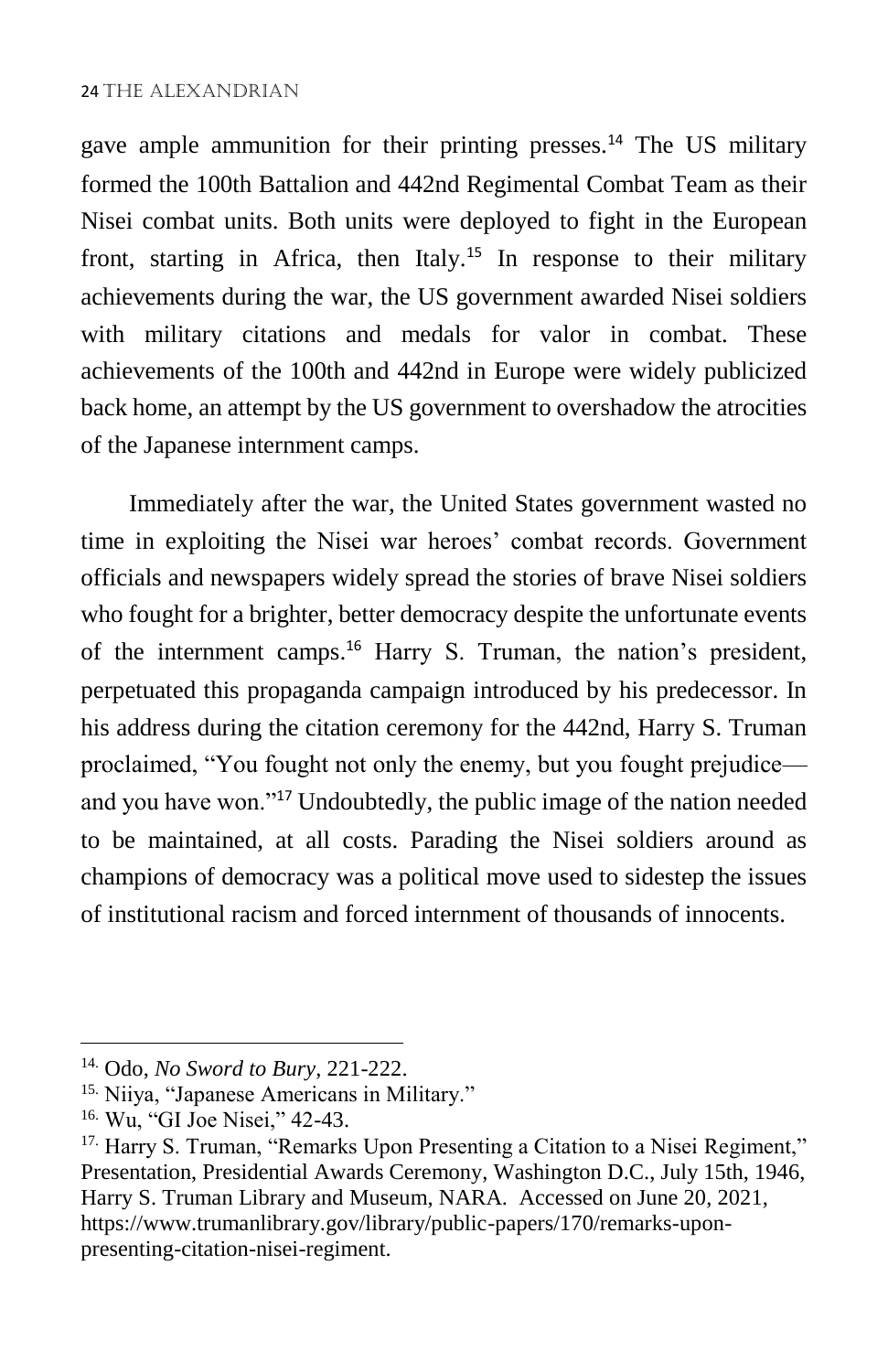gave ample ammunition for their printing presses.<sup>14</sup> The US military formed the 100th Battalion and 442nd Regimental Combat Team as their Nisei combat units. Both units were deployed to fight in the European front, starting in Africa, then Italy.<sup>15</sup> In response to their military achievements during the war, the US government awarded Nisei soldiers with military citations and medals for valor in combat. These achievements of the 100th and 442nd in Europe were widely publicized back home, an attempt by the US government to overshadow the atrocities of the Japanese internment camps.

Immediately after the war, the United States government wasted no time in exploiting the Nisei war heroes' combat records. Government officials and newspapers widely spread the stories of brave Nisei soldiers who fought for a brighter, better democracy despite the unfortunate events of the internment camps.<sup>16</sup> Harry S. Truman, the nation's president, perpetuated this propaganda campaign introduced by his predecessor. In his address during the citation ceremony for the 442nd, Harry S. Truman proclaimed, "You fought not only the enemy, but you fought prejudice and you have won."<sup>17</sup> Undoubtedly, the public image of the nation needed to be maintained, at all costs. Parading the Nisei soldiers around as champions of democracy was a political move used to sidestep the issues of institutional racism and forced internment of thousands of innocents.

<sup>14.</sup> Odo, *No Sword to Bury*, 221-222.

<sup>15.</sup> Niiya, "Japanese Americans in Military."

<sup>16.</sup> Wu, "GI Joe Nisei," 42-43.

<sup>&</sup>lt;sup>17.</sup> Harry S. Truman, "Remarks Upon Presenting a Citation to a Nisei Regiment," Presentation, Presidential Awards Ceremony, Washington D.C., July 15th, 1946, Harry S. Truman Library and Museum, NARA. Accessed on June 20, 2021, https://www.trumanlibrary.gov/library/public-papers/170/remarks-uponpresenting-citation-nisei-regiment.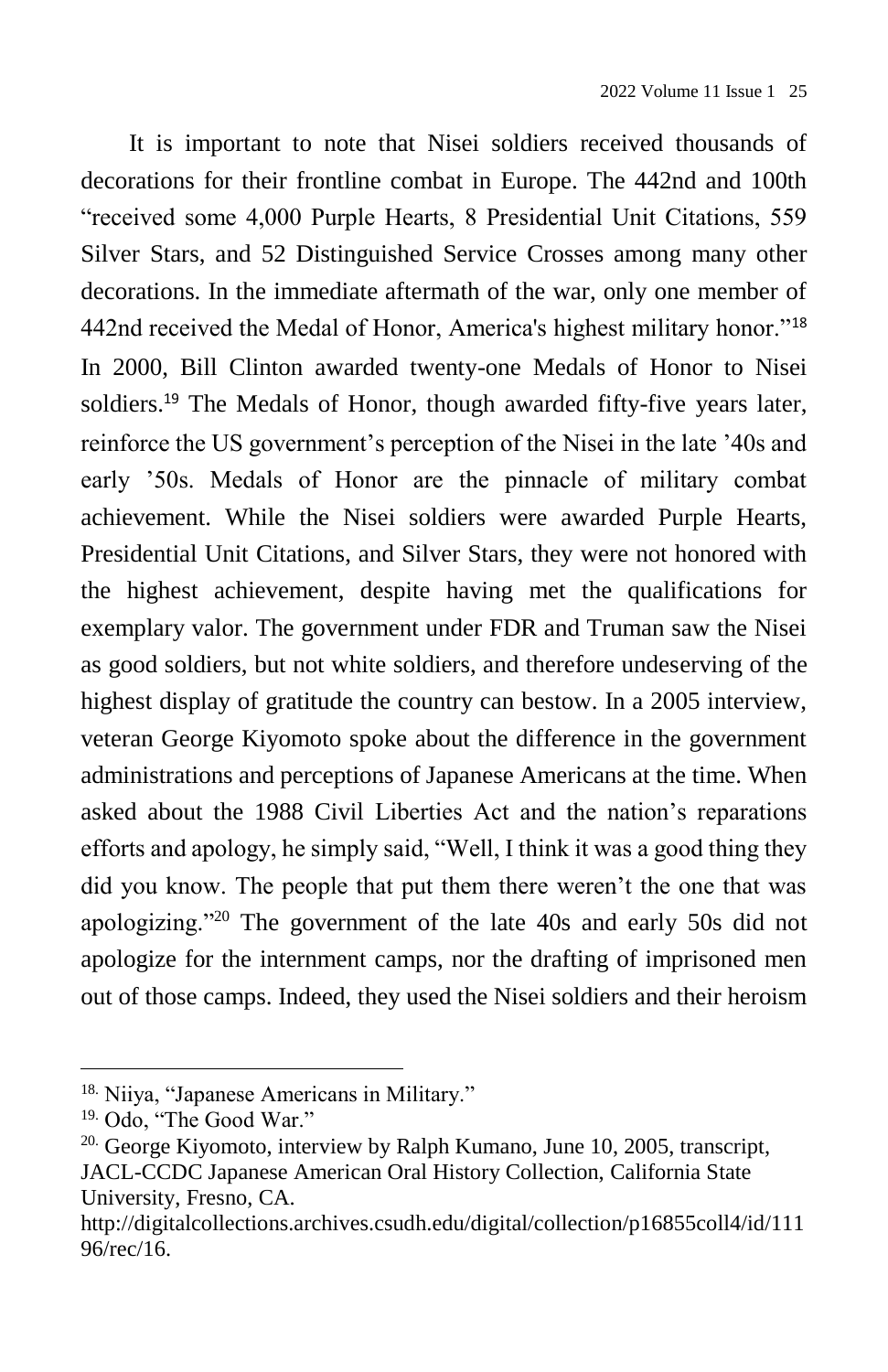It is important to note that Nisei soldiers received thousands of decorations for their frontline combat in Europe. The 442nd and 100th "received some 4,000 Purple Hearts, 8 Presidential Unit Citations, 559 Silver Stars, and 52 Distinguished Service Crosses among many other decorations. In the immediate aftermath of the war, only one member of 442nd received the Medal of Honor, America's highest military honor."<sup>18</sup> In 2000, Bill Clinton awarded twenty-one Medals of Honor to Nisei soldiers.<sup>19</sup> The Medals of Honor, though awarded fifty-five years later, reinforce the US government's perception of the Nisei in the late '40s and early '50s. Medals of Honor are the pinnacle of military combat achievement. While the Nisei soldiers were awarded Purple Hearts, Presidential Unit Citations, and Silver Stars, they were not honored with the highest achievement, despite having met the qualifications for exemplary valor. The government under FDR and Truman saw the Nisei as good soldiers, but not white soldiers, and therefore undeserving of the highest display of gratitude the country can bestow. In a 2005 interview, veteran George Kiyomoto spoke about the difference in the government administrations and perceptions of Japanese Americans at the time. When asked about the 1988 Civil Liberties Act and the nation's reparations efforts and apology, he simply said, "Well, I think it was a good thing they did you know. The people that put them there weren't the one that was apologizing."<sup>20</sup> The government of the late 40s and early 50s did not apologize for the internment camps, nor the drafting of imprisoned men out of those camps. Indeed, they used the Nisei soldiers and their heroism

 $\overline{a}$ 

<sup>18.</sup> Niiya, "Japanese Americans in Military."

<sup>19.</sup> Odo, "The Good War."

<sup>20.</sup> George Kiyomoto, interview by Ralph Kumano, June 10, 2005, transcript, JACL-CCDC Japanese American Oral History Collection, California State University, Fresno, CA.

http://digitalcollections.archives.csudh.edu/digital/collection/p16855coll4/id/111 96/rec/16.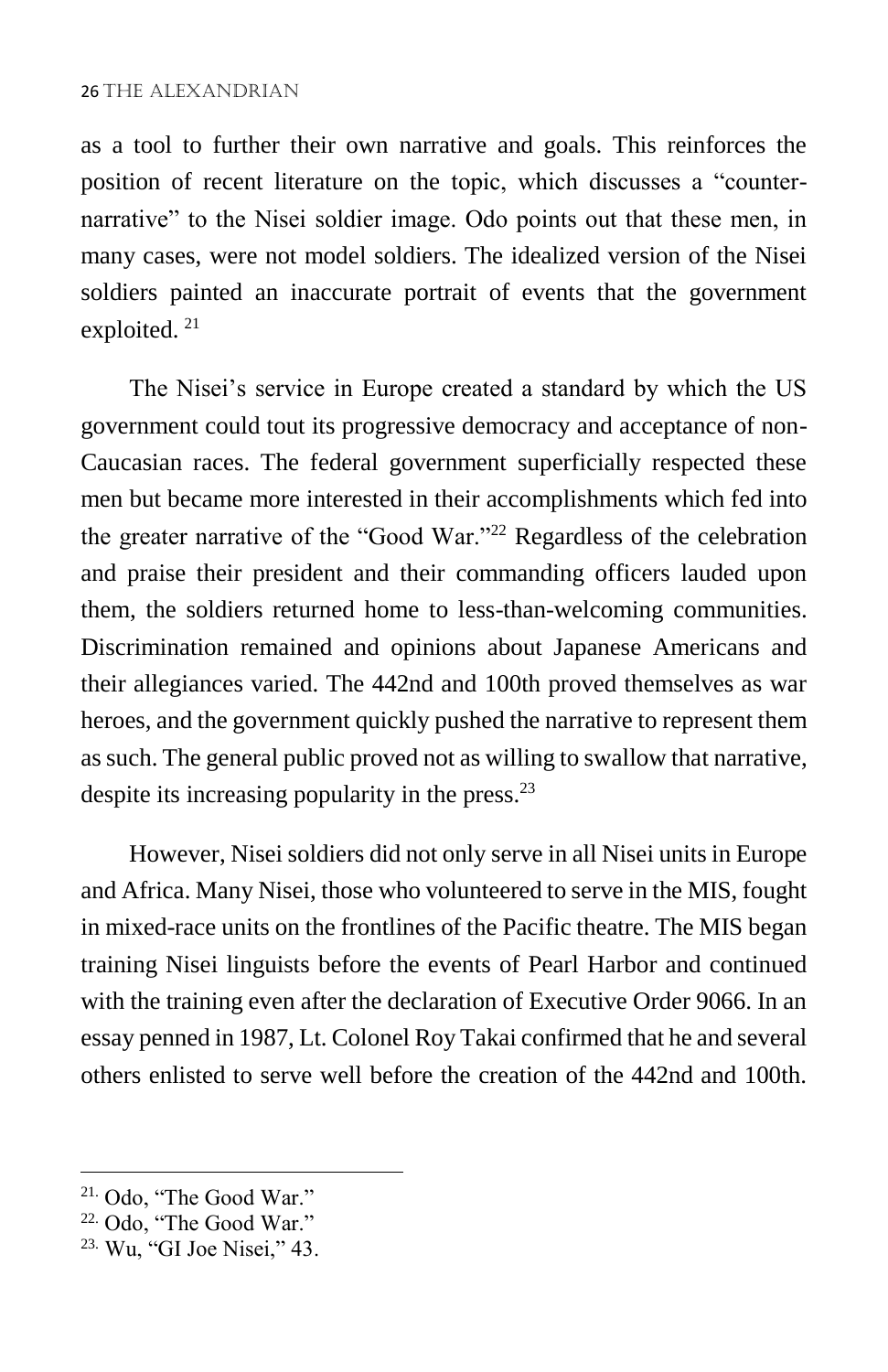as a tool to further their own narrative and goals. This reinforces the position of recent literature on the topic, which discusses a "counternarrative" to the Nisei soldier image. Odo points out that these men, in many cases, were not model soldiers. The idealized version of the Nisei soldiers painted an inaccurate portrait of events that the government exploited.<sup>21</sup>

The Nisei's service in Europe created a standard by which the US government could tout its progressive democracy and acceptance of non-Caucasian races. The federal government superficially respected these men but became more interested in their accomplishments which fed into the greater narrative of the "Good War."<sup>22</sup> Regardless of the celebration and praise their president and their commanding officers lauded upon them, the soldiers returned home to less-than-welcoming communities. Discrimination remained and opinions about Japanese Americans and their allegiances varied. The 442nd and 100th proved themselves as war heroes, and the government quickly pushed the narrative to represent them as such. The general public proved not as willing to swallow that narrative, despite its increasing popularity in the press. $^{23}$ 

However, Nisei soldiers did not only serve in all Nisei units in Europe and Africa. Many Nisei, those who volunteered to serve in the MIS, fought in mixed-race units on the frontlines of the Pacific theatre. The MIS began training Nisei linguists before the events of Pearl Harbor and continued with the training even after the declaration of Executive Order 9066. In an essay penned in 1987, Lt. Colonel Roy Takai confirmed that he and several others enlisted to serve well before the creation of the 442nd and 100th.

<sup>21.</sup> Odo, "The Good War."

<sup>22.</sup> Odo, "The Good War."

<sup>23.</sup> Wu, "GI Joe Nisei," 43.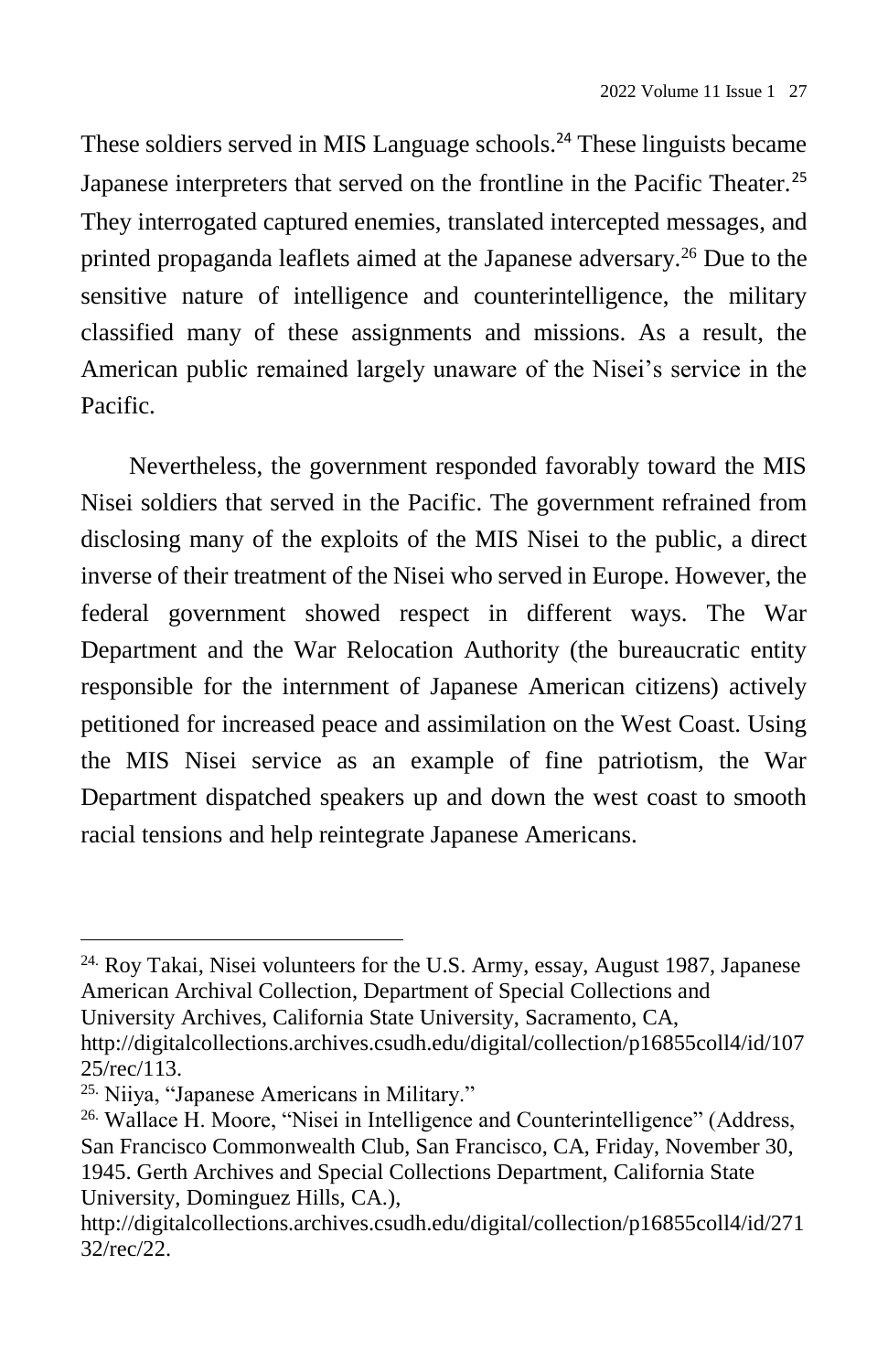These soldiers served in MIS Language schools.<sup>24</sup> These linguists became Japanese interpreters that served on the frontline in the Pacific Theater.<sup>25</sup> They interrogated captured enemies, translated intercepted messages, and printed propaganda leaflets aimed at the Japanese adversary.<sup>26</sup> Due to the sensitive nature of intelligence and counterintelligence, the military classified many of these assignments and missions. As a result, the American public remained largely unaware of the Nisei's service in the Pacific.

Nevertheless, the government responded favorably toward the MIS Nisei soldiers that served in the Pacific. The government refrained from disclosing many of the exploits of the MIS Nisei to the public, a direct inverse of their treatment of the Nisei who served in Europe. However, the federal government showed respect in different ways. The War Department and the War Relocation Authority (the bureaucratic entity responsible for the internment of Japanese American citizens) actively petitioned for increased peace and assimilation on the West Coast. Using the MIS Nisei service as an example of fine patriotism, the War Department dispatched speakers up and down the west coast to smooth racial tensions and help reintegrate Japanese Americans.

<sup>24.</sup> Roy Takai, Nisei volunteers for the U.S. Army, essay, August 1987, Japanese American Archival Collection, Department of Special Collections and

University Archives, California State University, Sacramento, CA,

http://digitalcollections.archives.csudh.edu/digital/collection/p16855coll4/id/107 25/rec/113.

<sup>25.</sup> Niiya, "Japanese Americans in Military."

<sup>26.</sup> Wallace H. Moore, "Nisei in Intelligence and Counterintelligence" (Address, San Francisco Commonwealth Club, San Francisco, CA, Friday, November 30, 1945. Gerth Archives and Special Collections Department, California State University, Dominguez Hills, CA.),

http://digitalcollections.archives.csudh.edu/digital/collection/p16855coll4/id/271 32/rec/22.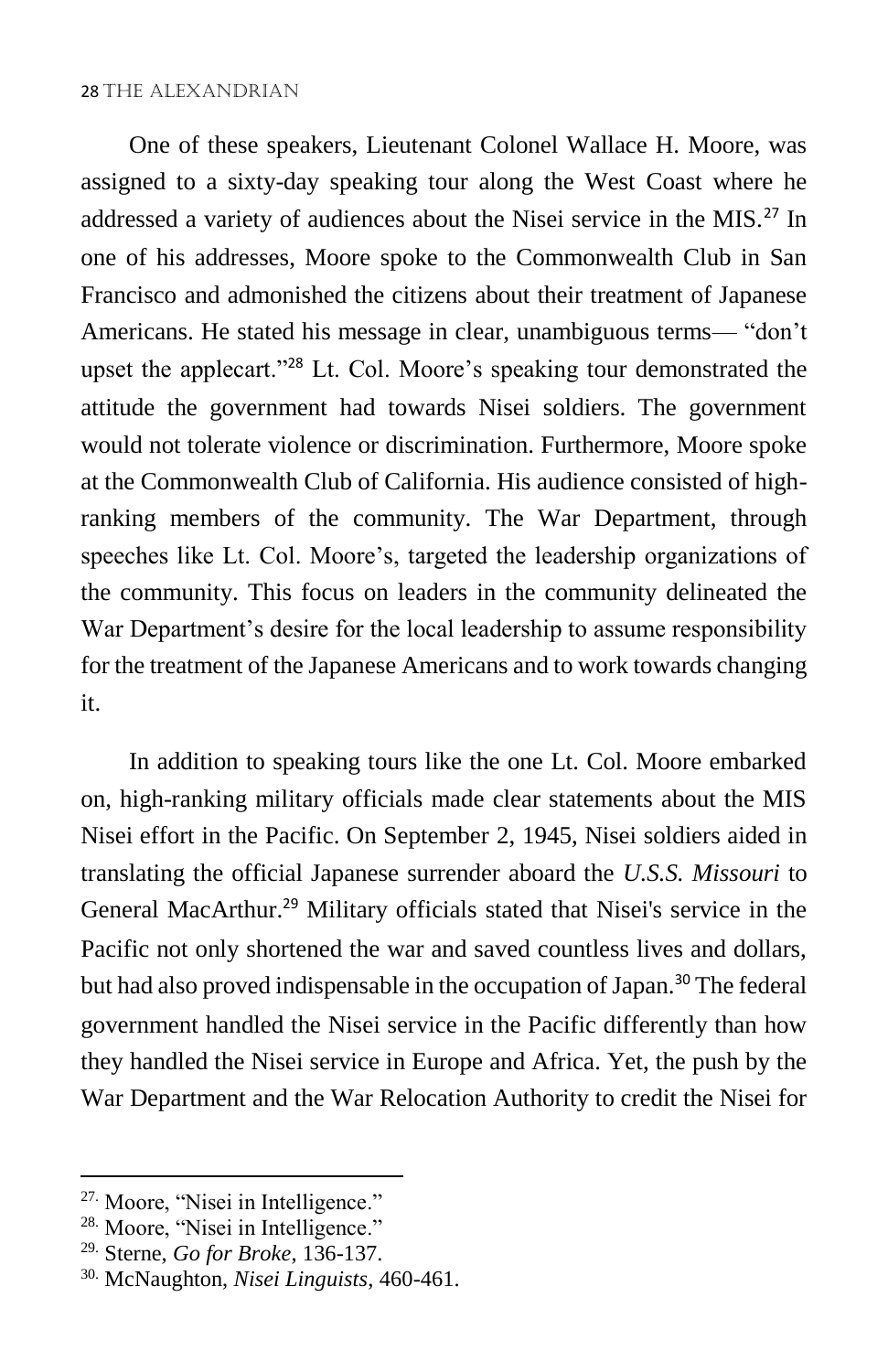One of these speakers, Lieutenant Colonel Wallace H. Moore, was assigned to a sixty-day speaking tour along the West Coast where he addressed a variety of audiences about the Nisei service in the MIS.<sup>27</sup> In one of his addresses, Moore spoke to the Commonwealth Club in San Francisco and admonished the citizens about their treatment of Japanese Americans. He stated his message in clear, unambiguous terms— "don't upset the applecart."<sup>28</sup> Lt. Col. Moore's speaking tour demonstrated the attitude the government had towards Nisei soldiers. The government would not tolerate violence or discrimination. Furthermore, Moore spoke at the Commonwealth Club of California. His audience consisted of highranking members of the community. The War Department, through speeches like Lt. Col. Moore's, targeted the leadership organizations of the community. This focus on leaders in the community delineated the War Department's desire for the local leadership to assume responsibility for the treatment of the Japanese Americans and to work towards changing it.

In addition to speaking tours like the one Lt. Col. Moore embarked on, high-ranking military officials made clear statements about the MIS Nisei effort in the Pacific. On September 2, 1945, Nisei soldiers aided in translating the official Japanese surrender aboard the *U.S.S. Missouri* to General MacArthur.<sup>29</sup> Military officials stated that Nisei's service in the Pacific not only shortened the war and saved countless lives and dollars, but had also proved indispensable in the occupation of Japan.<sup>30</sup> The federal government handled the Nisei service in the Pacific differently than how they handled the Nisei service in Europe and Africa. Yet, the push by the War Department and the War Relocation Authority to credit the Nisei for

 $\overline{a}$ 

<sup>27.</sup> Moore, "Nisei in Intelligence."

<sup>28.</sup> Moore, "Nisei in Intelligence."

<sup>29.</sup> Sterne, *Go for Broke*, 136-137.

<sup>30.</sup> McNaughton, *Nisei Linguists*, 460-461.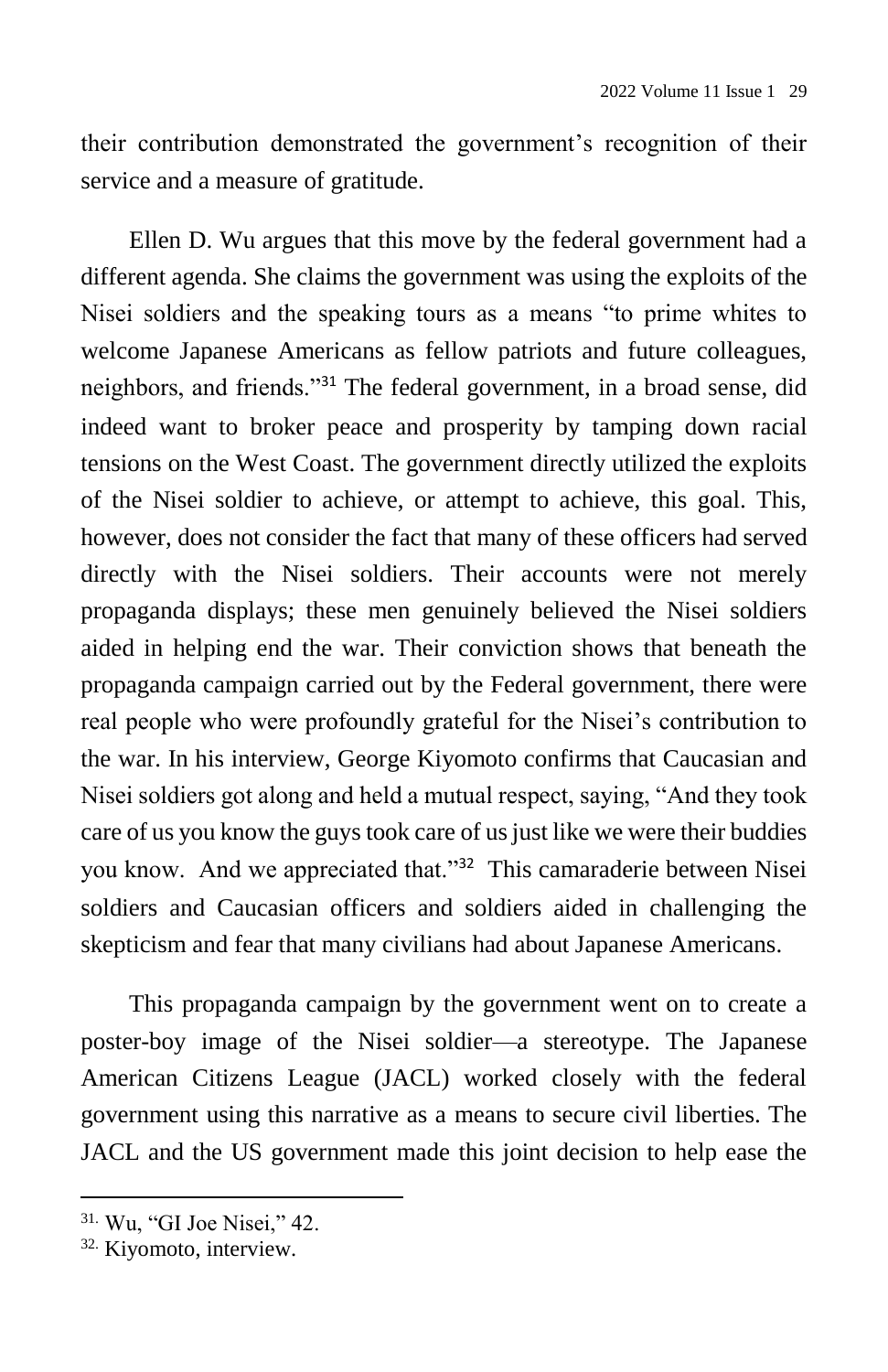their contribution demonstrated the government's recognition of their service and a measure of gratitude.

Ellen D. Wu argues that this move by the federal government had a different agenda. She claims the government was using the exploits of the Nisei soldiers and the speaking tours as a means "to prime whites to welcome Japanese Americans as fellow patriots and future colleagues, neighbors, and friends."<sup>31</sup> The federal government, in a broad sense, did indeed want to broker peace and prosperity by tamping down racial tensions on the West Coast. The government directly utilized the exploits of the Nisei soldier to achieve, or attempt to achieve, this goal. This, however, does not consider the fact that many of these officers had served directly with the Nisei soldiers. Their accounts were not merely propaganda displays; these men genuinely believed the Nisei soldiers aided in helping end the war. Their conviction shows that beneath the propaganda campaign carried out by the Federal government, there were real people who were profoundly grateful for the Nisei's contribution to the war. In his interview, George Kiyomoto confirms that Caucasian and Nisei soldiers got along and held a mutual respect, saying, "And they took care of us you know the guys took care of us just like we were their buddies you know. And we appreciated that."<sup>32</sup> This camaraderie between Nisei soldiers and Caucasian officers and soldiers aided in challenging the skepticism and fear that many civilians had about Japanese Americans.

This propaganda campaign by the government went on to create a poster-boy image of the Nisei soldier—a stereotype. The Japanese American Citizens League (JACL) worked closely with the federal government using this narrative as a means to secure civil liberties. The JACL and the US government made this joint decision to help ease the

l

<sup>31.</sup> Wu, "GI Joe Nisei," 42.

<sup>32.</sup> Kiyomoto, interview.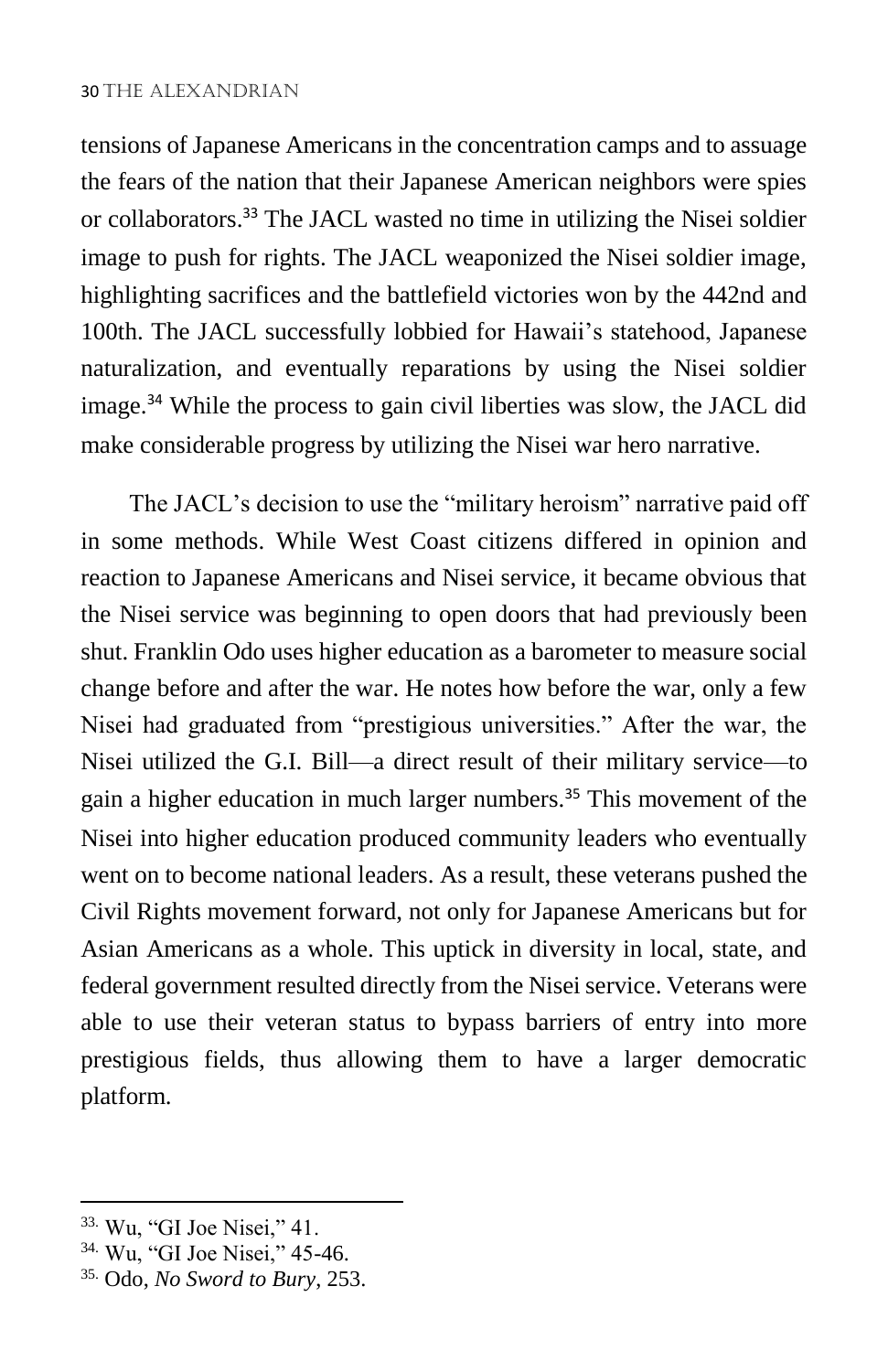tensions of Japanese Americans in the concentration camps and to assuage the fears of the nation that their Japanese American neighbors were spies or collaborators.<sup>33</sup> The JACL wasted no time in utilizing the Nisei soldier image to push for rights. The JACL weaponized the Nisei soldier image, highlighting sacrifices and the battlefield victories won by the 442nd and 100th. The JACL successfully lobbied for Hawaii's statehood, Japanese naturalization, and eventually reparations by using the Nisei soldier image.<sup>34</sup> While the process to gain civil liberties was slow, the JACL did make considerable progress by utilizing the Nisei war hero narrative.

The JACL's decision to use the "military heroism" narrative paid off in some methods. While West Coast citizens differed in opinion and reaction to Japanese Americans and Nisei service, it became obvious that the Nisei service was beginning to open doors that had previously been shut. Franklin Odo uses higher education as a barometer to measure social change before and after the war. He notes how before the war, only a few Nisei had graduated from "prestigious universities." After the war, the Nisei utilized the G.I. Bill—a direct result of their military service—to gain a higher education in much larger numbers.<sup>35</sup> This movement of the Nisei into higher education produced community leaders who eventually went on to become national leaders. As a result, these veterans pushed the Civil Rights movement forward, not only for Japanese Americans but for Asian Americans as a whole. This uptick in diversity in local, state, and federal government resulted directly from the Nisei service. Veterans were able to use their veteran status to bypass barriers of entry into more prestigious fields, thus allowing them to have a larger democratic platform.

<sup>33.</sup> Wu, "GI Joe Nisei," 41.

<sup>34.</sup> Wu, "GI Joe Nisei," 45-46.

<sup>35.</sup> Odo, *No Sword to Bury*, 253.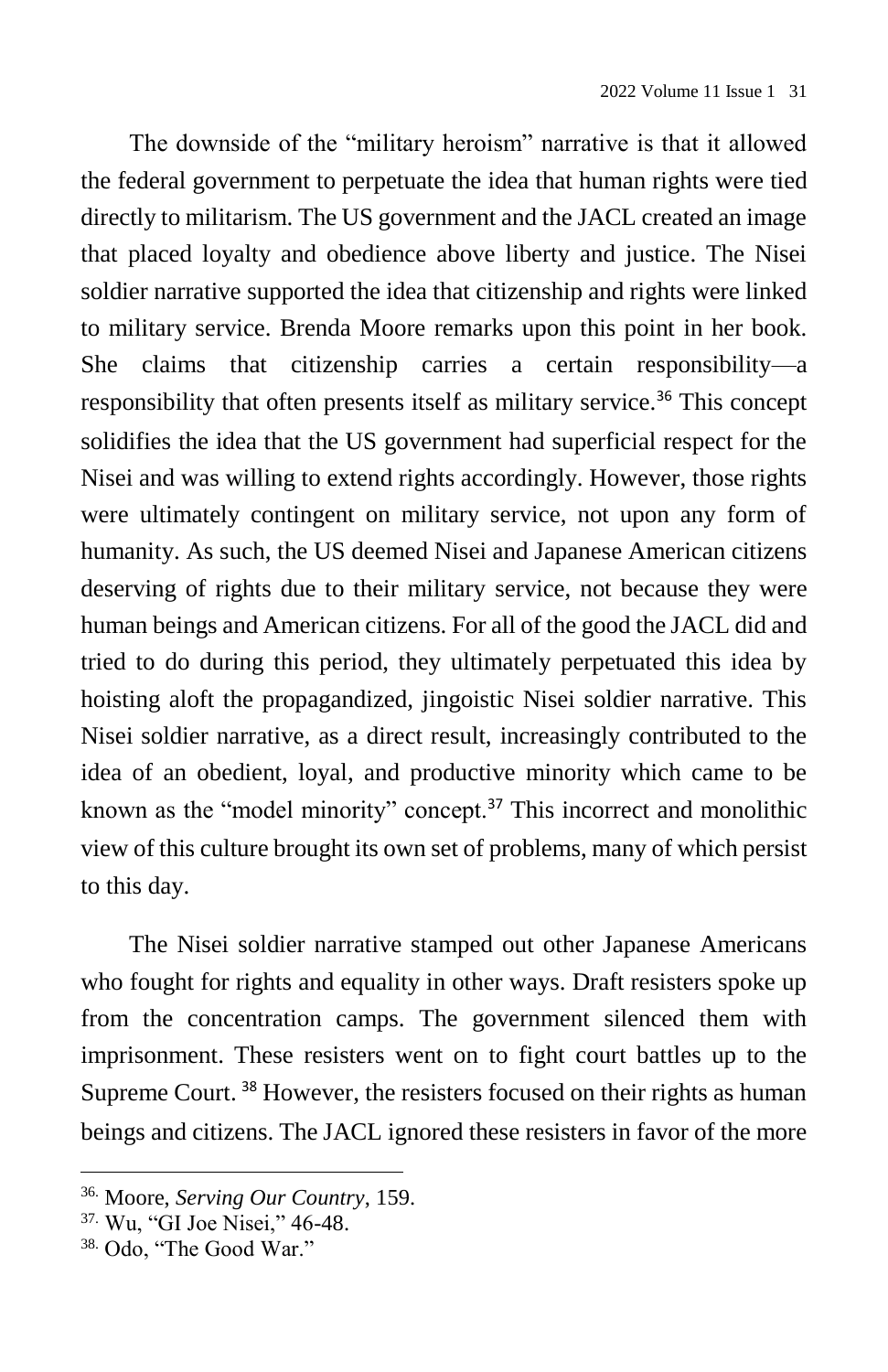The downside of the "military heroism" narrative is that it allowed the federal government to perpetuate the idea that human rights were tied directly to militarism. The US government and the JACL created an image that placed loyalty and obedience above liberty and justice. The Nisei soldier narrative supported the idea that citizenship and rights were linked to military service. Brenda Moore remarks upon this point in her book. She claims that citizenship carries a certain responsibility—a responsibility that often presents itself as military service.<sup>36</sup> This concept solidifies the idea that the US government had superficial respect for the Nisei and was willing to extend rights accordingly. However, those rights were ultimately contingent on military service, not upon any form of humanity. As such, the US deemed Nisei and Japanese American citizens deserving of rights due to their military service, not because they were human beings and American citizens. For all of the good the JACL did and tried to do during this period, they ultimately perpetuated this idea by hoisting aloft the propagandized, jingoistic Nisei soldier narrative. This Nisei soldier narrative, as a direct result, increasingly contributed to the idea of an obedient, loyal, and productive minority which came to be known as the "model minority" concept.<sup>37</sup> This incorrect and monolithic view of this culture brought its own set of problems, many of which persist to this day.

The Nisei soldier narrative stamped out other Japanese Americans who fought for rights and equality in other ways. Draft resisters spoke up from the concentration camps. The government silenced them with imprisonment. These resisters went on to fight court battles up to the Supreme Court. <sup>38</sup> However, the resisters focused on their rights as human beings and citizens. The JACL ignored these resisters in favor of the more

<sup>36.</sup> Moore, *Serving Our Country*, 159.

<sup>37.</sup> Wu, "GI Joe Nisei," 46-48.

<sup>38.</sup> Odo, "The Good War."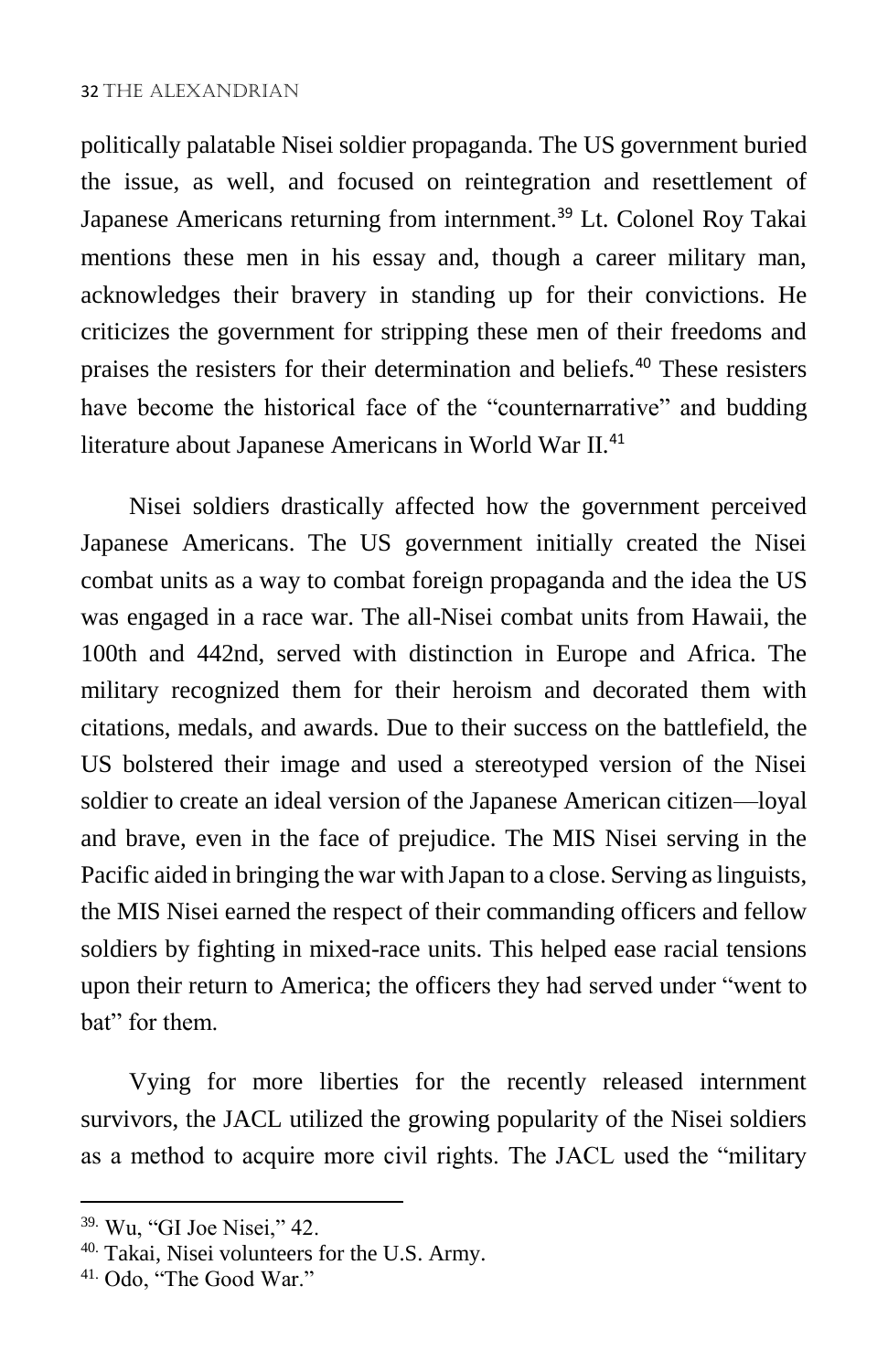politically palatable Nisei soldier propaganda. The US government buried the issue, as well, and focused on reintegration and resettlement of Japanese Americans returning from internment.<sup>39</sup> Lt. Colonel Roy Takai mentions these men in his essay and, though a career military man, acknowledges their bravery in standing up for their convictions. He criticizes the government for stripping these men of their freedoms and praises the resisters for their determination and beliefs.<sup>40</sup> These resisters have become the historical face of the "counternarrative" and budding literature about Japanese Americans in World War II.<sup>41</sup>

Nisei soldiers drastically affected how the government perceived Japanese Americans. The US government initially created the Nisei combat units as a way to combat foreign propaganda and the idea the US was engaged in a race war. The all-Nisei combat units from Hawaii, the 100th and 442nd, served with distinction in Europe and Africa. The military recognized them for their heroism and decorated them with citations, medals, and awards. Due to their success on the battlefield, the US bolstered their image and used a stereotyped version of the Nisei soldier to create an ideal version of the Japanese American citizen—loyal and brave, even in the face of prejudice. The MIS Nisei serving in the Pacific aided in bringing the war with Japan to a close. Serving as linguists, the MIS Nisei earned the respect of their commanding officers and fellow soldiers by fighting in mixed-race units. This helped ease racial tensions upon their return to America; the officers they had served under "went to bat" for them.

Vying for more liberties for the recently released internment survivors, the JACL utilized the growing popularity of the Nisei soldiers as a method to acquire more civil rights. The JACL used the "military

<sup>39.</sup> Wu, "GI Joe Nisei," 42.

<sup>40.</sup> Takai, Nisei volunteers for the U.S. Army.

<sup>41.</sup> Odo, "The Good War."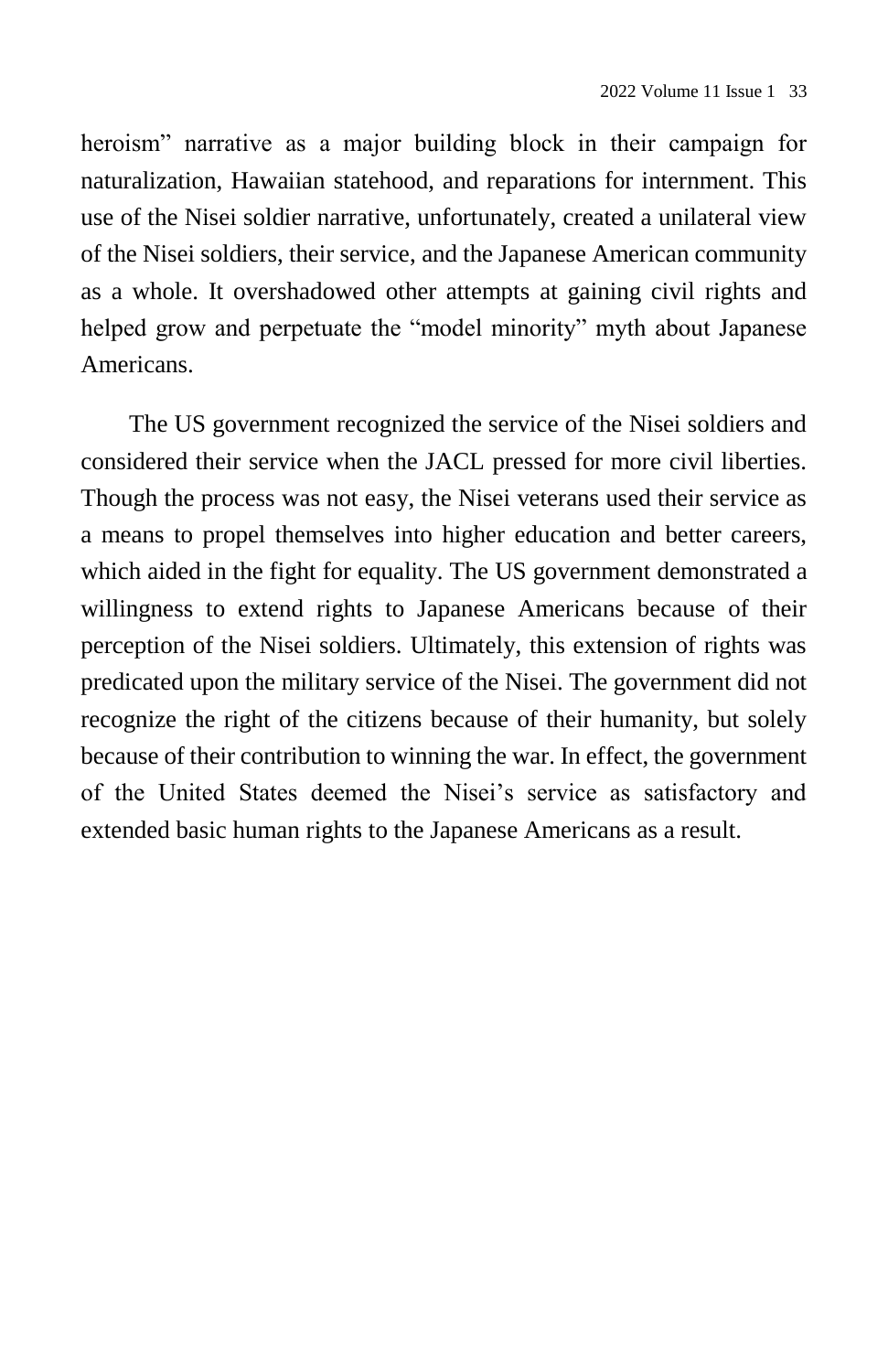heroism" narrative as a major building block in their campaign for naturalization, Hawaiian statehood, and reparations for internment. This use of the Nisei soldier narrative, unfortunately, created a unilateral view of the Nisei soldiers, their service, and the Japanese American community as a whole. It overshadowed other attempts at gaining civil rights and helped grow and perpetuate the "model minority" myth about Japanese Americans.

The US government recognized the service of the Nisei soldiers and considered their service when the JACL pressed for more civil liberties. Though the process was not easy, the Nisei veterans used their service as a means to propel themselves into higher education and better careers, which aided in the fight for equality. The US government demonstrated a willingness to extend rights to Japanese Americans because of their perception of the Nisei soldiers. Ultimately, this extension of rights was predicated upon the military service of the Nisei. The government did not recognize the right of the citizens because of their humanity, but solely because of their contribution to winning the war. In effect, the government of the United States deemed the Nisei's service as satisfactory and extended basic human rights to the Japanese Americans as a result.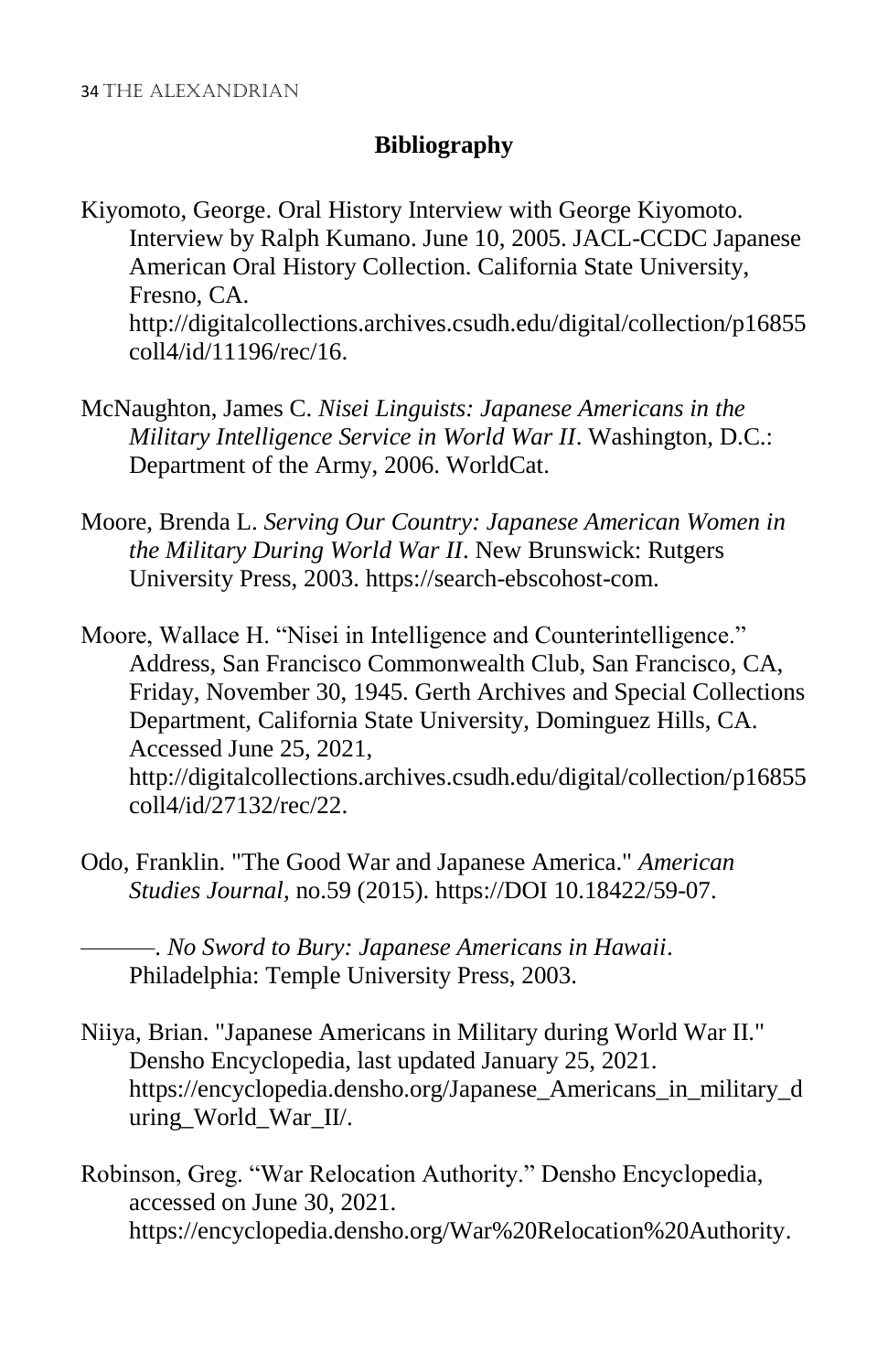#### **Bibliography**

- Kiyomoto, George. Oral History Interview with George Kiyomoto. Interview by Ralph Kumano. June 10, 2005. JACL-CCDC Japanese American Oral History Collection. California State University, Fresno, CA. http://digitalcollections.archives.csudh.edu/digital/collection/p16855 coll4/id/11196/rec/16.
- McNaughton, James C. *Nisei Linguists: Japanese Americans in the Military Intelligence Service in World War II*. Washington, D.C.: Department of the Army, 2006. WorldCat.
- Moore, Brenda L. *Serving Our Country: Japanese American Women in the Military During World War II*. New Brunswick: Rutgers University Press, 2003. https://search-ebscohost-com.
- Moore, Wallace H. "Nisei in Intelligence and Counterintelligence." Address, San Francisco Commonwealth Club, San Francisco, CA, Friday, November 30, 1945. Gerth Archives and Special Collections Department, California State University, Dominguez Hills, CA. Accessed June 25, 2021, http://digitalcollections.archives.csudh.edu/digital/collection/p16855 coll4/id/27132/rec/22.
- Odo, Franklin. "The Good War and Japanese America." *American Studies Journal*, no.59 (2015). https://DOI 10.18422/59-07.

———. *No Sword to Bury: Japanese Americans in Hawaii*. Philadelphia: Temple University Press, 2003.

- Niiya, Brian. "Japanese Americans in Military during World War II." Densho Encyclopedia, last updated January 25, 2021. https://encyclopedia.densho.org/Japanese\_Americans\_in\_military\_d uring\_World\_War\_II/.
- Robinson, Greg. "War Relocation Authority." Densho Encyclopedia, accessed on June 30, 2021. https://encyclopedia.densho.org/War%20Relocation%20Authority.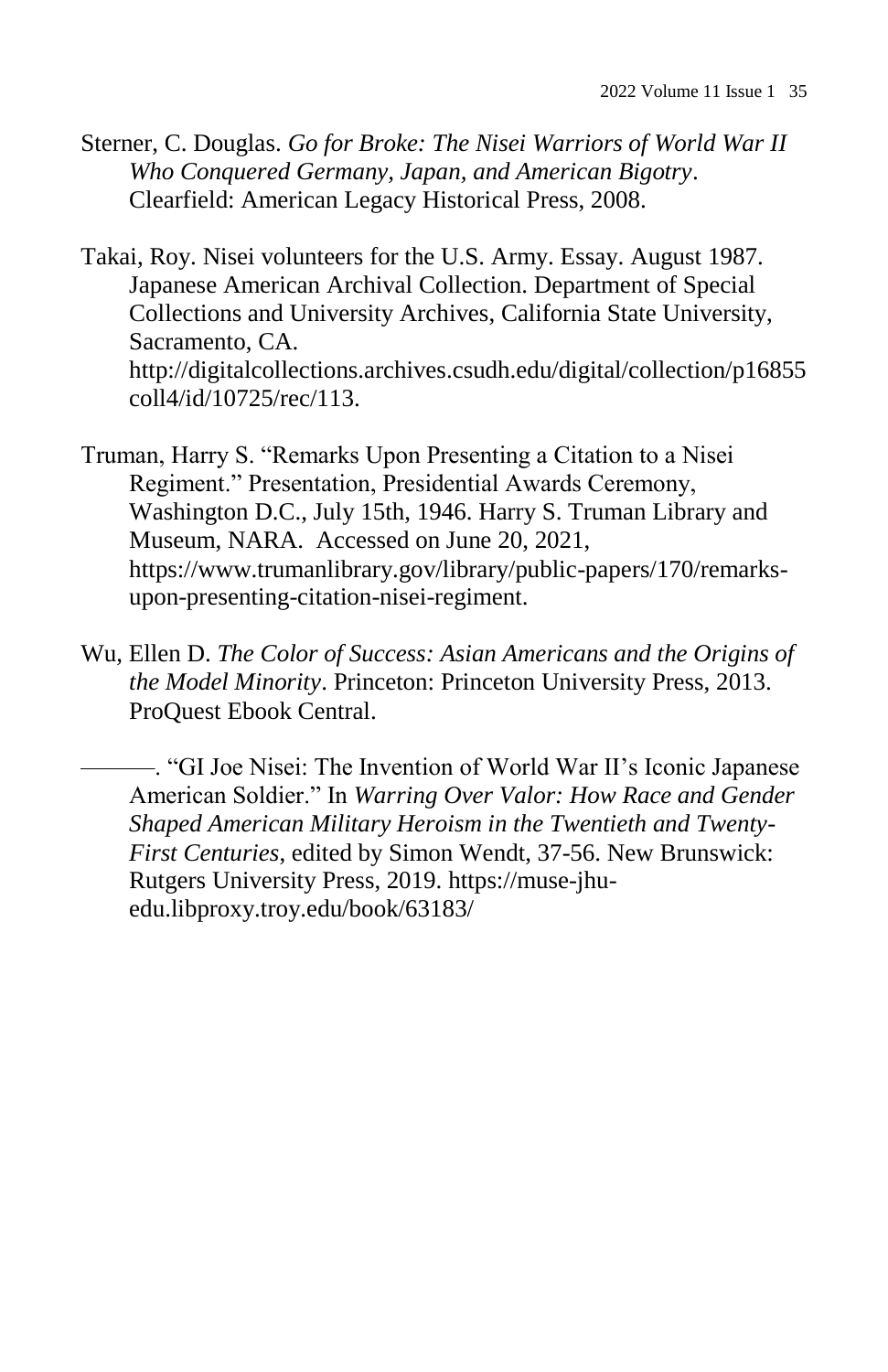- Sterner, C. Douglas. *Go for Broke: The Nisei Warriors of World War II Who Conquered Germany, Japan, and American Bigotry*. Clearfield: American Legacy Historical Press, 2008.
- Takai, Roy. Nisei volunteers for the U.S. Army. Essay. August 1987. Japanese American Archival Collection. Department of Special Collections and University Archives, California State University, Sacramento, CA. http://digitalcollections.archives.csudh.edu/digital/collection/p16855 coll4/id/10725/rec/113.
- Truman, Harry S. "Remarks Upon Presenting a Citation to a Nisei Regiment." Presentation, Presidential Awards Ceremony, Washington D.C., July 15th, 1946. Harry S. Truman Library and Museum, NARA. Accessed on June 20, 2021, https://www.trumanlibrary.gov/library/public-papers/170/remarksupon-presenting-citation-nisei-regiment.
- Wu, Ellen D. *The Color of Success: Asian Americans and the Origins of the Model Minority*. Princeton: Princeton University Press, 2013. ProQuest Ebook Central.
	- ———. "GI Joe Nisei: The Invention of World War II's Iconic Japanese American Soldier." In *Warring Over Valor: How Race and Gender Shaped American Military Heroism in the Twentieth and Twenty-First Centuries*, edited by Simon Wendt, 37-56. New Brunswick: Rutgers University Press, 2019. https://muse-jhuedu.libproxy.troy.edu/book/63183/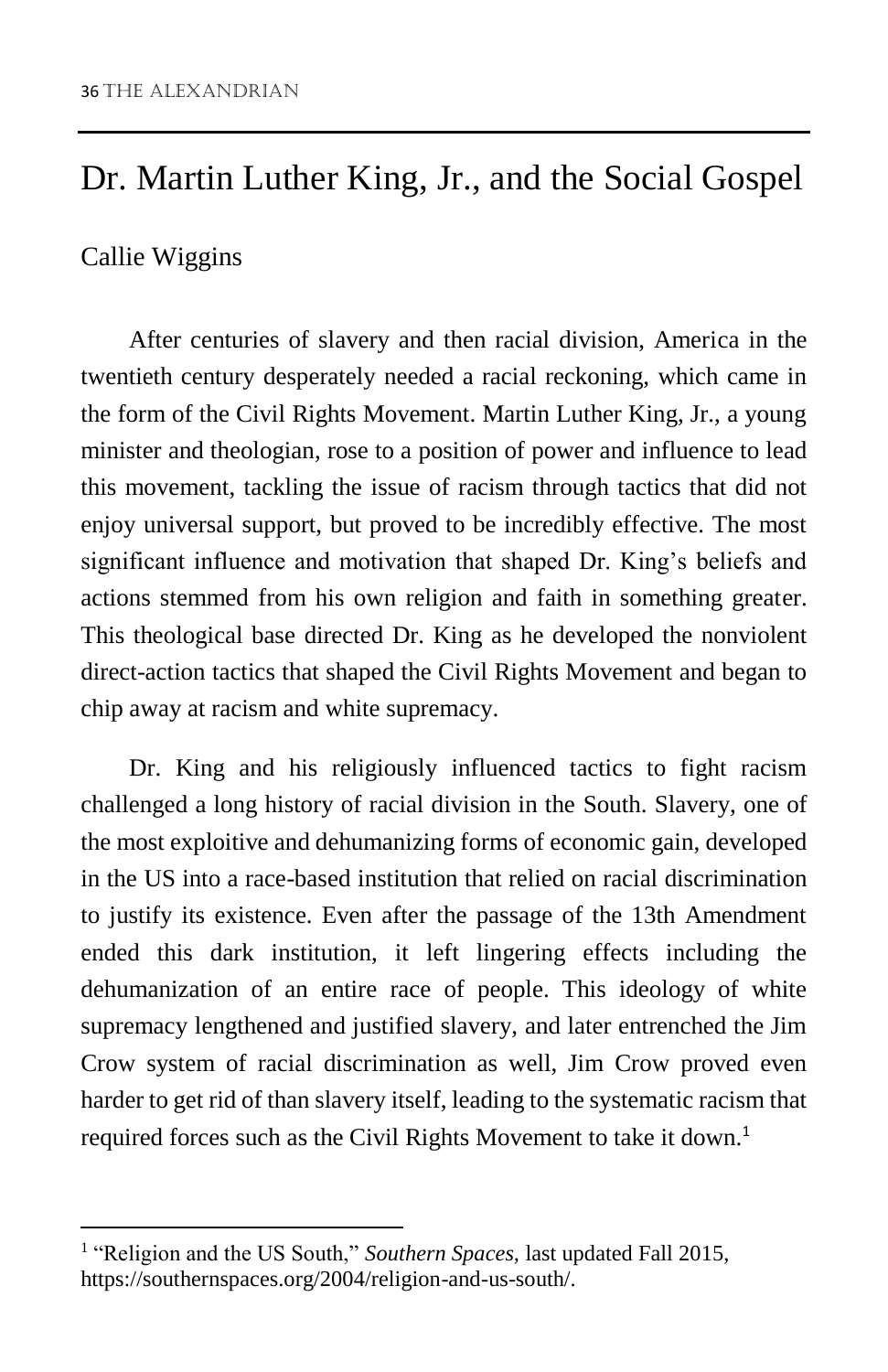## Dr. Martin Luther King, Jr., and the Social Gospel

### Callie Wiggins

 $\overline{a}$ 

After centuries of slavery and then racial division, America in the twentieth century desperately needed a racial reckoning, which came in the form of the Civil Rights Movement. Martin Luther King, Jr., a young minister and theologian, rose to a position of power and influence to lead this movement, tackling the issue of racism through tactics that did not enjoy universal support, but proved to be incredibly effective. The most significant influence and motivation that shaped Dr. King's beliefs and actions stemmed from his own religion and faith in something greater. This theological base directed Dr. King as he developed the nonviolent direct-action tactics that shaped the Civil Rights Movement and began to chip away at racism and white supremacy.

Dr. King and his religiously influenced tactics to fight racism challenged a long history of racial division in the South. Slavery, one of the most exploitive and dehumanizing forms of economic gain, developed in the US into a race-based institution that relied on racial discrimination to justify its existence. Even after the passage of the 13th Amendment ended this dark institution, it left lingering effects including the dehumanization of an entire race of people. This ideology of white supremacy lengthened and justified slavery, and later entrenched the Jim Crow system of racial discrimination as well, Jim Crow proved even harder to get rid of than slavery itself, leading to the systematic racism that required forces such as the Civil Rights Movement to take it down.<sup>1</sup>

<sup>&</sup>lt;sup>1</sup> "Religion and the US South," *Southern Spaces*, last updated Fall 2015, https://southernspaces.org/2004/religion-and-us-south/.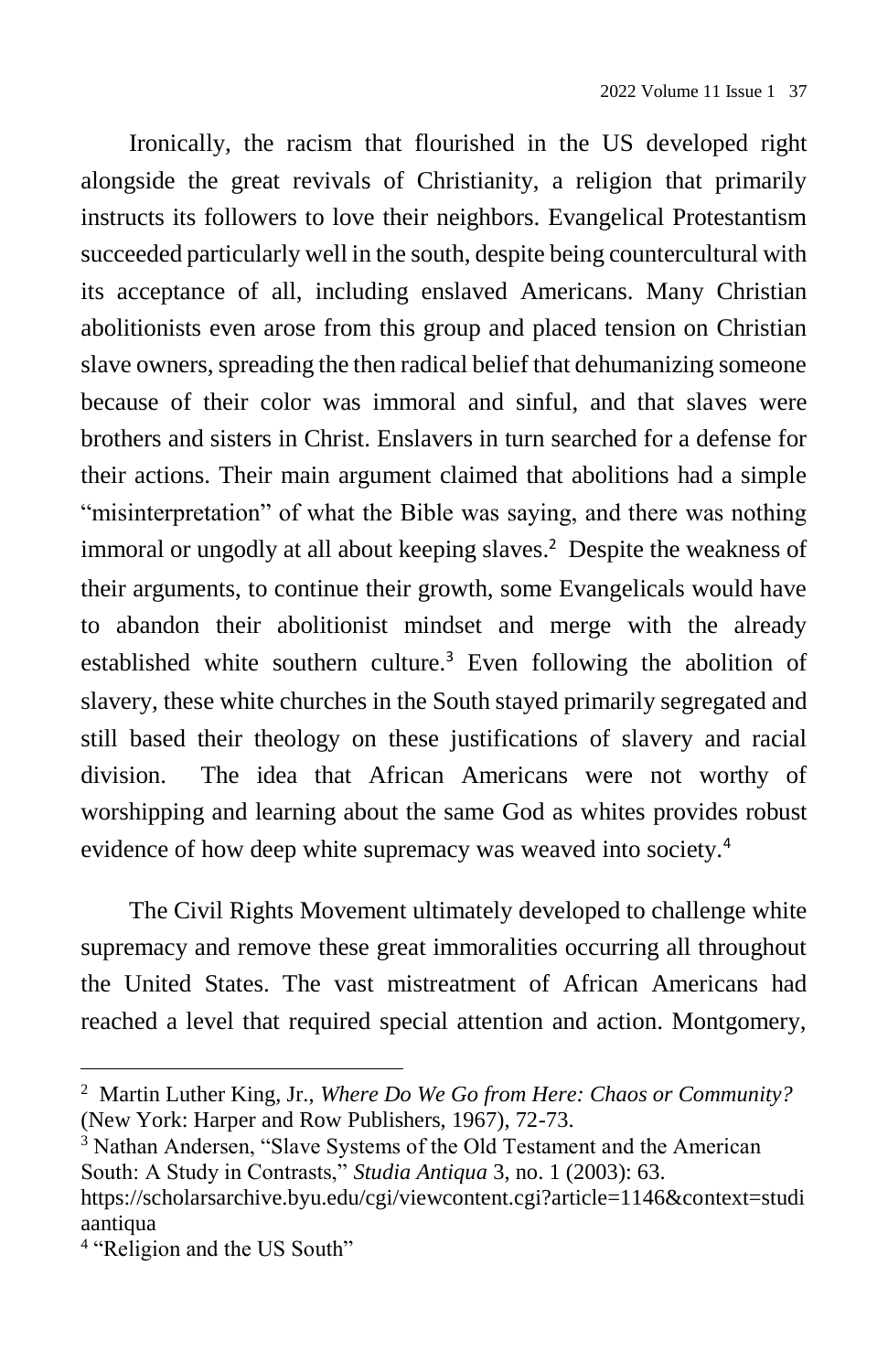Ironically, the racism that flourished in the US developed right alongside the great revivals of Christianity, a religion that primarily instructs its followers to love their neighbors. Evangelical Protestantism succeeded particularly well in the south, despite being countercultural with its acceptance of all, including enslaved Americans. Many Christian abolitionists even arose from this group and placed tension on Christian slave owners, spreading the then radical belief that dehumanizing someone because of their color was immoral and sinful, and that slaves were brothers and sisters in Christ. Enslavers in turn searched for a defense for their actions. Their main argument claimed that abolitions had a simple "misinterpretation" of what the Bible was saying, and there was nothing immoral or ungodly at all about keeping slaves.<sup>2</sup> Despite the weakness of their arguments, to continue their growth, some Evangelicals would have to abandon their abolitionist mindset and merge with the already established white southern culture.<sup>3</sup> Even following the abolition of slavery, these white churches in the South stayed primarily segregated and still based their theology on these justifications of slavery and racial division. The idea that African Americans were not worthy of worshipping and learning about the same God as whites provides robust evidence of how deep white supremacy was weaved into society.<sup>4</sup>

The Civil Rights Movement ultimately developed to challenge white supremacy and remove these great immoralities occurring all throughout the United States. The vast mistreatment of African Americans had reached a level that required special attention and action. Montgomery,

 $\overline{a}$ 

<sup>2</sup> Martin Luther King, Jr., *Where Do We Go from Here: Chaos or Community?*  (New York: Harper and Row Publishers, 1967), 72-73.

<sup>&</sup>lt;sup>3</sup> Nathan Andersen, "Slave Systems of the Old Testament and the American South: A Study in Contrasts," *Studia Antiqua* 3, no. 1 (2003): 63. https://scholarsarchive.byu.edu/cgi/viewcontent.cgi?article=1146&context=studi aantiqua

<sup>&</sup>lt;sup>4</sup> "Religion and the US South"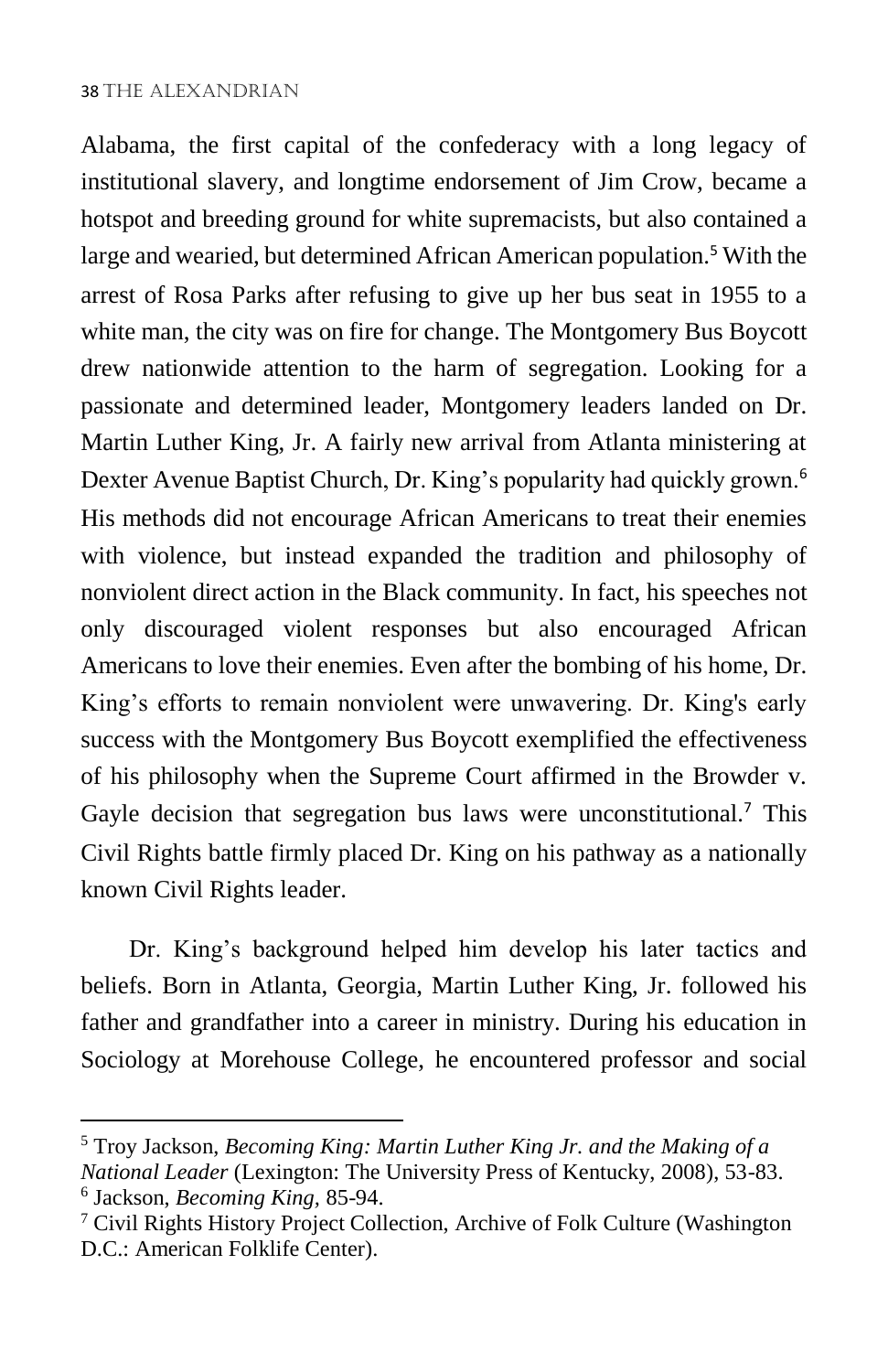#### 38 The Alexandrian

 $\overline{\phantom{a}}$ 

Alabama, the first capital of the confederacy with a long legacy of institutional slavery, and longtime endorsement of Jim Crow, became a hotspot and breeding ground for white supremacists, but also contained a large and wearied, but determined African American population.<sup>5</sup> With the arrest of Rosa Parks after refusing to give up her bus seat in 1955 to a white man, the city was on fire for change. The Montgomery Bus Boycott drew nationwide attention to the harm of segregation. Looking for a passionate and determined leader, Montgomery leaders landed on Dr. Martin Luther King, Jr. A fairly new arrival from Atlanta ministering at Dexter Avenue Baptist Church, Dr. King's popularity had quickly grown.<sup>6</sup> His methods did not encourage African Americans to treat their enemies with violence, but instead expanded the tradition and philosophy of nonviolent direct action in the Black community. In fact, his speeches not only discouraged violent responses but also encouraged African Americans to love their enemies. Even after the bombing of his home, Dr. King's efforts to remain nonviolent were unwavering. Dr. King's early success with the Montgomery Bus Boycott exemplified the effectiveness of his philosophy when the Supreme Court affirmed in the Browder v. Gayle decision that segregation bus laws were unconstitutional.<sup>7</sup> This Civil Rights battle firmly placed Dr. King on his pathway as a nationally known Civil Rights leader.

Dr. King's background helped him develop his later tactics and beliefs. Born in Atlanta, Georgia, Martin Luther King, Jr. followed his father and grandfather into a career in ministry. During his education in Sociology at Morehouse College, he encountered professor and social

<sup>5</sup> Troy Jackson, *Becoming King: Martin Luther King Jr. and the Making of a National Leader* (Lexington: The University Press of Kentucky, 2008), 53-83. 6 Jackson, *Becoming King,* 85-94.

<sup>7</sup> Civil Rights History Project Collection, Archive of Folk Culture (Washington D.C.: American Folklife Center).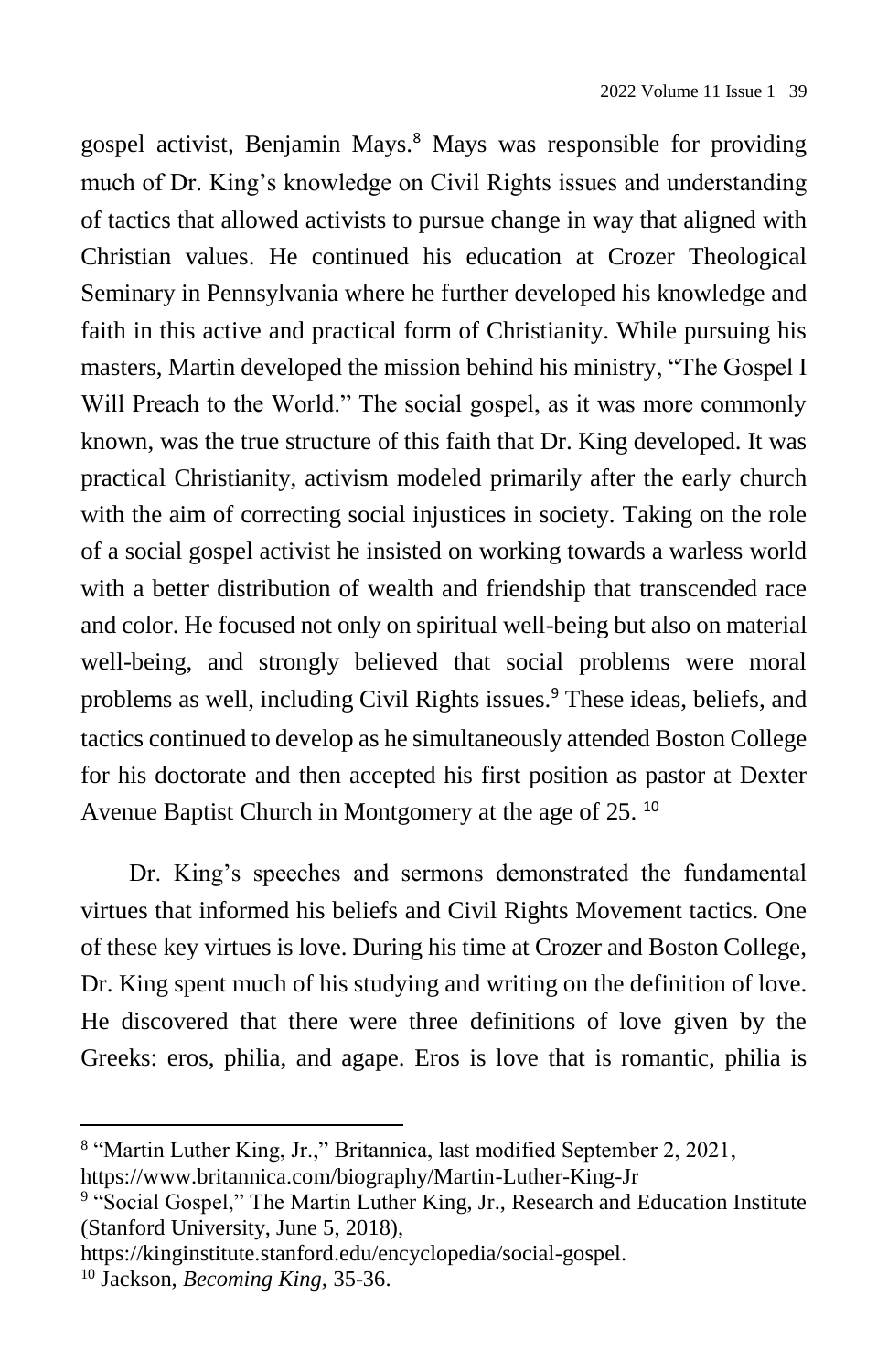gospel activist, Benjamin Mays.<sup>8</sup> Mays was responsible for providing much of Dr. King's knowledge on Civil Rights issues and understanding of tactics that allowed activists to pursue change in way that aligned with Christian values. He continued his education at Crozer Theological Seminary in Pennsylvania where he further developed his knowledge and faith in this active and practical form of Christianity. While pursuing his masters, Martin developed the mission behind his ministry, "The Gospel I Will Preach to the World." The social gospel, as it was more commonly known, was the true structure of this faith that Dr. King developed. It was practical Christianity, activism modeled primarily after the early church with the aim of correcting social injustices in society. Taking on the role of a social gospel activist he insisted on working towards a warless world with a better distribution of wealth and friendship that transcended race and color. He focused not only on spiritual well-being but also on material well-being, and strongly believed that social problems were moral problems as well, including Civil Rights issues.<sup>9</sup> These ideas, beliefs, and tactics continued to develop as he simultaneously attended Boston College for his doctorate and then accepted his first position as pastor at Dexter Avenue Baptist Church in Montgomery at the age of 25. <sup>10</sup>

Dr. King's speeches and sermons demonstrated the fundamental virtues that informed his beliefs and Civil Rights Movement tactics. One of these key virtues is love. During his time at Crozer and Boston College, Dr. King spent much of his studying and writing on the definition of love. He discovered that there were three definitions of love given by the Greeks: eros, philia, and agape. Eros is love that is romantic, philia is

<sup>8</sup> "Martin Luther King, Jr.," Britannica, last modified September 2, 2021, https://www.britannica.com/biography/Martin-Luther-King-Jr

<sup>&</sup>lt;sup>9</sup> "Social Gospel," The Martin Luther King, Jr., Research and Education Institute (Stanford University, June 5, 2018),

https://kinginstitute.stanford.edu/encyclopedia/social-gospel.

<sup>10</sup> Jackson, *Becoming King,* 35-36.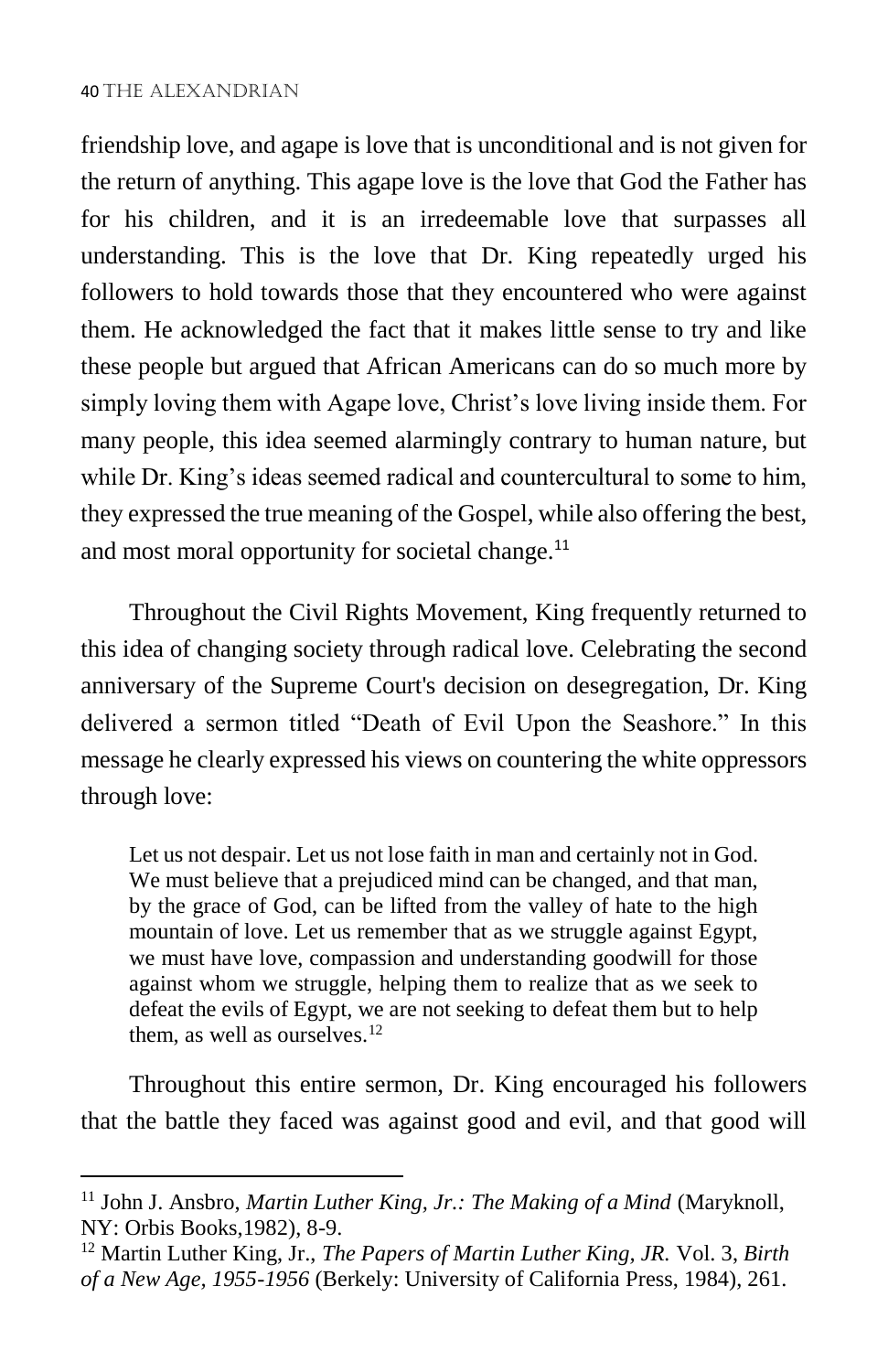$\overline{a}$ 

friendship love, and agape is love that is unconditional and is not given for the return of anything. This agape love is the love that God the Father has for his children, and it is an irredeemable love that surpasses all understanding. This is the love that Dr. King repeatedly urged his followers to hold towards those that they encountered who were against them. He acknowledged the fact that it makes little sense to try and like these people but argued that African Americans can do so much more by simply loving them with Agape love, Christ's love living inside them. For many people, this idea seemed alarmingly contrary to human nature, but while Dr. King's ideas seemed radical and countercultural to some to him, they expressed the true meaning of the Gospel, while also offering the best, and most moral opportunity for societal change.<sup>11</sup>

Throughout the Civil Rights Movement, King frequently returned to this idea of changing society through radical love. Celebrating the second anniversary of the Supreme Court's decision on desegregation, Dr. King delivered a sermon titled "Death of Evil Upon the Seashore." In this message he clearly expressed his views on countering the white oppressors through love:

Let us not despair. Let us not lose faith in man and certainly not in God. We must believe that a prejudiced mind can be changed, and that man, by the grace of God, can be lifted from the valley of hate to the high mountain of love. Let us remember that as we struggle against Egypt, we must have love, compassion and understanding goodwill for those against whom we struggle, helping them to realize that as we seek to defeat the evils of Egypt, we are not seeking to defeat them but to help them, as well as ourselves. $12$ 

Throughout this entire sermon, Dr. King encouraged his followers that the battle they faced was against good and evil, and that good will

<sup>11</sup> John J. Ansbro, *Martin Luther King, Jr.: The Making of a Mind* (Maryknoll, NY: Orbis Books,1982), 8-9.

<sup>12</sup> Martin Luther King, Jr., *The Papers of Martin Luther King, JR.* Vol. 3, *Birth of a New Age, 1955-1956* (Berkely: University of California Press, 1984), 261.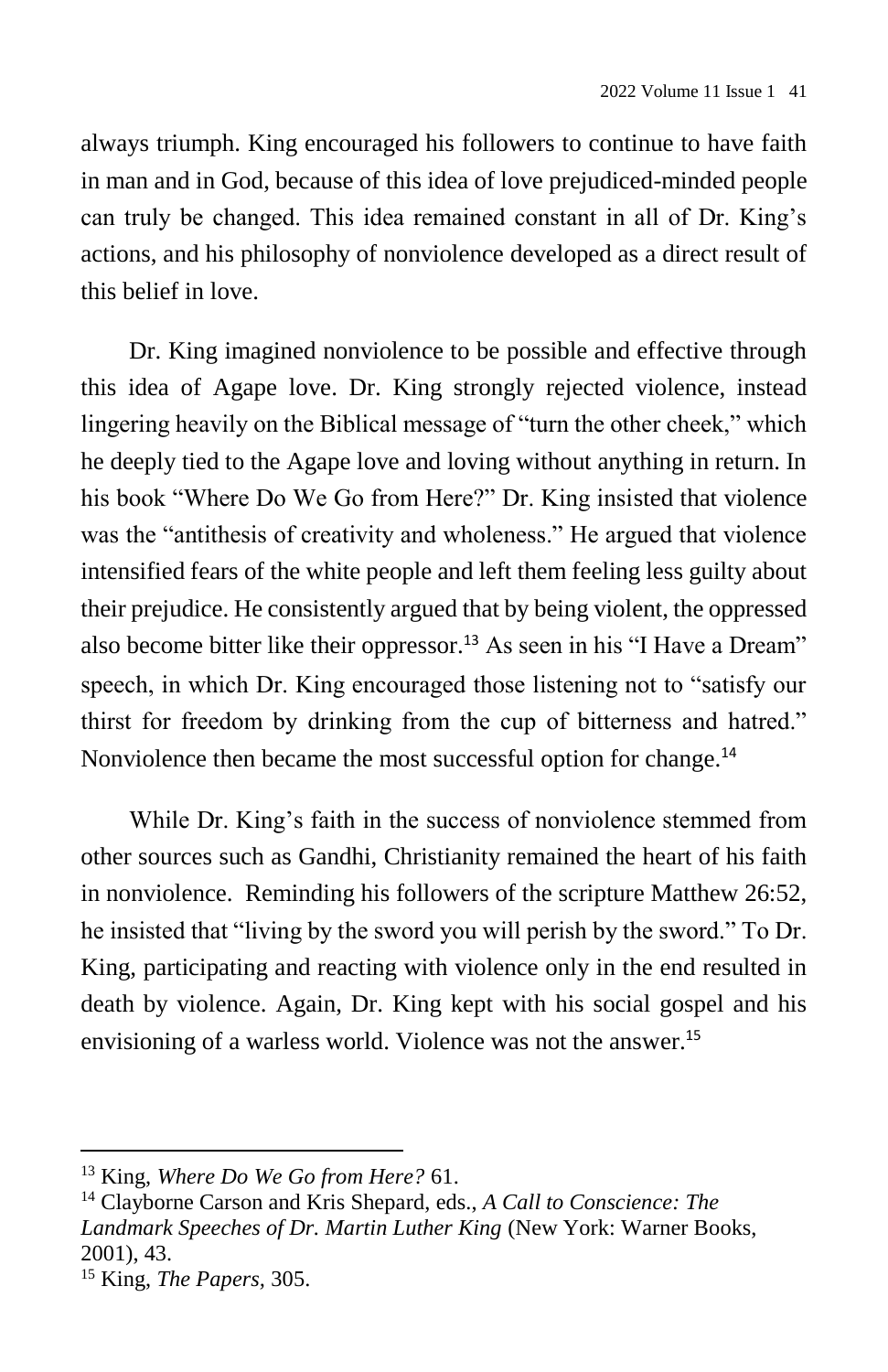always triumph. King encouraged his followers to continue to have faith in man and in God, because of this idea of love prejudiced-minded people can truly be changed. This idea remained constant in all of Dr. King's actions, and his philosophy of nonviolence developed as a direct result of this belief in love.

Dr. King imagined nonviolence to be possible and effective through this idea of Agape love. Dr. King strongly rejected violence, instead lingering heavily on the Biblical message of "turn the other cheek," which he deeply tied to the Agape love and loving without anything in return. In his book "Where Do We Go from Here?" Dr. King insisted that violence was the "antithesis of creativity and wholeness." He argued that violence intensified fears of the white people and left them feeling less guilty about their prejudice. He consistently argued that by being violent, the oppressed also become bitter like their oppressor.<sup>13</sup> As seen in his "I Have a Dream" speech, in which Dr. King encouraged those listening not to "satisfy our thirst for freedom by drinking from the cup of bitterness and hatred." Nonviolence then became the most successful option for change.<sup>14</sup>

While Dr. King's faith in the success of nonviolence stemmed from other sources such as Gandhi, Christianity remained the heart of his faith in nonviolence. Reminding his followers of the scripture Matthew 26:52, he insisted that "living by the sword you will perish by the sword." To Dr. King, participating and reacting with violence only in the end resulted in death by violence. Again, Dr. King kept with his social gospel and his envisioning of a warless world. Violence was not the answer.<sup>15</sup>

l

<sup>13</sup> King, *Where Do We Go from Here?* 61.

<sup>14</sup> Clayborne Carson and Kris Shepard, eds., *A Call to Conscience: The Landmark Speeches of Dr. Martin Luther King* (New York: Warner Books, 2001), 43.

<sup>15</sup> King, *The Papers,* 305.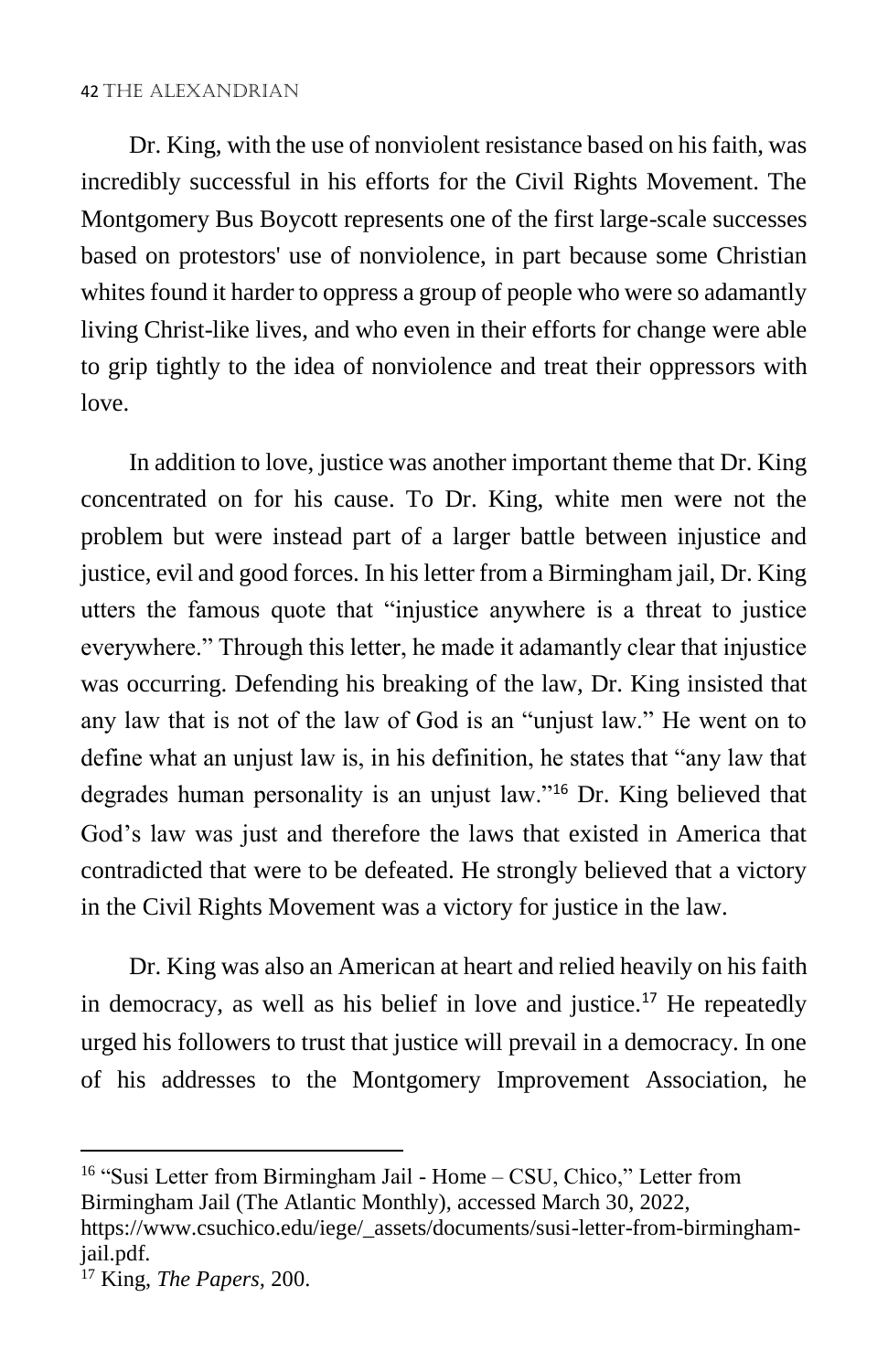### 42 The Alexandrian

Dr. King, with the use of nonviolent resistance based on his faith, was incredibly successful in his efforts for the Civil Rights Movement. The Montgomery Bus Boycott represents one of the first large-scale successes based on protestors' use of nonviolence, in part because some Christian whites found it harder to oppress a group of people who were so adamantly living Christ-like lives, and who even in their efforts for change were able to grip tightly to the idea of nonviolence and treat their oppressors with love.

In addition to love, justice was another important theme that Dr. King concentrated on for his cause. To Dr. King, white men were not the problem but were instead part of a larger battle between injustice and justice, evil and good forces. In his letter from a Birmingham jail, Dr. King utters the famous quote that "injustice anywhere is a threat to justice everywhere." Through this letter, he made it adamantly clear that injustice was occurring. Defending his breaking of the law, Dr. King insisted that any law that is not of the law of God is an "unjust law." He went on to define what an unjust law is, in his definition, he states that "any law that degrades human personality is an unjust law."<sup>16</sup> Dr. King believed that God's law was just and therefore the laws that existed in America that contradicted that were to be defeated. He strongly believed that a victory in the Civil Rights Movement was a victory for justice in the law.

Dr. King was also an American at heart and relied heavily on his faith in democracy, as well as his belief in love and justice.<sup>17</sup> He repeatedly urged his followers to trust that justice will prevail in a democracy. In one of his addresses to the Montgomery Improvement Association, he

l

<sup>16</sup> "Susi Letter from Birmingham Jail - Home – CSU, Chico," Letter from Birmingham Jail (The Atlantic Monthly), accessed March 30, 2022, https://www.csuchico.edu/iege/\_assets/documents/susi-letter-from-birminghamjail.pdf.

<sup>17</sup> King, *The Papers,* 200.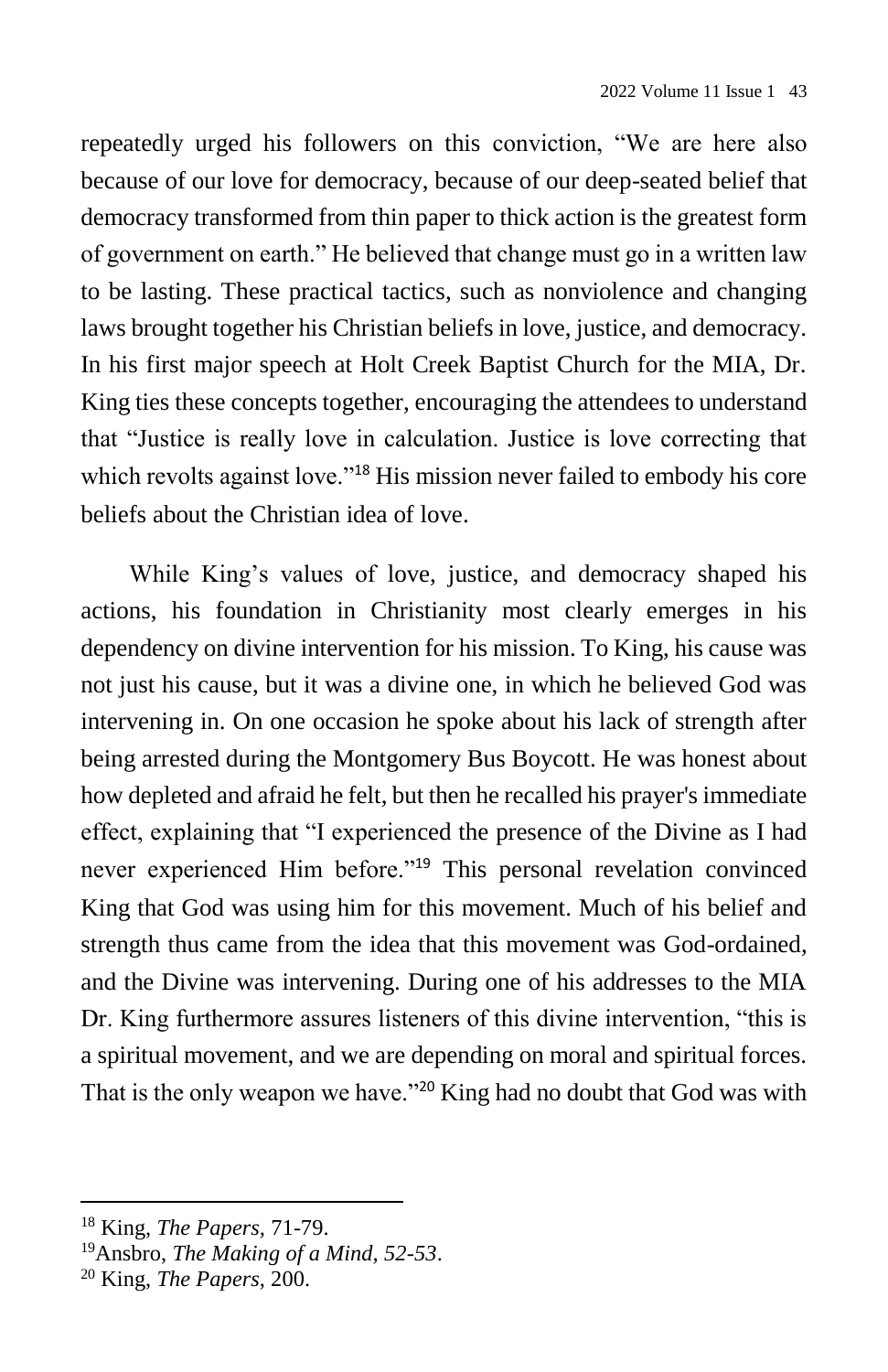repeatedly urged his followers on this conviction, "We are here also because of our love for democracy, because of our deep-seated belief that democracy transformed from thin paper to thick action is the greatest form of government on earth." He believed that change must go in a written law to be lasting. These practical tactics, such as nonviolence and changing laws brought together his Christian beliefs in love, justice, and democracy. In his first major speech at Holt Creek Baptist Church for the MIA, Dr. King ties these concepts together, encouraging the attendees to understand that "Justice is really love in calculation. Justice is love correcting that which revolts against love."<sup>18</sup> His mission never failed to embody his core beliefs about the Christian idea of love.

While King's values of love, justice, and democracy shaped his actions, his foundation in Christianity most clearly emerges in his dependency on divine intervention for his mission. To King, his cause was not just his cause, but it was a divine one, in which he believed God was intervening in. On one occasion he spoke about his lack of strength after being arrested during the Montgomery Bus Boycott. He was honest about how depleted and afraid he felt, but then he recalled his prayer's immediate effect, explaining that "I experienced the presence of the Divine as I had never experienced Him before."<sup>19</sup> This personal revelation convinced King that God was using him for this movement. Much of his belief and strength thus came from the idea that this movement was God-ordained, and the Divine was intervening. During one of his addresses to the MIA Dr. King furthermore assures listeners of this divine intervention, "this is a spiritual movement, and we are depending on moral and spiritual forces. That is the only weapon we have."<sup>20</sup> King had no doubt that God was with

<sup>18</sup> King, *The Papers,* 71-79.

<sup>19</sup>Ansbro, *The Making of a Mind, 52-53*.

<sup>20</sup> King, *The Papers*, 200.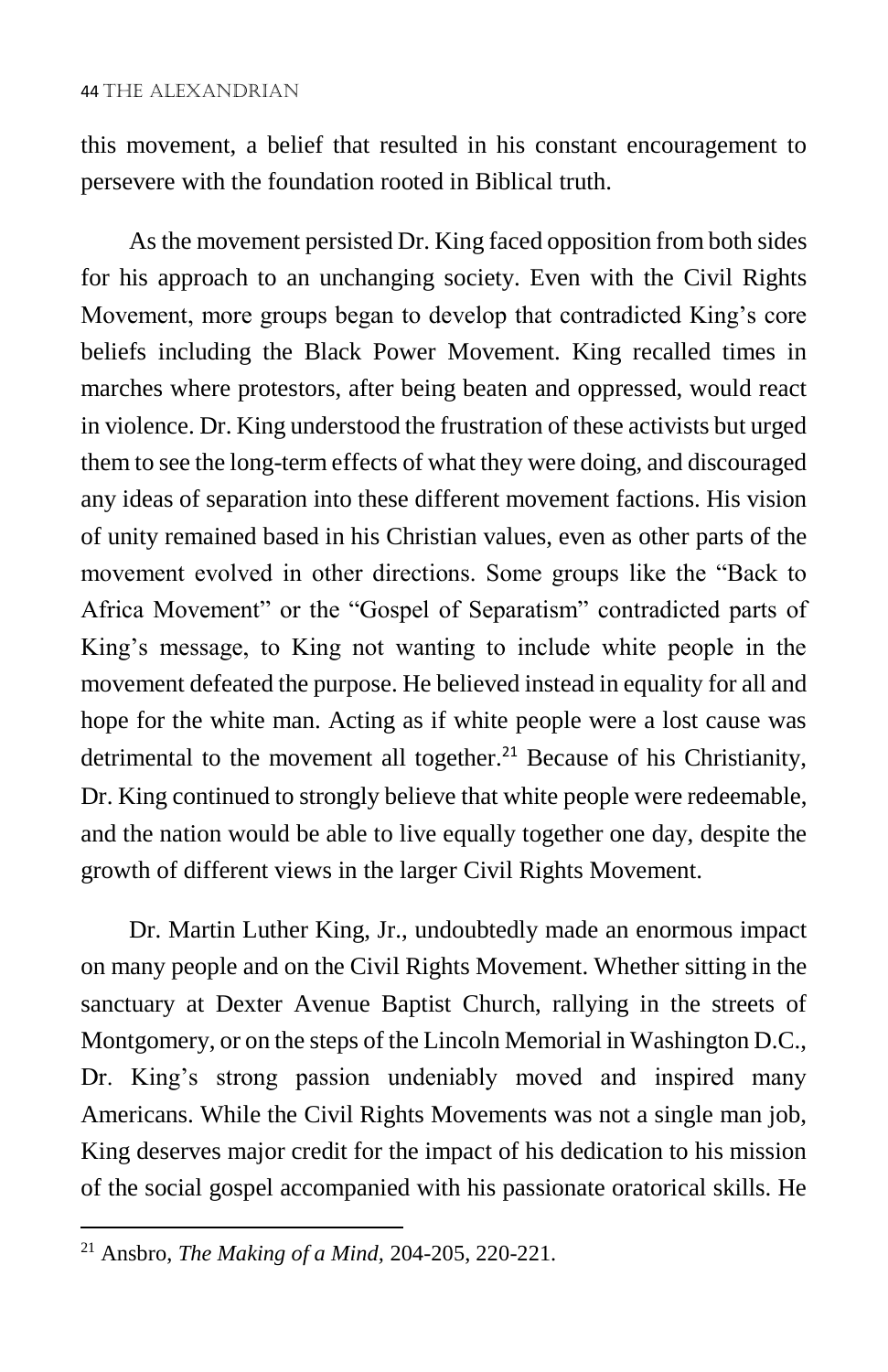this movement, a belief that resulted in his constant encouragement to persevere with the foundation rooted in Biblical truth.

As the movement persisted Dr. King faced opposition from both sides for his approach to an unchanging society. Even with the Civil Rights Movement, more groups began to develop that contradicted King's core beliefs including the Black Power Movement. King recalled times in marches where protestors, after being beaten and oppressed, would react in violence. Dr. King understood the frustration of these activists but urged them to see the long-term effects of what they were doing, and discouraged any ideas of separation into these different movement factions. His vision of unity remained based in his Christian values, even as other parts of the movement evolved in other directions. Some groups like the "Back to Africa Movement" or the "Gospel of Separatism" contradicted parts of King's message, to King not wanting to include white people in the movement defeated the purpose. He believed instead in equality for all and hope for the white man. Acting as if white people were a lost cause was detrimental to the movement all together.<sup>21</sup> Because of his Christianity, Dr. King continued to strongly believe that white people were redeemable, and the nation would be able to live equally together one day, despite the growth of different views in the larger Civil Rights Movement.

Dr. Martin Luther King, Jr., undoubtedly made an enormous impact on many people and on the Civil Rights Movement. Whether sitting in the sanctuary at Dexter Avenue Baptist Church, rallying in the streets of Montgomery, or on the steps of the Lincoln Memorial in Washington D.C., Dr. King's strong passion undeniably moved and inspired many Americans. While the Civil Rights Movements was not a single man job, King deserves major credit for the impact of his dedication to his mission of the social gospel accompanied with his passionate oratorical skills. He

 $\overline{a}$ 

<sup>21</sup> Ansbro, *The Making of a Mind,* 204-205, 220-221.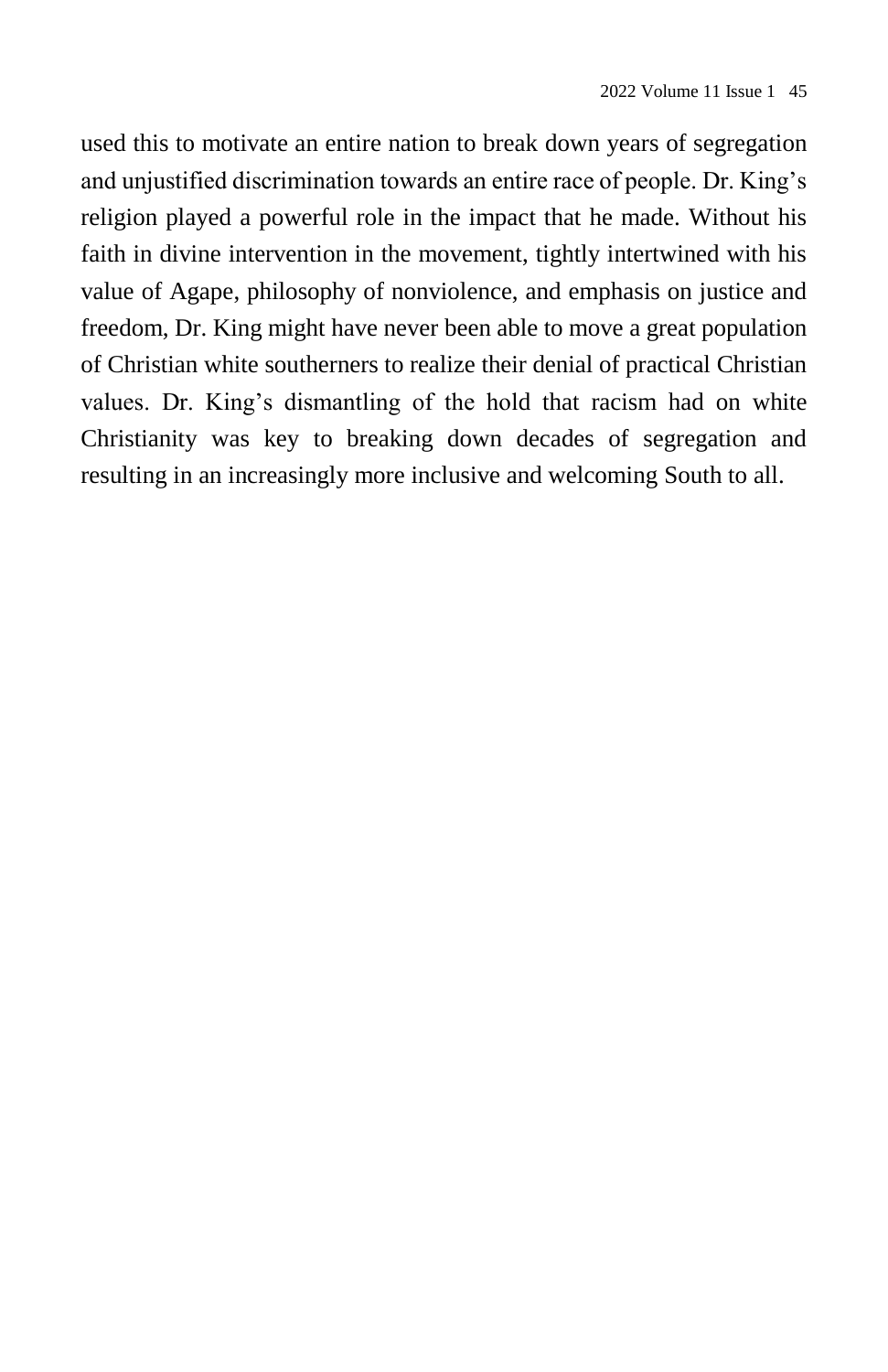used this to motivate an entire nation to break down years of segregation and unjustified discrimination towards an entire race of people. Dr. King's religion played a powerful role in the impact that he made. Without his faith in divine intervention in the movement, tightly intertwined with his value of Agape, philosophy of nonviolence, and emphasis on justice and freedom, Dr. King might have never been able to move a great population of Christian white southerners to realize their denial of practical Christian values. Dr. King's dismantling of the hold that racism had on white Christianity was key to breaking down decades of segregation and resulting in an increasingly more inclusive and welcoming South to all.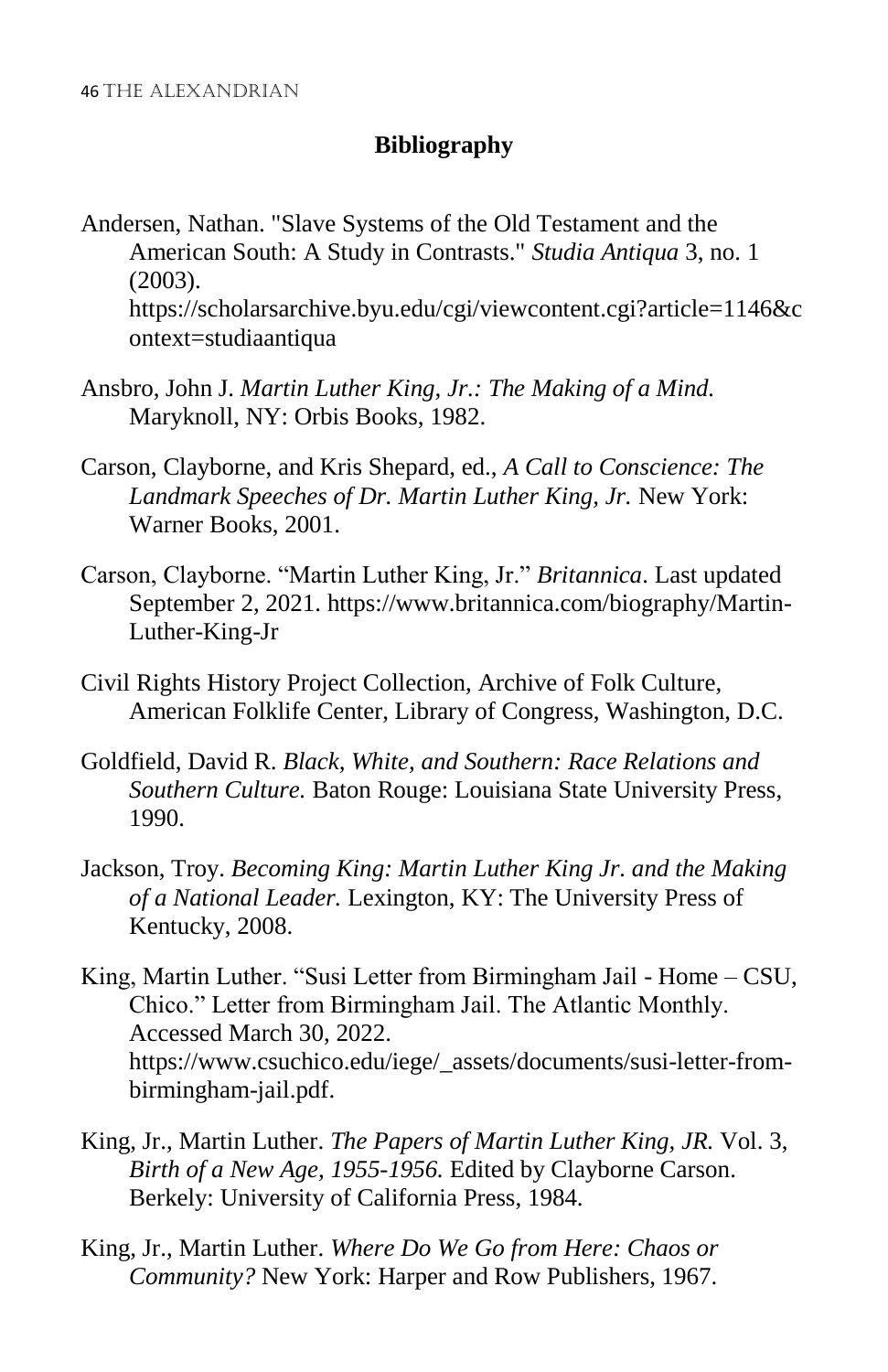### **Bibliography**

- Andersen, Nathan. "Slave Systems of the Old Testament and the American South: A Study in Contrasts." *Studia Antiqua* 3, no. 1 (2003). https://scholarsarchive.byu.edu/cgi/viewcontent.cgi?article=1146&c ontext=studiaantiqua
- Ansbro, John J. *Martin Luther King, Jr.: The Making of a Mind.* Maryknoll, NY: Orbis Books, 1982.
- Carson, Clayborne, and Kris Shepard, ed., *A Call to Conscience: The Landmark Speeches of Dr. Martin Luther King, Jr.* New York: Warner Books, 2001.
- Carson, Clayborne. "Martin Luther King, Jr." *Britannica*. Last updated September 2, 2021. https://www.britannica.com/biography/Martin-Luther-King-Jr
- Civil Rights History Project Collection, Archive of Folk Culture, American Folklife Center, Library of Congress, Washington, D.C.
- Goldfield, David R. *Black, White, and Southern: Race Relations and Southern Culture.* Baton Rouge: Louisiana State University Press, 1990.
- Jackson, Troy. *Becoming King: Martin Luther King Jr. and the Making of a National Leader.* Lexington, KY: The University Press of Kentucky, 2008.
- King, Martin Luther. "Susi Letter from Birmingham Jail Home CSU, Chico." Letter from Birmingham Jail. The Atlantic Monthly. Accessed March 30, 2022. https://www.csuchico.edu/iege/\_assets/documents/susi-letter-frombirmingham-jail.pdf.
- King, Jr., Martin Luther. *The Papers of Martin Luther King, JR.* Vol. 3, *Birth of a New Age, 1955-1956.* Edited by Clayborne Carson. Berkely: University of California Press, 1984.
- King, Jr., Martin Luther. *Where Do We Go from Here: Chaos or Community?* New York: Harper and Row Publishers, 1967.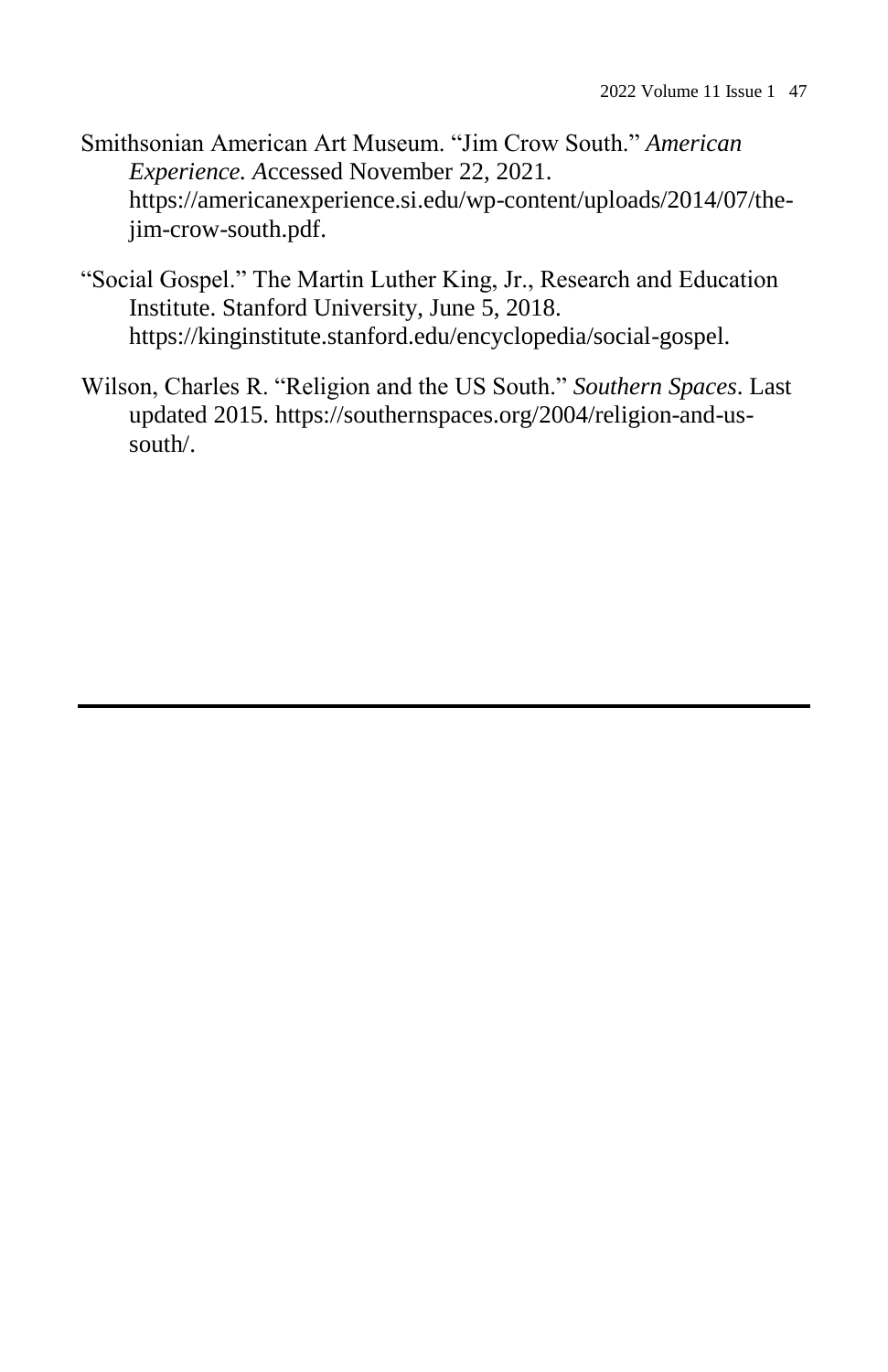- Smithsonian American Art Museum. "Jim Crow South." *American Experience. A*ccessed November 22, 2021. https://americanexperience.si.edu/wp-content/uploads/2014/07/thejim-crow-south.pdf.
- "Social Gospel." The Martin Luther King, Jr., Research and Education Institute. Stanford University, June 5, 2018. https://kinginstitute.stanford.edu/encyclopedia/social-gospel.
- Wilson, Charles R. "Religion and the US South." *Southern Spaces*. Last updated 2015. https://southernspaces.org/2004/religion-and-ussouth/.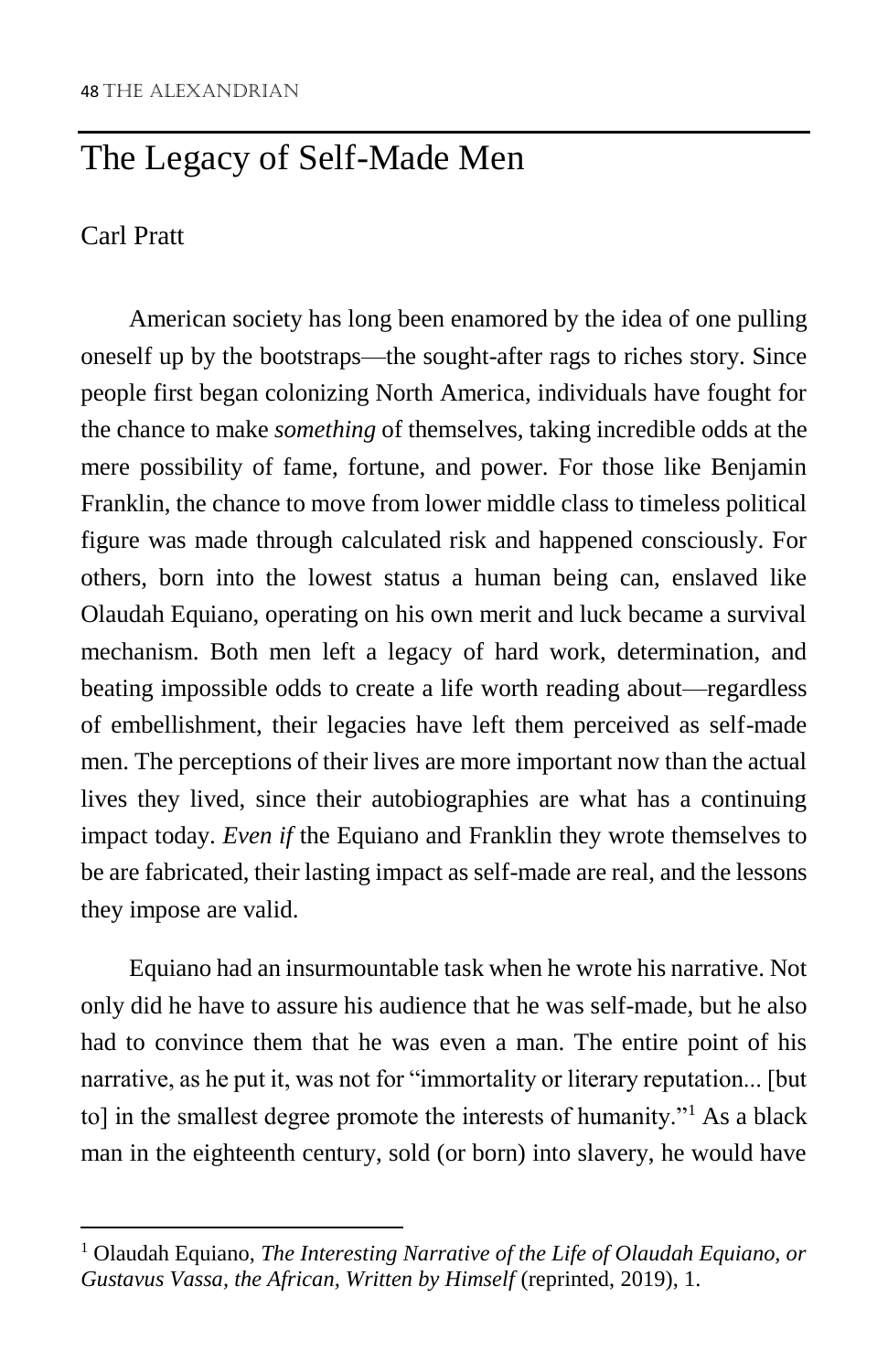# The Legacy of Self-Made Men

## Carl Pratt

 $\overline{a}$ 

American society has long been enamored by the idea of one pulling oneself up by the bootstraps—the sought-after rags to riches story. Since people first began colonizing North America, individuals have fought for the chance to make *something* of themselves, taking incredible odds at the mere possibility of fame, fortune, and power. For those like Benjamin Franklin, the chance to move from lower middle class to timeless political figure was made through calculated risk and happened consciously. For others, born into the lowest status a human being can, enslaved like Olaudah Equiano, operating on his own merit and luck became a survival mechanism. Both men left a legacy of hard work, determination, and beating impossible odds to create a life worth reading about—regardless of embellishment, their legacies have left them perceived as self-made men. The perceptions of their lives are more important now than the actual lives they lived, since their autobiographies are what has a continuing impact today. *Even if* the Equiano and Franklin they wrote themselves to be are fabricated, their lasting impact as self-made are real, and the lessons they impose are valid.

Equiano had an insurmountable task when he wrote his narrative. Not only did he have to assure his audience that he was self-made, but he also had to convince them that he was even a man. The entire point of his narrative, as he put it, was not for "immortality or literary reputation... [but to] in the smallest degree promote the interests of humanity."<sup>1</sup> As a black man in the eighteenth century, sold (or born) into slavery, he would have

<sup>1</sup> Olaudah Equiano, *The Interesting Narrative of the Life of Olaudah Equiano, or Gustavus Vassa, the African, Written by Himself* (reprinted, 2019), 1.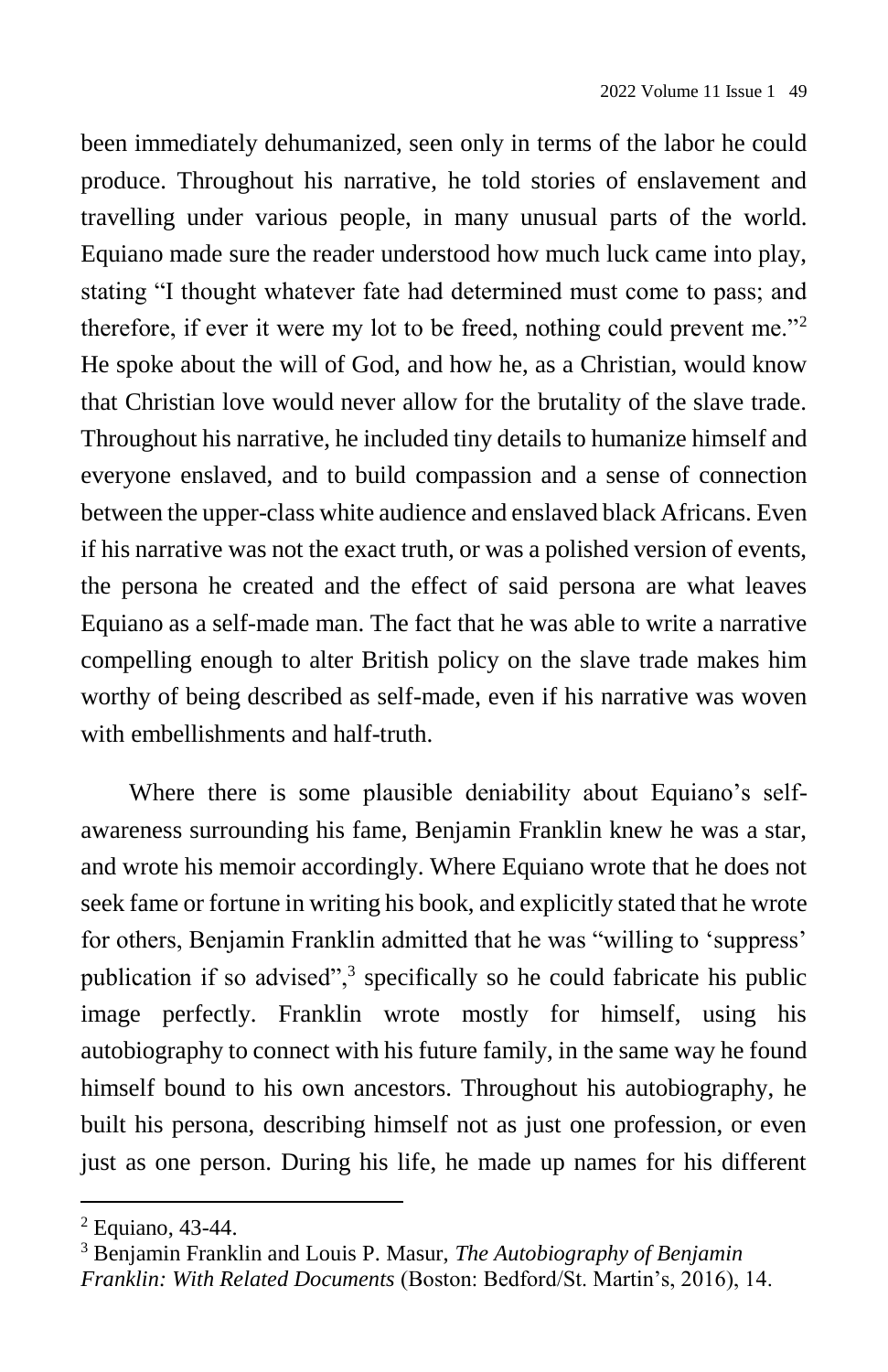been immediately dehumanized, seen only in terms of the labor he could produce. Throughout his narrative, he told stories of enslavement and travelling under various people, in many unusual parts of the world. Equiano made sure the reader understood how much luck came into play, stating "I thought whatever fate had determined must come to pass; and therefore, if ever it were my lot to be freed, nothing could prevent me."<sup>2</sup> He spoke about the will of God, and how he, as a Christian, would know that Christian love would never allow for the brutality of the slave trade. Throughout his narrative, he included tiny details to humanize himself and everyone enslaved, and to build compassion and a sense of connection between the upper-class white audience and enslaved black Africans. Even if his narrative was not the exact truth, or was a polished version of events, the persona he created and the effect of said persona are what leaves Equiano as a self-made man. The fact that he was able to write a narrative compelling enough to alter British policy on the slave trade makes him worthy of being described as self-made, even if his narrative was woven with embellishments and half-truth.

Where there is some plausible deniability about Equiano's selfawareness surrounding his fame, Benjamin Franklin knew he was a star, and wrote his memoir accordingly. Where Equiano wrote that he does not seek fame or fortune in writing his book, and explicitly stated that he wrote for others, Benjamin Franklin admitted that he was "willing to 'suppress' publication if so advised",<sup>3</sup> specifically so he could fabricate his public image perfectly. Franklin wrote mostly for himself, using his autobiography to connect with his future family, in the same way he found himself bound to his own ancestors. Throughout his autobiography, he built his persona, describing himself not as just one profession, or even just as one person. During his life, he made up names for his different

 $2$  Equiano, 43-44.

<sup>3</sup> Benjamin Franklin and Louis P. Masur, *The Autobiography of Benjamin Franklin: With Related Documents* (Boston: Bedford/St. Martin's, 2016), 14.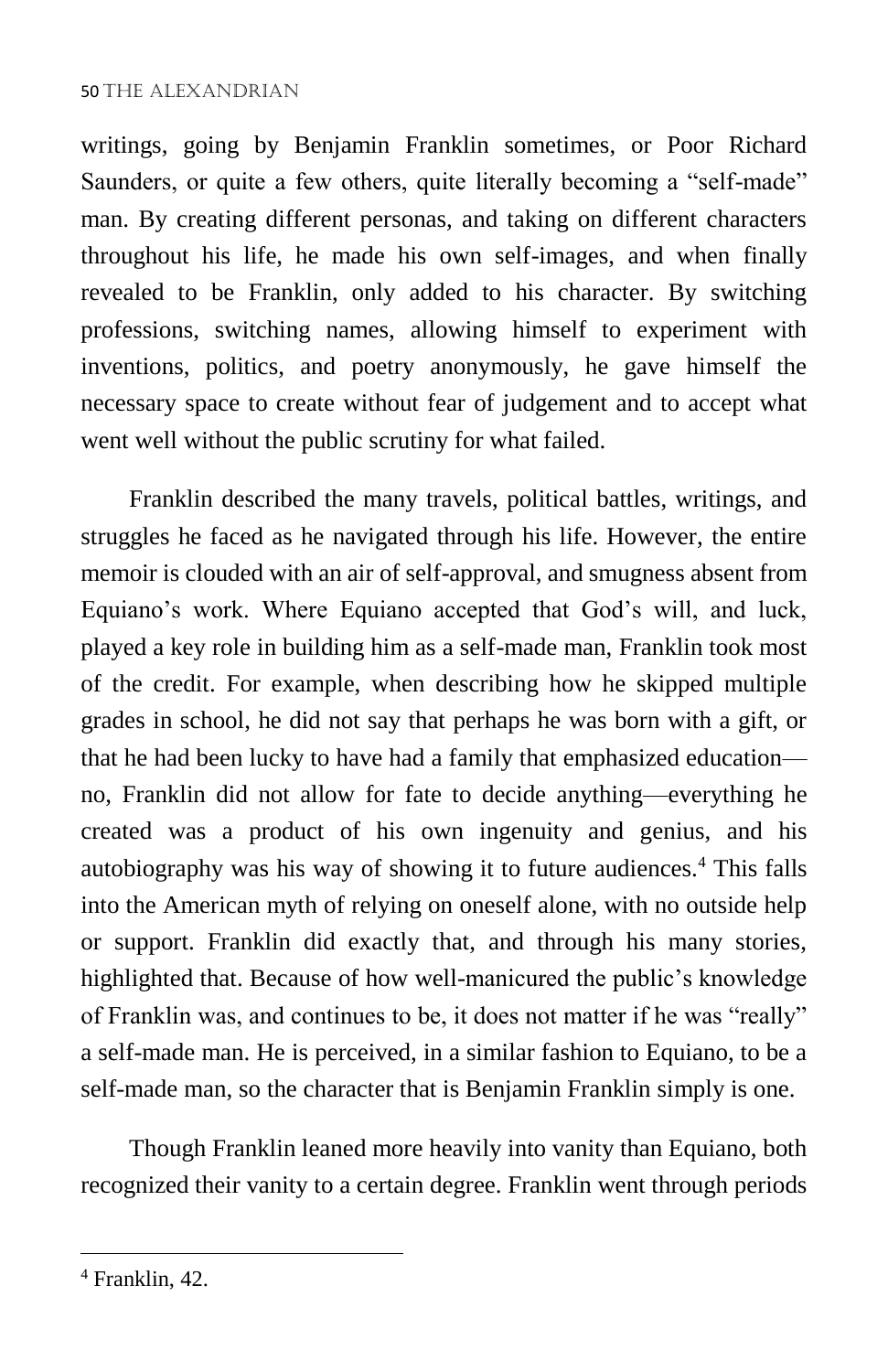### 50 The Alexandrian

writings, going by Benjamin Franklin sometimes, or Poor Richard Saunders, or quite a few others, quite literally becoming a "self-made" man. By creating different personas, and taking on different characters throughout his life, he made his own self-images, and when finally revealed to be Franklin, only added to his character. By switching professions, switching names, allowing himself to experiment with inventions, politics, and poetry anonymously, he gave himself the necessary space to create without fear of judgement and to accept what went well without the public scrutiny for what failed.

Franklin described the many travels, political battles, writings, and struggles he faced as he navigated through his life. However, the entire memoir is clouded with an air of self-approval, and smugness absent from Equiano's work. Where Equiano accepted that God's will, and luck, played a key role in building him as a self-made man, Franklin took most of the credit. For example, when describing how he skipped multiple grades in school, he did not say that perhaps he was born with a gift, or that he had been lucky to have had a family that emphasized education no, Franklin did not allow for fate to decide anything—everything he created was a product of his own ingenuity and genius, and his autobiography was his way of showing it to future audiences.<sup>4</sup> This falls into the American myth of relying on oneself alone, with no outside help or support. Franklin did exactly that, and through his many stories, highlighted that. Because of how well-manicured the public's knowledge of Franklin was, and continues to be, it does not matter if he was "really" a self-made man. He is perceived, in a similar fashion to Equiano, to be a self-made man, so the character that is Benjamin Franklin simply is one.

Though Franklin leaned more heavily into vanity than Equiano, both recognized their vanity to a certain degree. Franklin went through periods

<sup>4</sup> Franklin, 42.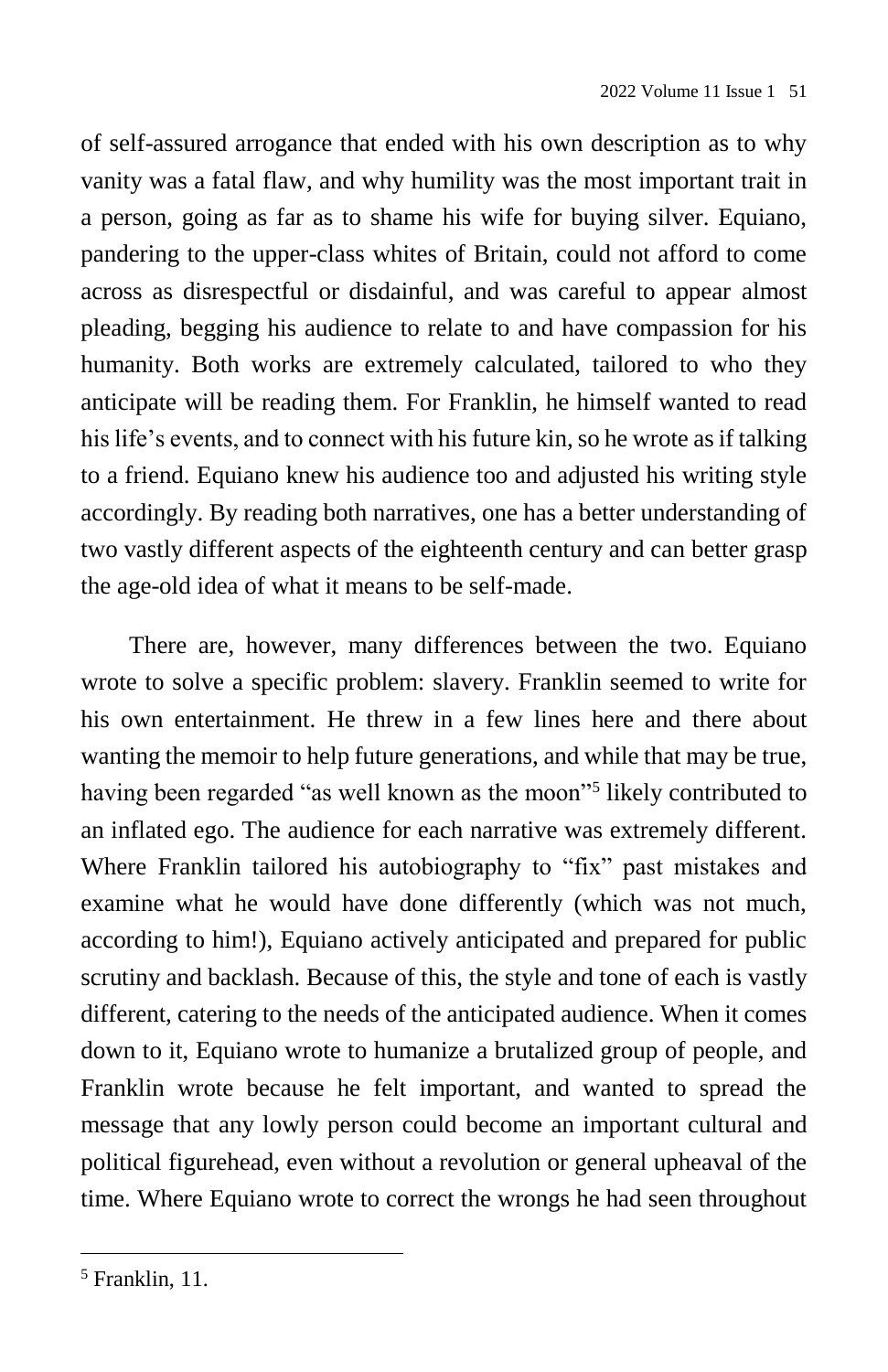of self-assured arrogance that ended with his own description as to why vanity was a fatal flaw, and why humility was the most important trait in a person, going as far as to shame his wife for buying silver. Equiano, pandering to the upper-class whites of Britain, could not afford to come across as disrespectful or disdainful, and was careful to appear almost pleading, begging his audience to relate to and have compassion for his humanity. Both works are extremely calculated, tailored to who they anticipate will be reading them. For Franklin, he himself wanted to read his life's events, and to connect with his future kin, so he wrote as if talking to a friend. Equiano knew his audience too and adjusted his writing style accordingly. By reading both narratives, one has a better understanding of two vastly different aspects of the eighteenth century and can better grasp the age-old idea of what it means to be self-made.

There are, however, many differences between the two. Equiano wrote to solve a specific problem: slavery. Franklin seemed to write for his own entertainment. He threw in a few lines here and there about wanting the memoir to help future generations, and while that may be true, having been regarded "as well known as the moon"<sup>5</sup> likely contributed to an inflated ego. The audience for each narrative was extremely different. Where Franklin tailored his autobiography to "fix" past mistakes and examine what he would have done differently (which was not much, according to him!), Equiano actively anticipated and prepared for public scrutiny and backlash. Because of this, the style and tone of each is vastly different, catering to the needs of the anticipated audience. When it comes down to it, Equiano wrote to humanize a brutalized group of people, and Franklin wrote because he felt important, and wanted to spread the message that any lowly person could become an important cultural and political figurehead, even without a revolution or general upheaval of the time. Where Equiano wrote to correct the wrongs he had seen throughout

<sup>5</sup> Franklin, 11.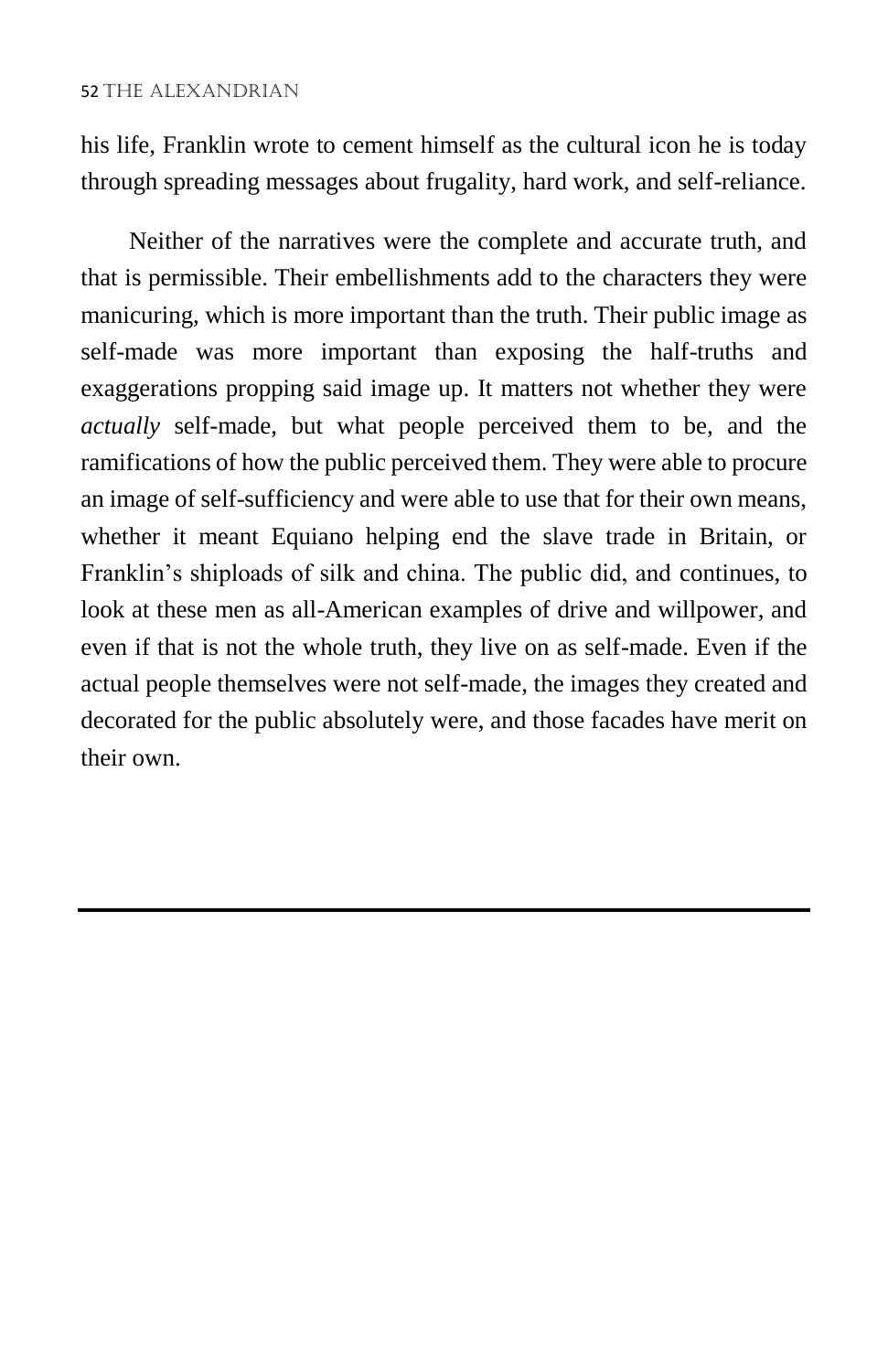his life, Franklin wrote to cement himself as the cultural icon he is today through spreading messages about frugality, hard work, and self-reliance.

Neither of the narratives were the complete and accurate truth, and that is permissible. Their embellishments add to the characters they were manicuring, which is more important than the truth. Their public image as self-made was more important than exposing the half-truths and exaggerations propping said image up. It matters not whether they were *actually* self-made, but what people perceived them to be, and the ramifications of how the public perceived them. They were able to procure an image of self-sufficiency and were able to use that for their own means, whether it meant Equiano helping end the slave trade in Britain, or Franklin's shiploads of silk and china. The public did, and continues, to look at these men as all-American examples of drive and willpower, and even if that is not the whole truth, they live on as self-made. Even if the actual people themselves were not self-made, the images they created and decorated for the public absolutely were, and those facades have merit on their own.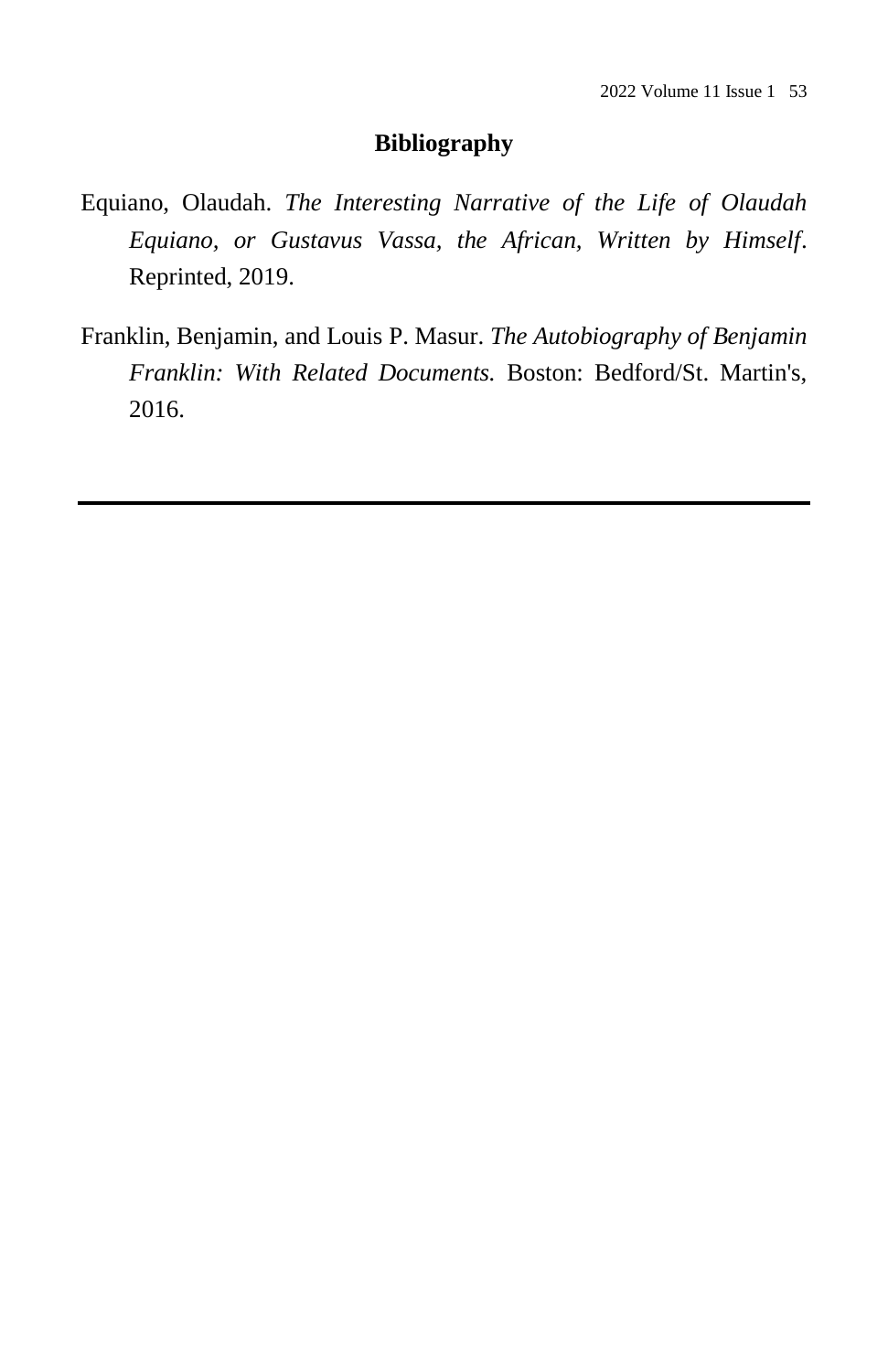### **Bibliography**

- Equiano, Olaudah. *The Interesting Narrative of the Life of Olaudah Equiano, or Gustavus Vassa, the African, Written by Himself*. Reprinted, 2019.
- Franklin, Benjamin, and Louis P. Masur. *The Autobiography of Benjamin Franklin: With Related Documents.* Boston: Bedford/St. Martin's, 2016.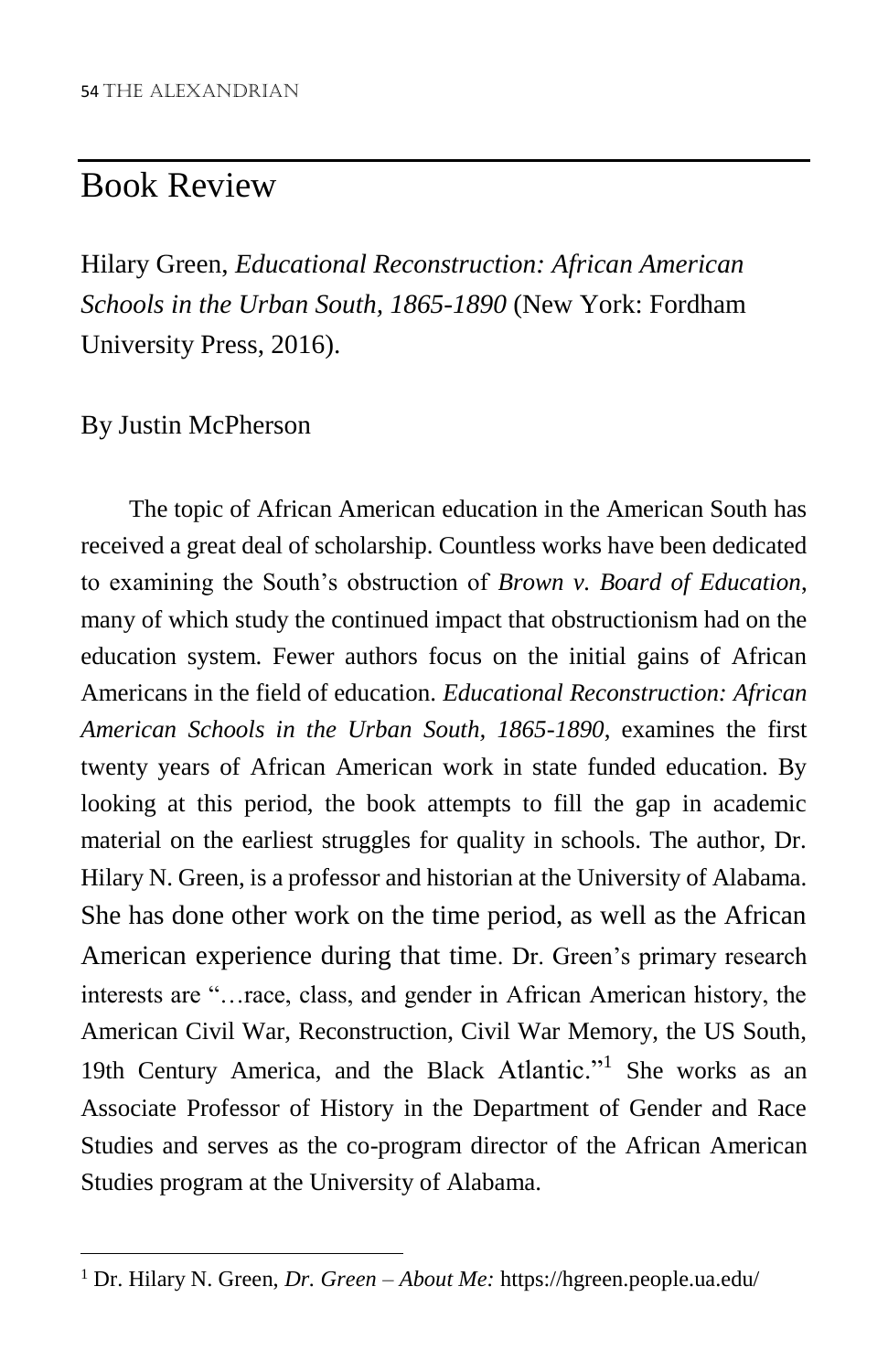# Book Review

Hilary Green, *Educational Reconstruction: African American Schools in the Urban South, 1865-1890* (New York: Fordham University Press, 2016).

### By Justin McPherson

 $\overline{\phantom{a}}$ 

The topic of African American education in the American South has received a great deal of scholarship. Countless works have been dedicated to examining the South's obstruction of *Brown v. Board of Education*, many of which study the continued impact that obstructionism had on the education system. Fewer authors focus on the initial gains of African Americans in the field of education. *Educational Reconstruction: African American Schools in the Urban South, 1865-1890*, examines the first twenty years of African American work in state funded education. By looking at this period, the book attempts to fill the gap in academic material on the earliest struggles for quality in schools. The author, Dr. Hilary N. Green, is a professor and historian at the University of Alabama. She has done other work on the time period, as well as the African American experience during that time. Dr. Green's primary research interests are "…race, class, and gender in African American history, the American Civil War, Reconstruction, Civil War Memory, the US South, 19th Century America, and the Black Atlantic."<sup>1</sup> She works as an Associate Professor of History in the Department of Gender and Race Studies and serves as the co-program director of the African American Studies program at the University of Alabama.

<sup>1</sup> Dr. Hilary N. Green, *Dr. Green – About Me:* https://hgreen.people.ua.edu/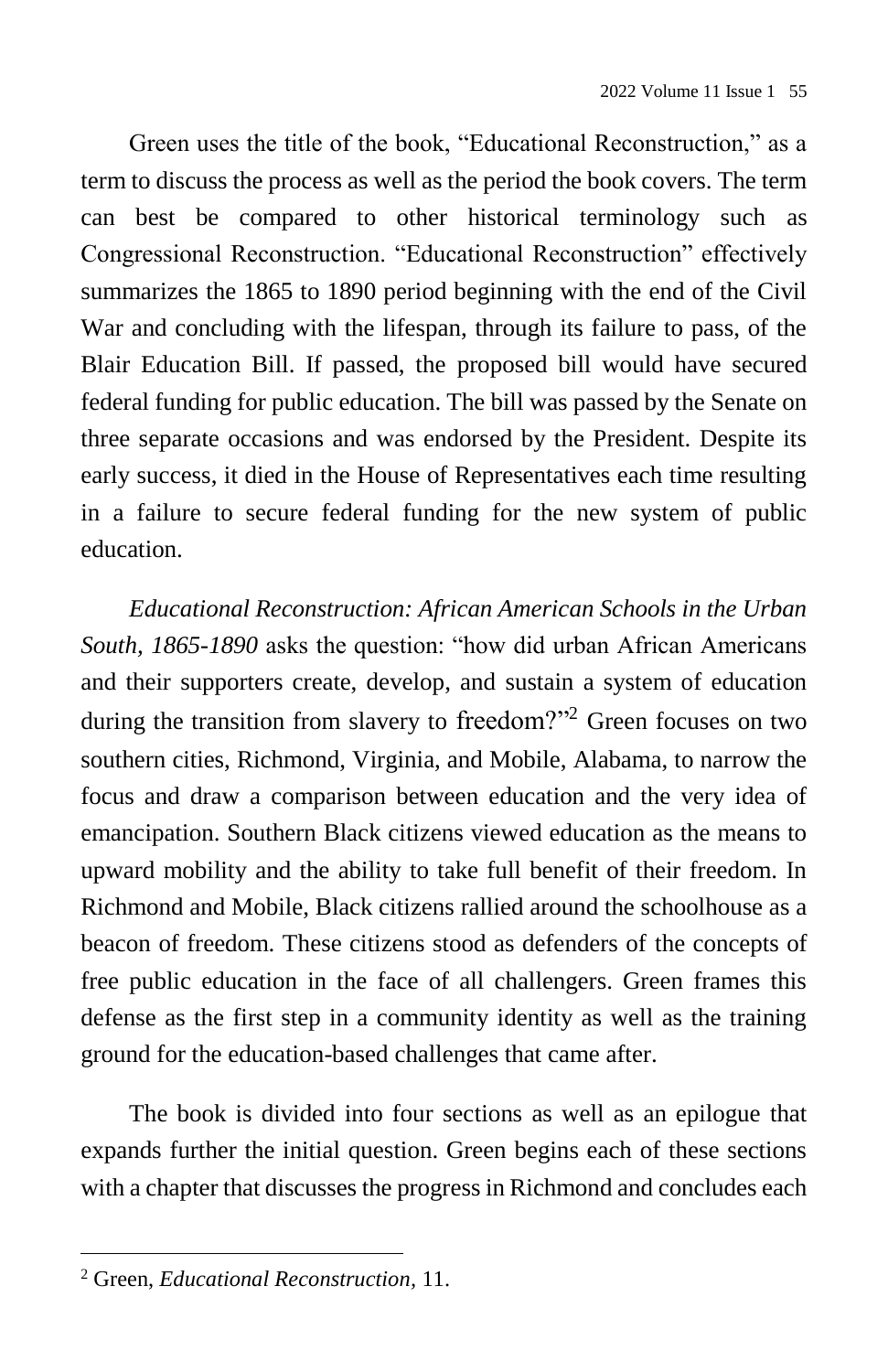Green uses the title of the book, "Educational Reconstruction," as a term to discuss the process as well as the period the book covers. The term can best be compared to other historical terminology such as Congressional Reconstruction. "Educational Reconstruction" effectively summarizes the 1865 to 1890 period beginning with the end of the Civil War and concluding with the lifespan, through its failure to pass, of the Blair Education Bill. If passed, the proposed bill would have secured federal funding for public education. The bill was passed by the Senate on three separate occasions and was endorsed by the President. Despite its early success, it died in the House of Representatives each time resulting in a failure to secure federal funding for the new system of public education.

*Educational Reconstruction: African American Schools in the Urban South, 1865-1890* asks the question: "how did urban African Americans and their supporters create, develop, and sustain a system of education during the transition from slavery to freedom?"<sup>2</sup> Green focuses on two southern cities, Richmond, Virginia, and Mobile, Alabama, to narrow the focus and draw a comparison between education and the very idea of emancipation. Southern Black citizens viewed education as the means to upward mobility and the ability to take full benefit of their freedom. In Richmond and Mobile, Black citizens rallied around the schoolhouse as a beacon of freedom. These citizens stood as defenders of the concepts of free public education in the face of all challengers. Green frames this defense as the first step in a community identity as well as the training ground for the education-based challenges that came after.

The book is divided into four sections as well as an epilogue that expands further the initial question. Green begins each of these sections with a chapter that discusses the progress in Richmond and concludes each

<sup>2</sup> Green, *Educational Reconstruction,* 11.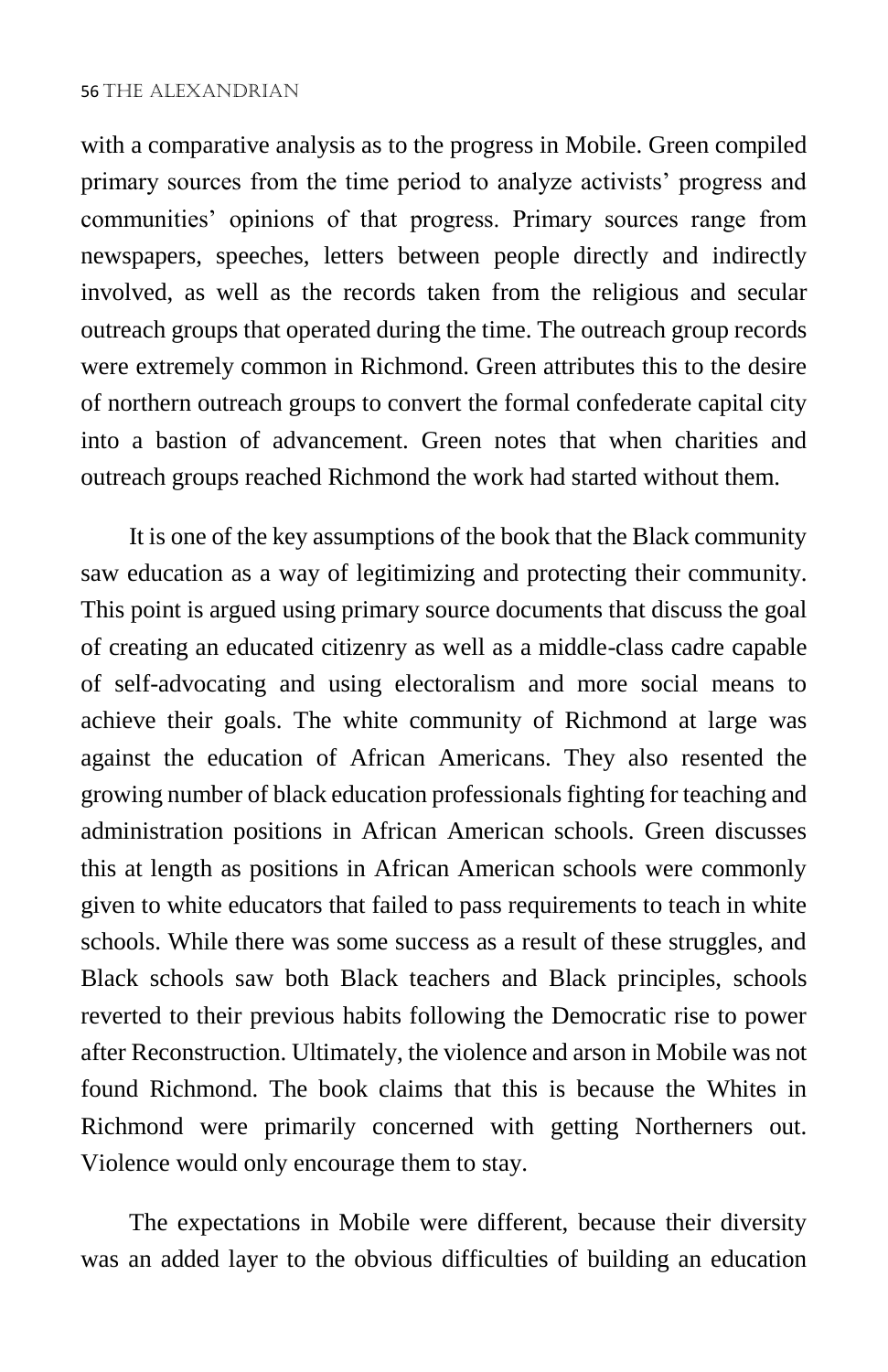with a comparative analysis as to the progress in Mobile. Green compiled primary sources from the time period to analyze activists' progress and communities' opinions of that progress. Primary sources range from newspapers, speeches, letters between people directly and indirectly involved, as well as the records taken from the religious and secular outreach groups that operated during the time. The outreach group records were extremely common in Richmond. Green attributes this to the desire of northern outreach groups to convert the formal confederate capital city into a bastion of advancement. Green notes that when charities and outreach groups reached Richmond the work had started without them.

It is one of the key assumptions of the book that the Black community saw education as a way of legitimizing and protecting their community. This point is argued using primary source documents that discuss the goal of creating an educated citizenry as well as a middle-class cadre capable of self-advocating and using electoralism and more social means to achieve their goals. The white community of Richmond at large was against the education of African Americans. They also resented the growing number of black education professionals fighting for teaching and administration positions in African American schools. Green discusses this at length as positions in African American schools were commonly given to white educators that failed to pass requirements to teach in white schools. While there was some success as a result of these struggles, and Black schools saw both Black teachers and Black principles, schools reverted to their previous habits following the Democratic rise to power after Reconstruction. Ultimately, the violence and arson in Mobile was not found Richmond. The book claims that this is because the Whites in Richmond were primarily concerned with getting Northerners out. Violence would only encourage them to stay.

The expectations in Mobile were different, because their diversity was an added layer to the obvious difficulties of building an education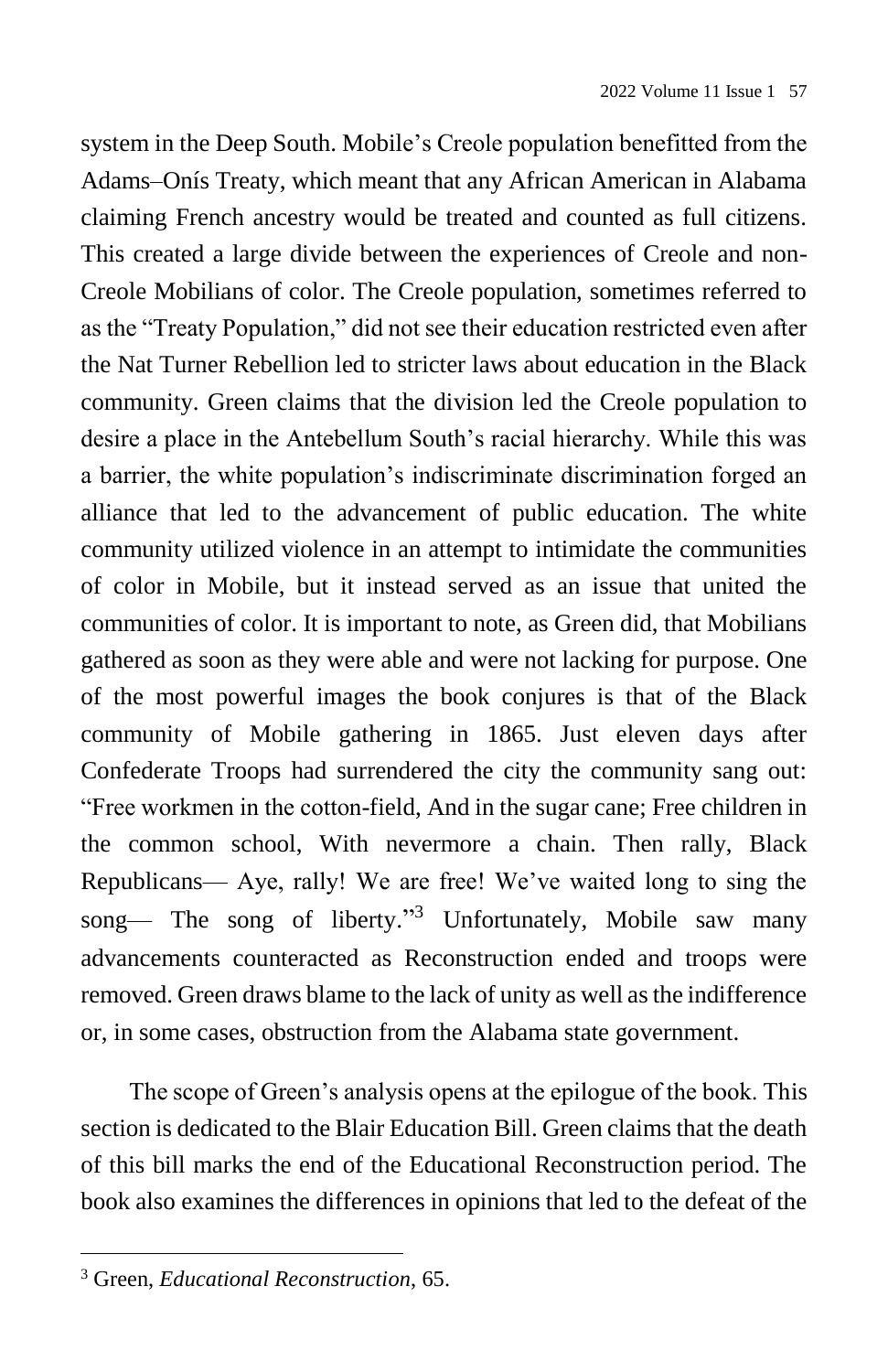system in the Deep South. Mobile's Creole population benefitted from the Adams–Onís Treaty, which meant that any African American in Alabama claiming French ancestry would be treated and counted as full citizens. This created a large divide between the experiences of Creole and non-Creole Mobilians of color. The Creole population, sometimes referred to as the "Treaty Population," did not see their education restricted even after the Nat Turner Rebellion led to stricter laws about education in the Black community. Green claims that the division led the Creole population to desire a place in the Antebellum South's racial hierarchy. While this was a barrier, the white population's indiscriminate discrimination forged an alliance that led to the advancement of public education. The white community utilized violence in an attempt to intimidate the communities of color in Mobile, but it instead served as an issue that united the communities of color. It is important to note, as Green did, that Mobilians gathered as soon as they were able and were not lacking for purpose. One of the most powerful images the book conjures is that of the Black community of Mobile gathering in 1865. Just eleven days after Confederate Troops had surrendered the city the community sang out: "Free workmen in the cotton-field, And in the sugar cane; Free children in the common school, With nevermore a chain. Then rally, Black Republicans— Aye, rally! We are free! We've waited long to sing the song— The song of liberty."<sup>3</sup> Unfortunately, Mobile saw many advancements counteracted as Reconstruction ended and troops were removed. Green draws blame to the lack of unity as well as the indifference or, in some cases, obstruction from the Alabama state government.

The scope of Green's analysis opens at the epilogue of the book. This section is dedicated to the Blair Education Bill. Green claims that the death of this bill marks the end of the Educational Reconstruction period. The book also examines the differences in opinions that led to the defeat of the

<sup>3</sup> Green, *Educational Reconstruction*, 65.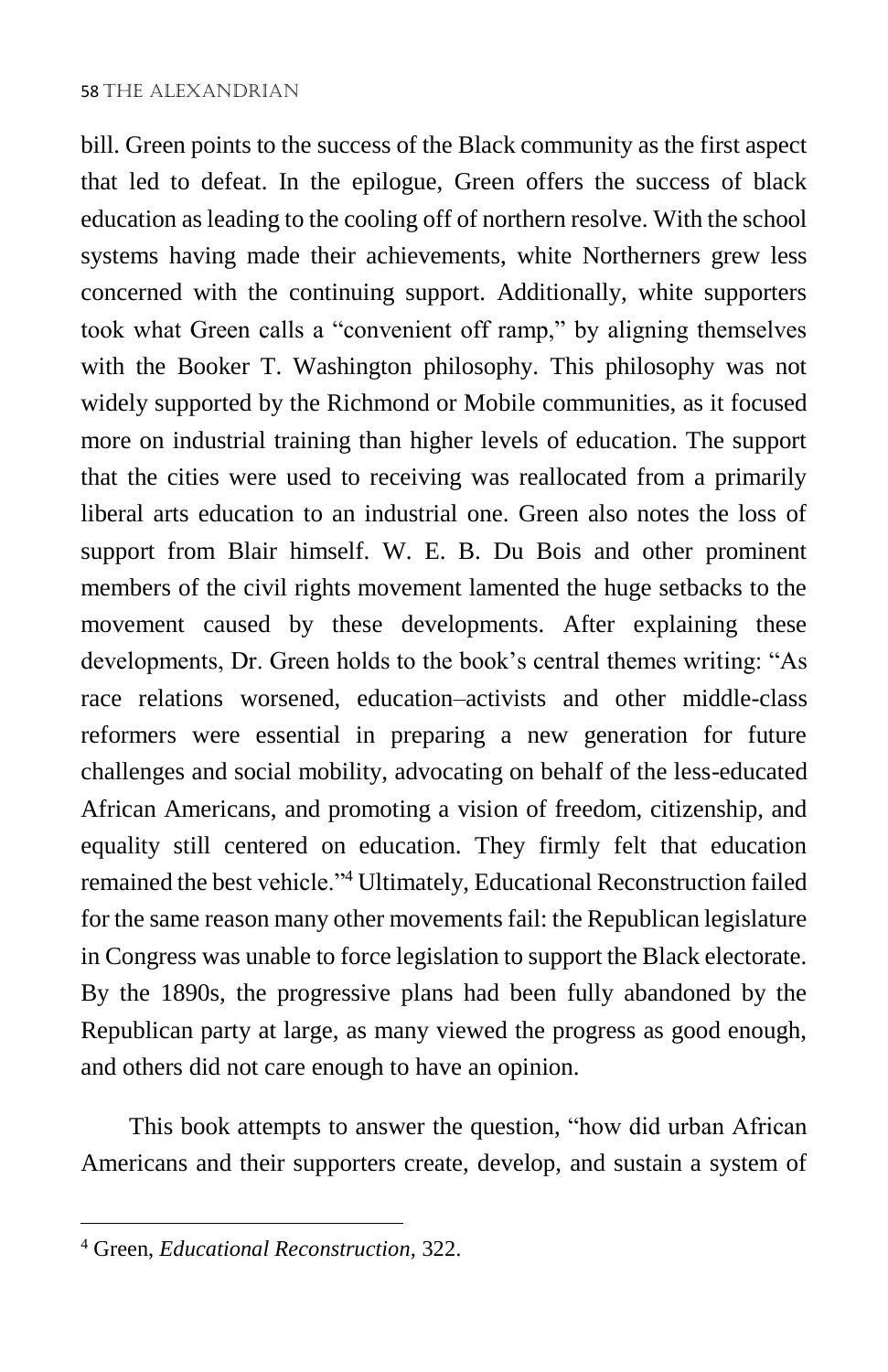bill. Green points to the success of the Black community as the first aspect that led to defeat. In the epilogue, Green offers the success of black education as leading to the cooling off of northern resolve. With the school systems having made their achievements, white Northerners grew less concerned with the continuing support. Additionally, white supporters took what Green calls a "convenient off ramp," by aligning themselves with the Booker T. Washington philosophy. This philosophy was not widely supported by the Richmond or Mobile communities, as it focused more on industrial training than higher levels of education. The support that the cities were used to receiving was reallocated from a primarily liberal arts education to an industrial one. Green also notes the loss of support from Blair himself. W. E. B. Du Bois and other prominent members of the civil rights movement lamented the huge setbacks to the movement caused by these developments. After explaining these developments, Dr. Green holds to the book's central themes writing: "As race relations worsened, education–activists and other middle-class reformers were essential in preparing a new generation for future challenges and social mobility, advocating on behalf of the less-educated African Americans, and promoting a vision of freedom, citizenship, and equality still centered on education. They firmly felt that education remained the best vehicle."<sup>4</sup> Ultimately, Educational Reconstruction failed for the same reason many other movements fail: the Republican legislature in Congress was unable to force legislation to support the Black electorate. By the 1890s, the progressive plans had been fully abandoned by the Republican party at large, as many viewed the progress as good enough, and others did not care enough to have an opinion.

This book attempts to answer the question, "how did urban African Americans and their supporters create, develop, and sustain a system of

 $\overline{a}$ 

<sup>4</sup> Green, *Educational Reconstruction,* 322.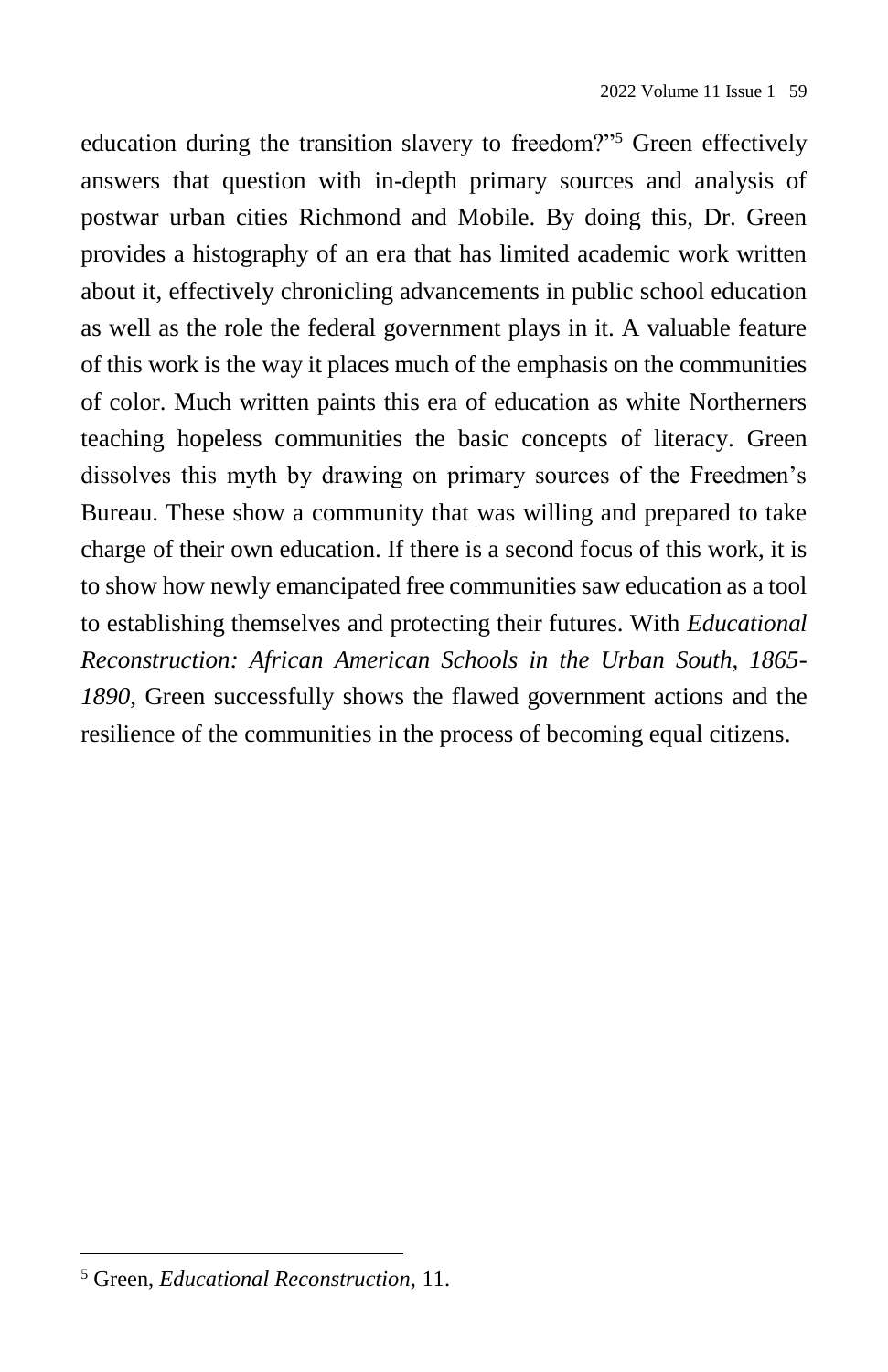education during the transition slavery to freedom?"<sup>5</sup> Green effectively answers that question with in-depth primary sources and analysis of postwar urban cities Richmond and Mobile. By doing this, Dr. Green provides a histography of an era that has limited academic work written about it, effectively chronicling advancements in public school education as well as the role the federal government plays in it. A valuable feature of this work is the way it places much of the emphasis on the communities of color. Much written paints this era of education as white Northerners teaching hopeless communities the basic concepts of literacy. Green dissolves this myth by drawing on primary sources of the Freedmen's Bureau. These show a community that was willing and prepared to take charge of their own education. If there is a second focus of this work, it is to show how newly emancipated free communities saw education as a tool to establishing themselves and protecting their futures. With *Educational Reconstruction: African American Schools in the Urban South, 1865- 1890*, Green successfully shows the flawed government actions and the resilience of the communities in the process of becoming equal citizens.

<sup>5</sup> Green, *Educational Reconstruction,* 11.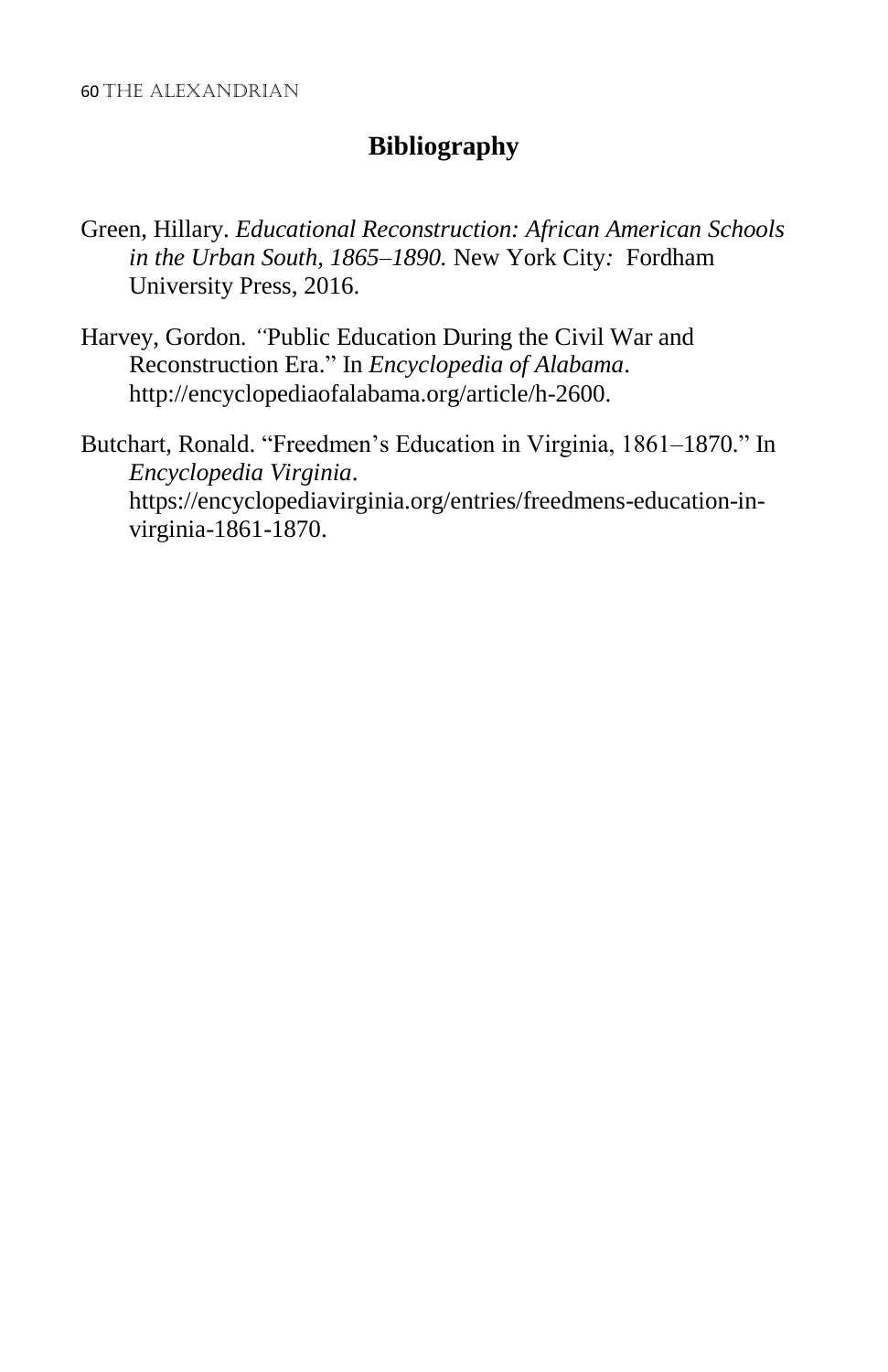## **Bibliography**

- Green, Hillary. *Educational Reconstruction: African American Schools in the Urban South, 1865–1890.* New York City*:* Fordham University Press, 2016.
- Harvey, Gordon*. "*Public Education During the Civil War and Reconstruction Era." In *Encyclopedia of Alabama*. http://encyclopediaofalabama.org/article/h-2600.

Butchart, Ronald. "Freedmen's Education in Virginia, 1861–1870." In *Encyclopedia Virginia*. https://encyclopediavirginia.org/entries/freedmens-education-invirginia-1861-1870.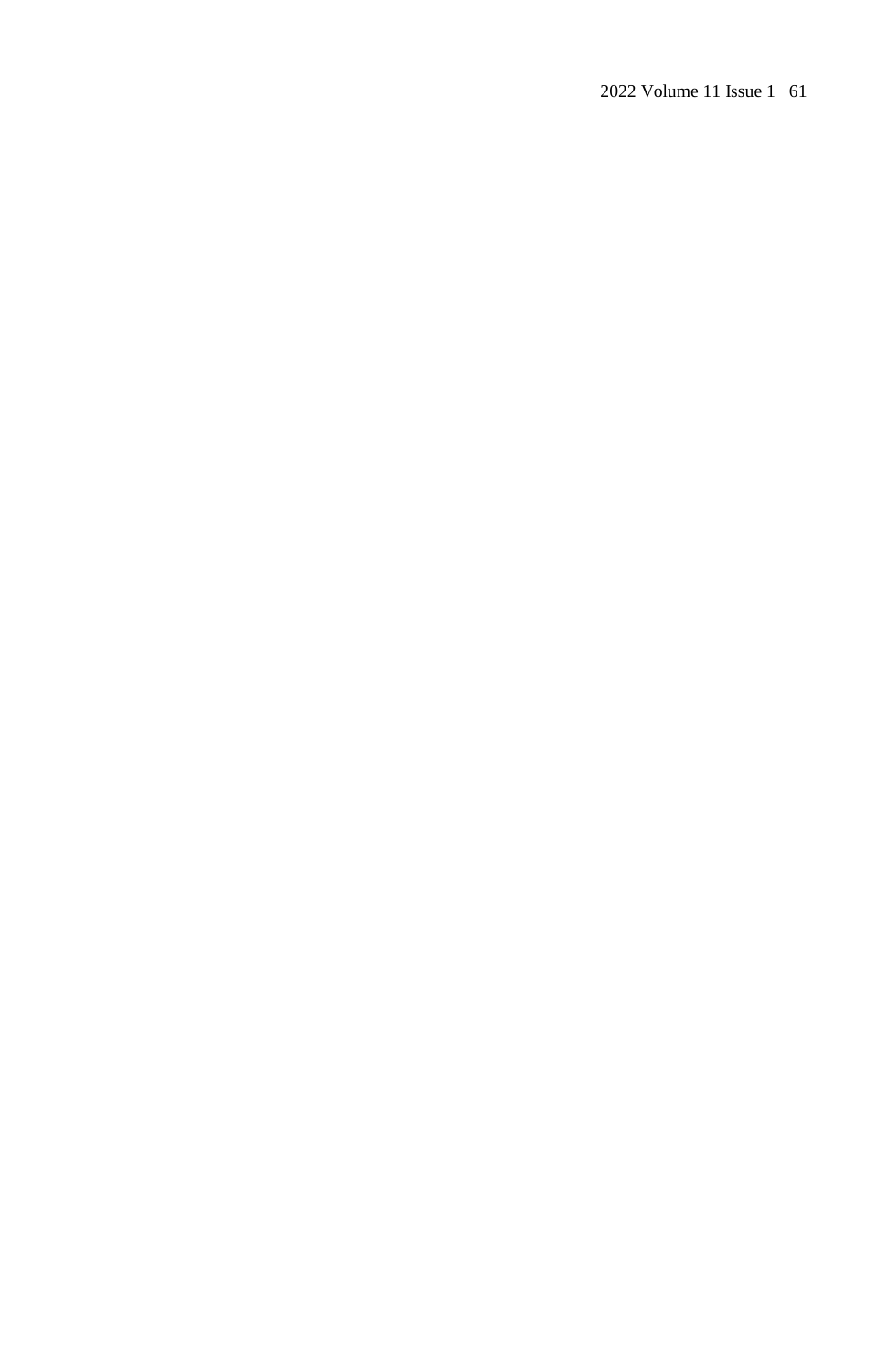#### 2022 Volume 11 Issue 1 61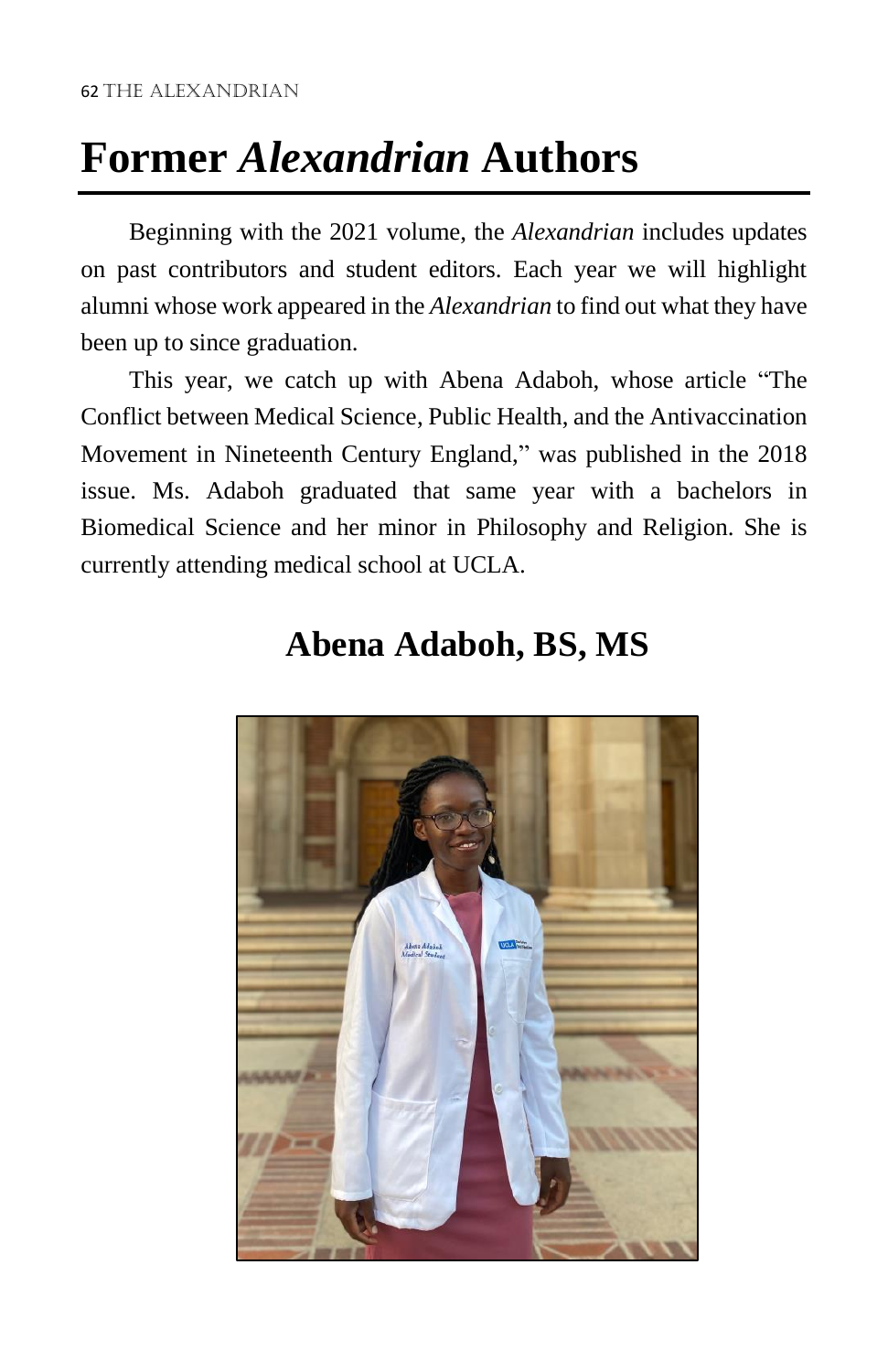# **Former** *Alexandrian* **Authors**

Beginning with the 2021 volume, the *Alexandrian* includes updates on past contributors and student editors. Each year we will highlight alumni whose work appeared in the *Alexandrian* to find out what they have been up to since graduation.

This year, we catch up with Abena Adaboh, whose article "The Conflict between Medical Science, Public Health, and the Antivaccination Movement in Nineteenth Century England," was published in the 2018 issue. Ms. Adaboh graduated that same year with a bachelors in Biomedical Science and her minor in Philosophy and Religion. She is currently attending medical school at UCLA.



# **Abena Adaboh, BS, MS**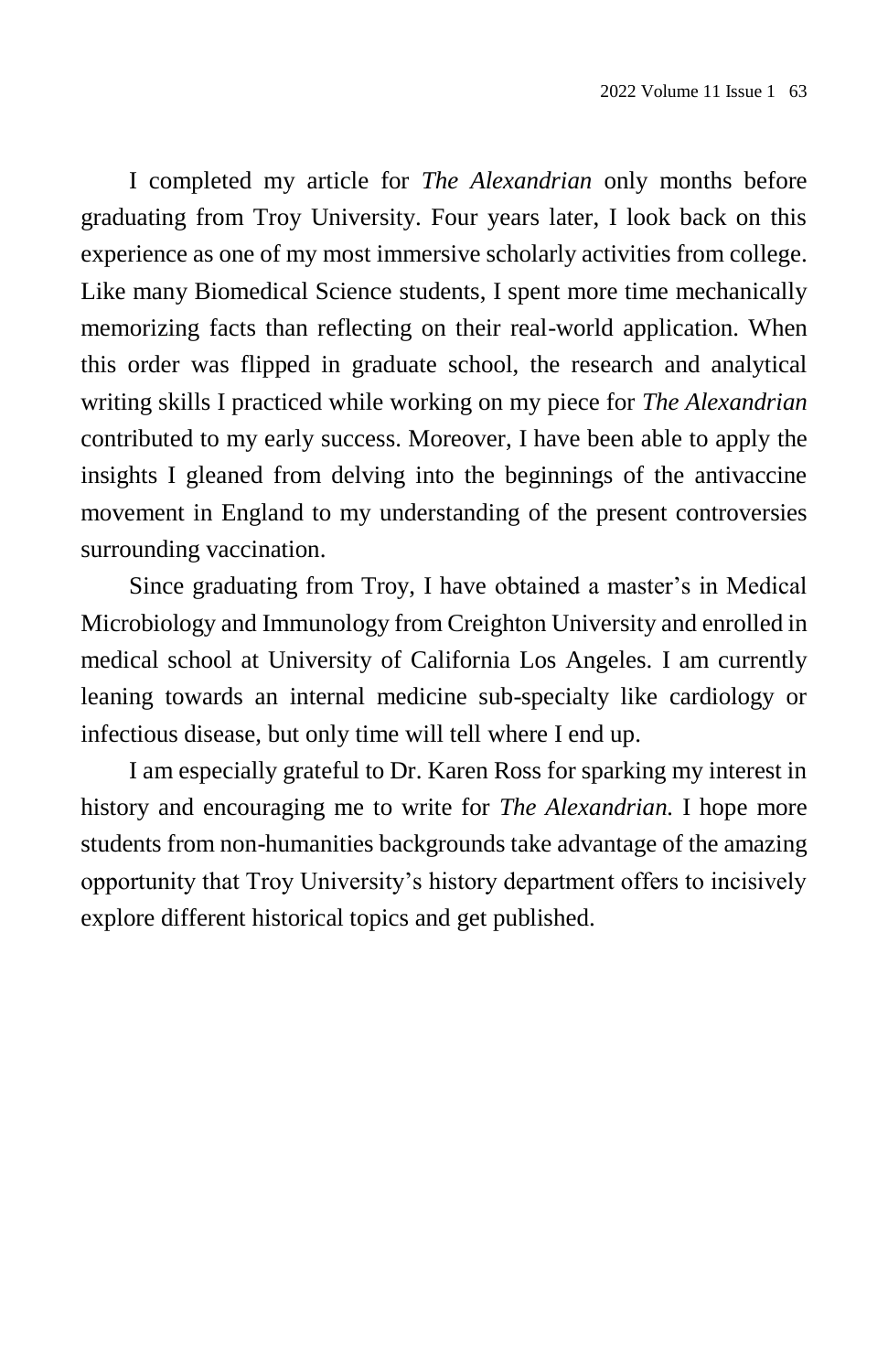I completed my article for *The Alexandrian* only months before graduating from Troy University. Four years later, I look back on this experience as one of my most immersive scholarly activities from college. Like many Biomedical Science students, I spent more time mechanically memorizing facts than reflecting on their real-world application. When this order was flipped in graduate school, the research and analytical writing skills I practiced while working on my piece for *The Alexandrian* contributed to my early success. Moreover, I have been able to apply the insights I gleaned from delving into the beginnings of the antivaccine movement in England to my understanding of the present controversies surrounding vaccination.

Since graduating from Troy, I have obtained a master's in Medical Microbiology and Immunology from Creighton University and enrolled in medical school at University of California Los Angeles. I am currently leaning towards an internal medicine sub-specialty like cardiology or infectious disease, but only time will tell where I end up.

I am especially grateful to Dr. Karen Ross for sparking my interest in history and encouraging me to write for *The Alexandrian.* I hope more students from non-humanities backgrounds take advantage of the amazing opportunity that Troy University's history department offers to incisively explore different historical topics and get published.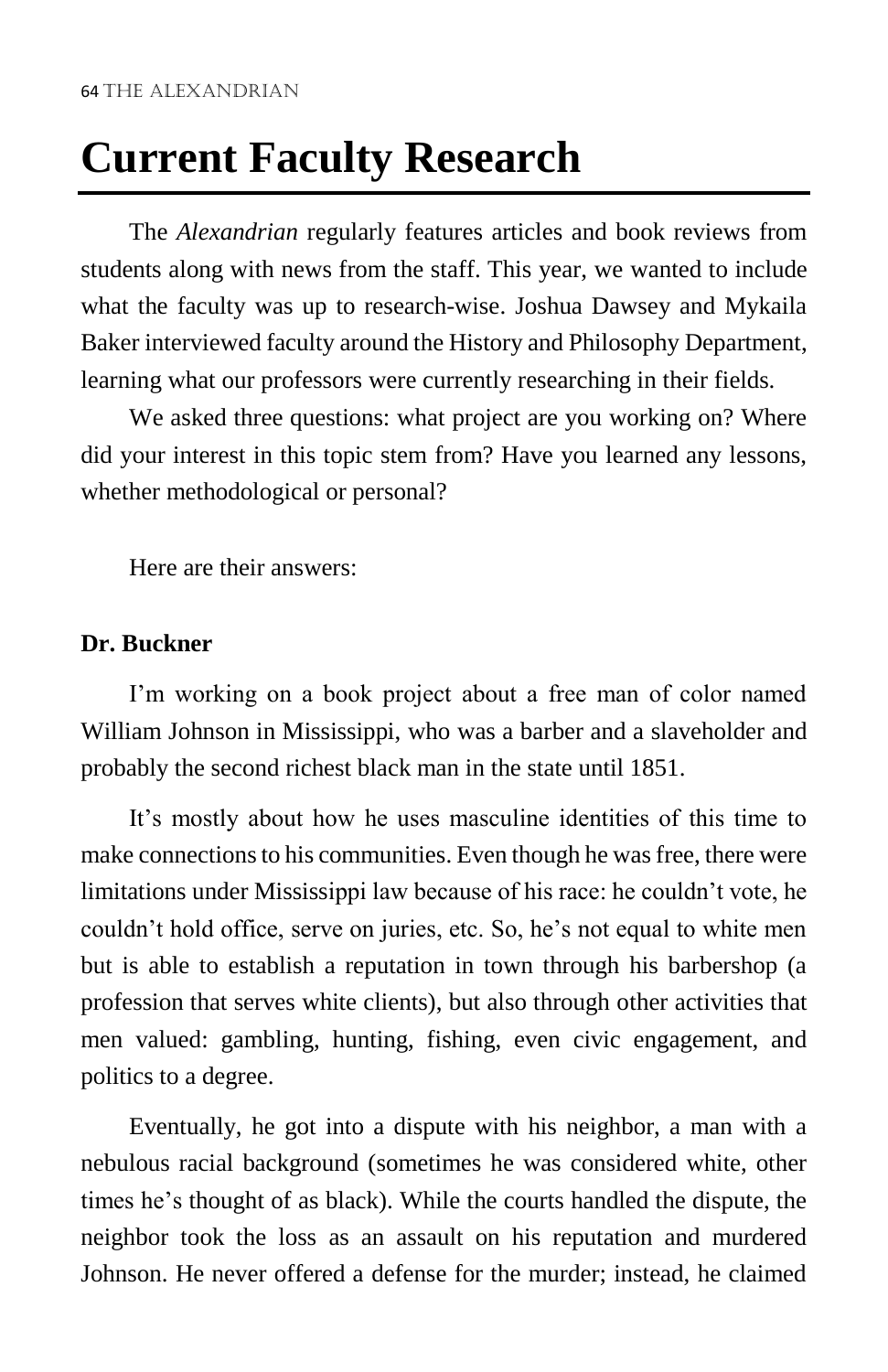# **Current Faculty Research**

The *Alexandrian* regularly features articles and book reviews from students along with news from the staff. This year, we wanted to include what the faculty was up to research-wise. Joshua Dawsey and Mykaila Baker interviewed faculty around the History and Philosophy Department, learning what our professors were currently researching in their fields.

We asked three questions: what project are you working on? Where did your interest in this topic stem from? Have you learned any lessons, whether methodological or personal?

Here are their answers:

### **Dr. Buckner**

I'm working on a book project about a free man of color named William Johnson in Mississippi, who was a barber and a slaveholder and probably the second richest black man in the state until 1851.

It's mostly about how he uses masculine identities of this time to make connections to his communities. Even though he was free, there were limitations under Mississippi law because of his race: he couldn't vote, he couldn't hold office, serve on juries, etc. So, he's not equal to white men but is able to establish a reputation in town through his barbershop (a profession that serves white clients), but also through other activities that men valued: gambling, hunting, fishing, even civic engagement, and politics to a degree.

Eventually, he got into a dispute with his neighbor, a man with a nebulous racial background (sometimes he was considered white, other times he's thought of as black). While the courts handled the dispute, the neighbor took the loss as an assault on his reputation and murdered Johnson. He never offered a defense for the murder; instead, he claimed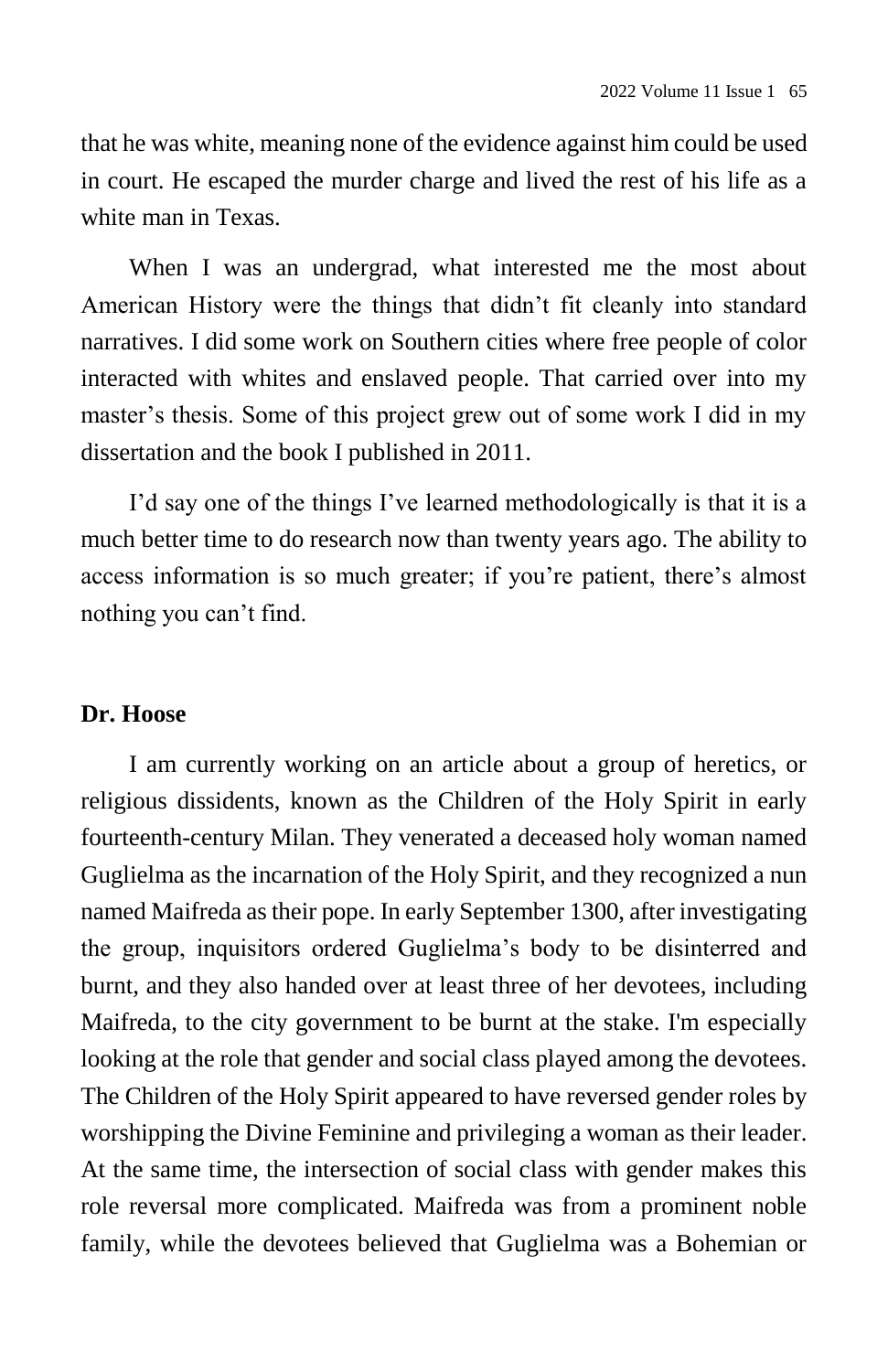that he was white, meaning none of the evidence against him could be used in court. He escaped the murder charge and lived the rest of his life as a white man in Texas.

When I was an undergrad, what interested me the most about American History were the things that didn't fit cleanly into standard narratives. I did some work on Southern cities where free people of color interacted with whites and enslaved people. That carried over into my master's thesis. Some of this project grew out of some work I did in my dissertation and the book I published in 2011.

I'd say one of the things I've learned methodologically is that it is a much better time to do research now than twenty years ago. The ability to access information is so much greater; if you're patient, there's almost nothing you can't find.

### **Dr. Hoose**

I am currently working on an article about a group of heretics, or religious dissidents, known as the Children of the Holy Spirit in early fourteenth-century Milan. They venerated a deceased holy woman named Guglielma as the incarnation of the Holy Spirit, and they recognized a nun named Maifreda as their pope. In early September 1300, after investigating the group, inquisitors ordered Guglielma's body to be disinterred and burnt, and they also handed over at least three of her devotees, including Maifreda, to the city government to be burnt at the stake. I'm especially looking at the role that gender and social class played among the devotees. The Children of the Holy Spirit appeared to have reversed gender roles by worshipping the Divine Feminine and privileging a woman as their leader. At the same time, the intersection of social class with gender makes this role reversal more complicated. Maifreda was from a prominent noble family, while the devotees believed that Guglielma was a Bohemian or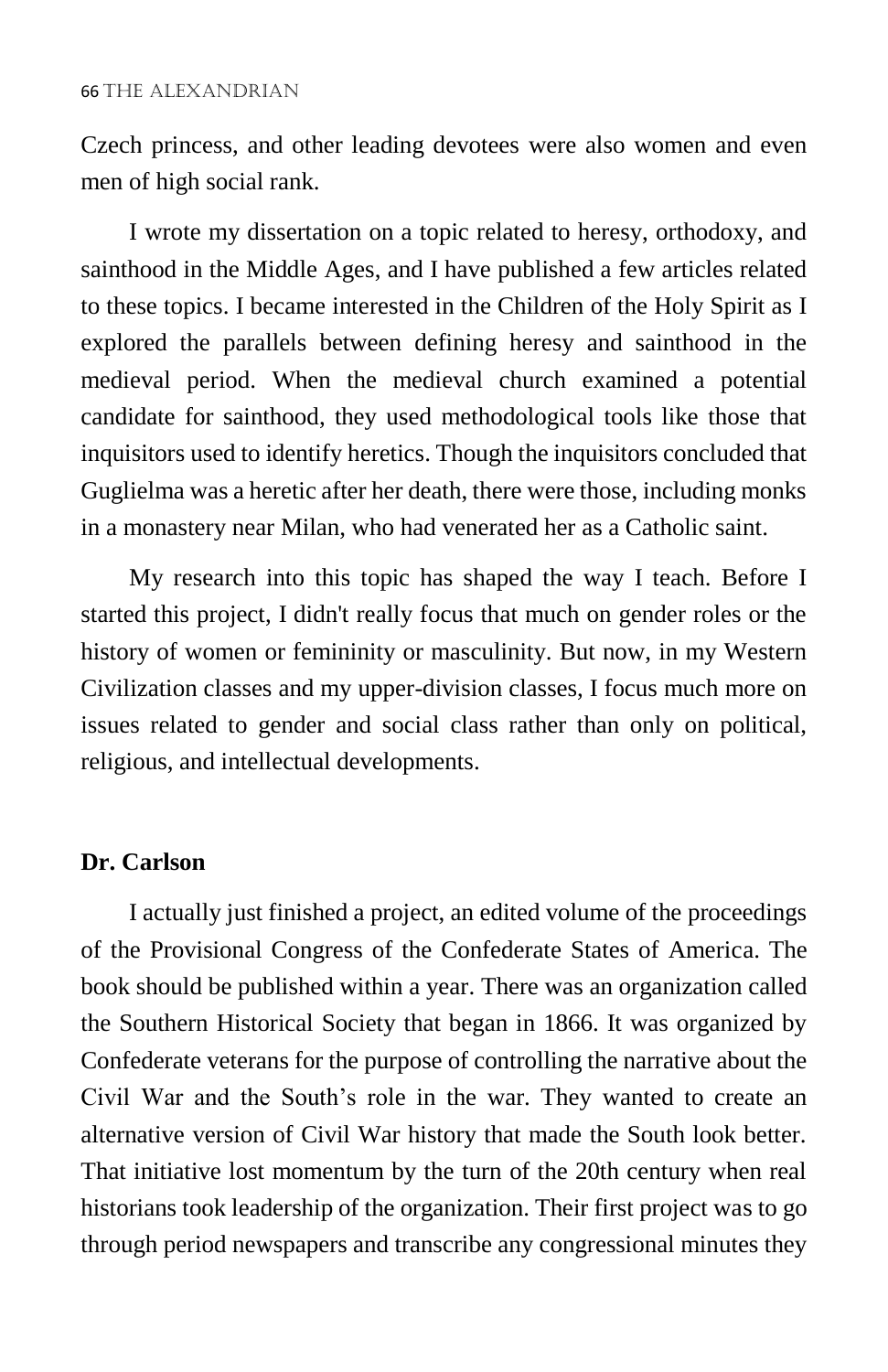Czech princess, and other leading devotees were also women and even men of high social rank.

I wrote my dissertation on a topic related to heresy, orthodoxy, and sainthood in the Middle Ages, and I have published a few articles related to these topics. I became interested in the Children of the Holy Spirit as I explored the parallels between defining heresy and sainthood in the medieval period. When the medieval church examined a potential candidate for sainthood, they used methodological tools like those that inquisitors used to identify heretics. Though the inquisitors concluded that Guglielma was a heretic after her death, there were those, including monks in a monastery near Milan, who had venerated her as a Catholic saint.

My research into this topic has shaped the way I teach. Before I started this project, I didn't really focus that much on gender roles or the history of women or femininity or masculinity. But now, in my Western Civilization classes and my upper-division classes, I focus much more on issues related to gender and social class rather than only on political, religious, and intellectual developments.

### **Dr. Carlson**

I actually just finished a project, an edited volume of the proceedings of the Provisional Congress of the Confederate States of America. The book should be published within a year. There was an organization called the Southern Historical Society that began in 1866. It was organized by Confederate veterans for the purpose of controlling the narrative about the Civil War and the South's role in the war. They wanted to create an alternative version of Civil War history that made the South look better. That initiative lost momentum by the turn of the 20th century when real historians took leadership of the organization. Their first project was to go through period newspapers and transcribe any congressional minutes they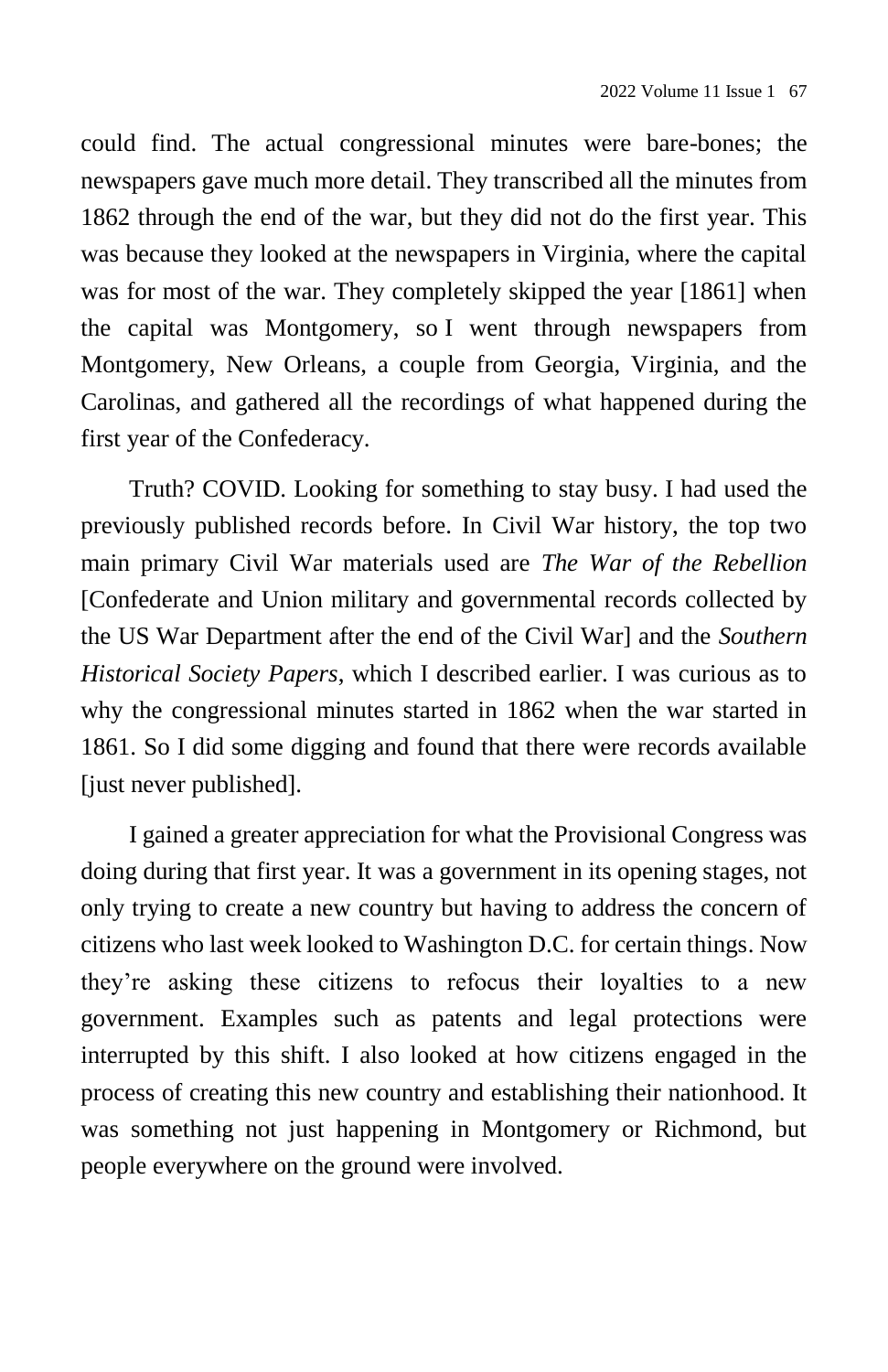could find. The actual congressional minutes were bare-bones; the newspapers gave much more detail. They transcribed all the minutes from 1862 through the end of the war, but they did not do the first year. This was because they looked at the newspapers in Virginia, where the capital was for most of the war. They completely skipped the year [1861] when the capital was Montgomery, so I went through newspapers from Montgomery, New Orleans, a couple from Georgia, Virginia, and the Carolinas, and gathered all the recordings of what happened during the first year of the Confederacy.

Truth? COVID. Looking for something to stay busy. I had used the previously published records before. In Civil War history, the top two main primary Civil War materials used are *The War of the Rebellion* [Confederate and Union military and governmental records collected by the US War Department after the end of the Civil War] and the *Southern Historical Society Papers*, which I described earlier. I was curious as to why the congressional minutes started in 1862 when the war started in 1861. So I did some digging and found that there were records available [just never published].

I gained a greater appreciation for what the Provisional Congress was doing during that first year. It was a government in its opening stages, not only trying to create a new country but having to address the concern of citizens who last week looked to Washington D.C. for certain things. Now they're asking these citizens to refocus their loyalties to a new government. Examples such as patents and legal protections were interrupted by this shift. I also looked at how citizens engaged in the process of creating this new country and establishing their nationhood. It was something not just happening in Montgomery or Richmond, but people everywhere on the ground were involved.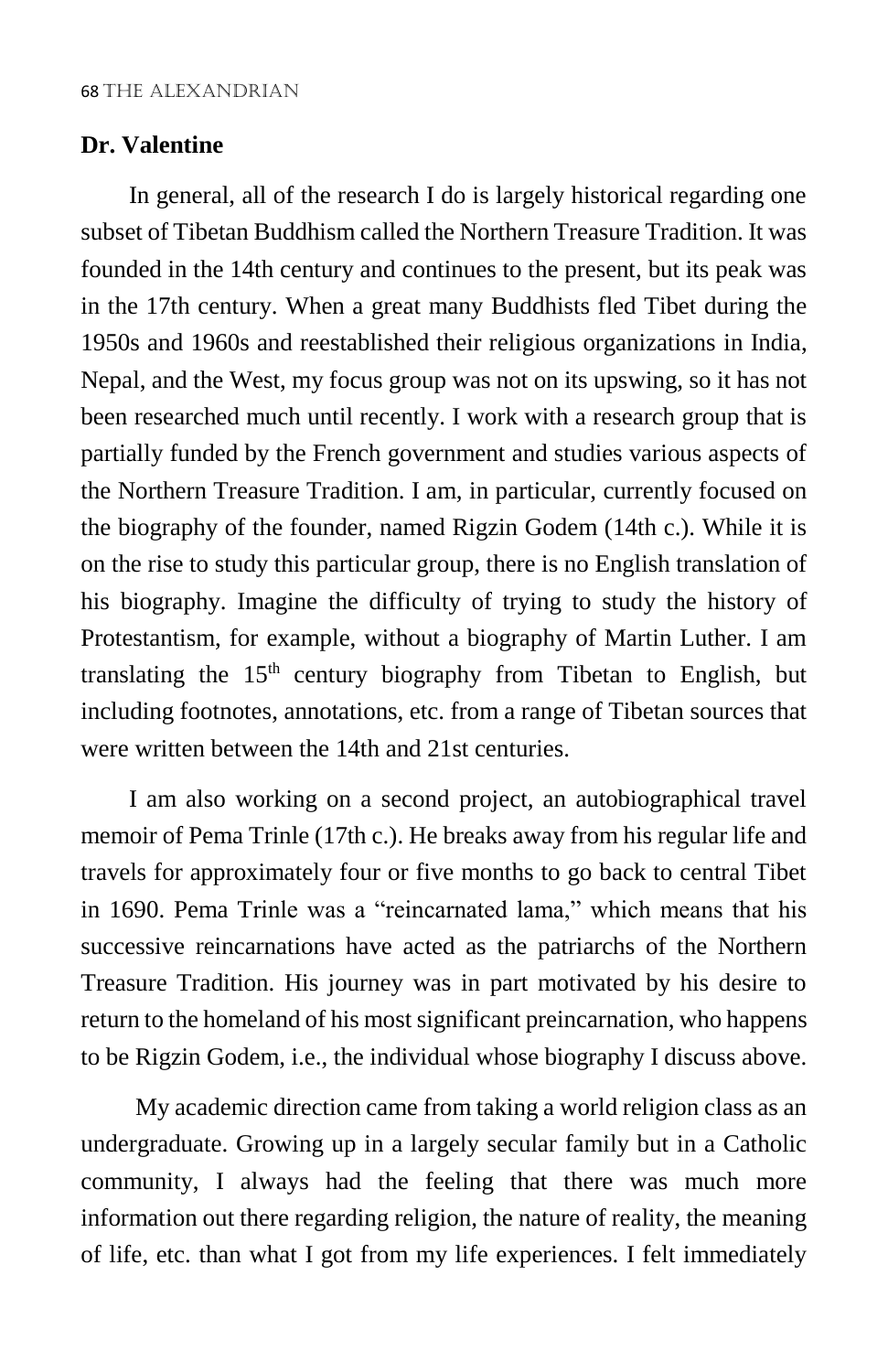### **Dr. Valentine**

In general, all of the research I do is largely historical regarding one subset of Tibetan Buddhism called the Northern Treasure Tradition. It was founded in the 14th century and continues to the present, but its peak was in the 17th century. When a great many Buddhists fled Tibet during the 1950s and 1960s and reestablished their religious organizations in India, Nepal, and the West, my focus group was not on its upswing, so it has not been researched much until recently. I work with a research group that is partially funded by the French government and studies various aspects of the Northern Treasure Tradition. I am, in particular, currently focused on the biography of the founder, named Rigzin Godem (14th c.). While it is on the rise to study this particular group, there is no English translation of his biography. Imagine the difficulty of trying to study the history of Protestantism, for example, without a biography of Martin Luther. I am translating the  $15<sup>th</sup>$  century biography from Tibetan to English, but including footnotes, annotations, etc. from a range of Tibetan sources that were written between the 14th and 21st centuries.

I am also working on a second project, an autobiographical travel memoir of Pema Trinle (17th c.). He breaks away from his regular life and travels for approximately four or five months to go back to central Tibet in 1690. Pema Trinle was a "reincarnated lama," which means that his successive reincarnations have acted as the patriarchs of the Northern Treasure Tradition. His journey was in part motivated by his desire to return to the homeland of his most significant preincarnation, who happens to be Rigzin Godem, i.e., the individual whose biography I discuss above.

My academic direction came from taking a world religion class as an undergraduate. Growing up in a largely secular family but in a Catholic community, I always had the feeling that there was much more information out there regarding religion, the nature of reality, the meaning of life, etc. than what I got from my life experiences. I felt immediately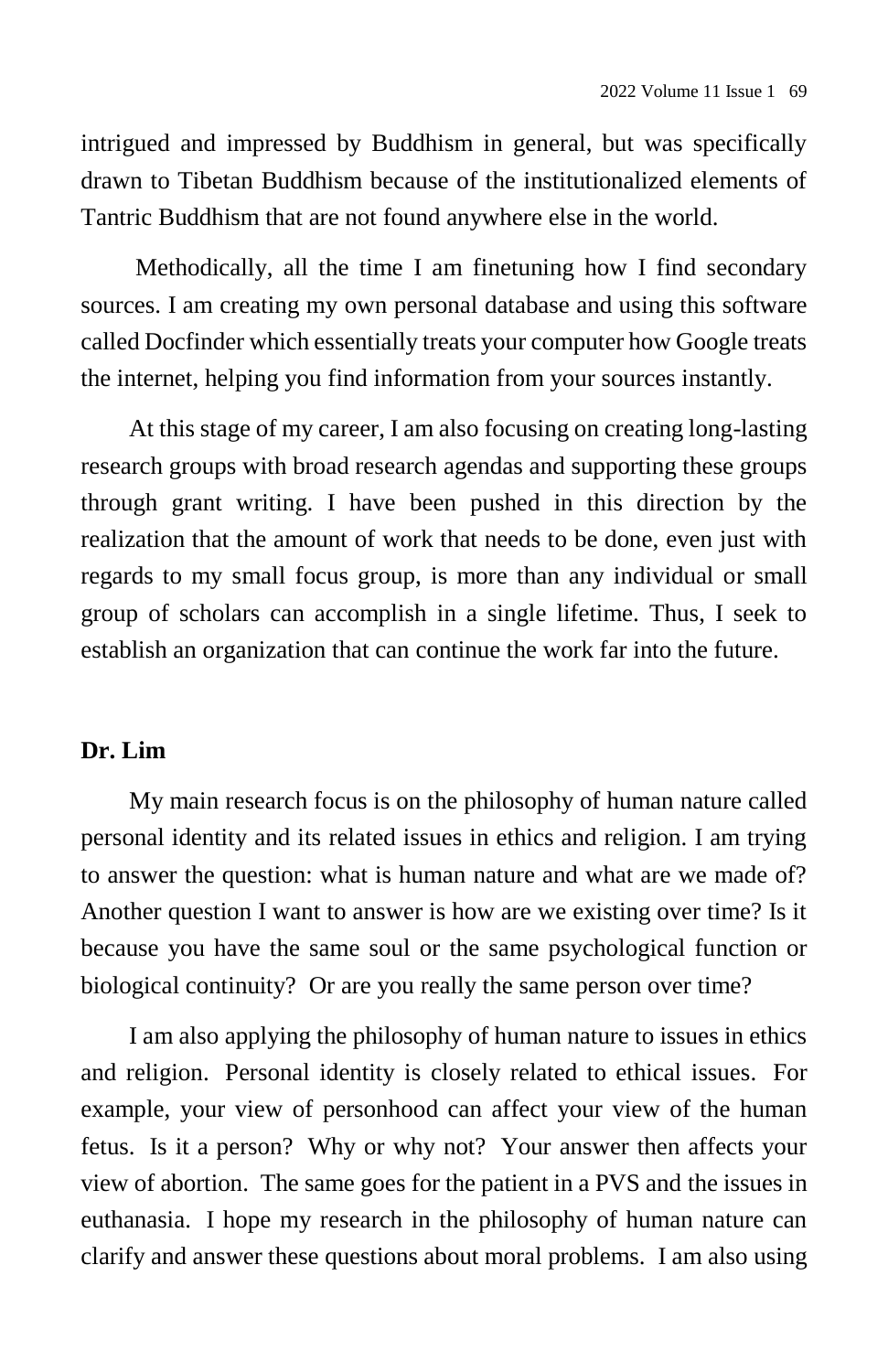intrigued and impressed by Buddhism in general, but was specifically drawn to Tibetan Buddhism because of the institutionalized elements of Tantric Buddhism that are not found anywhere else in the world.

Methodically, all the time I am finetuning how I find secondary sources. I am creating my own personal database and using this software called Docfinder which essentially treats your computer how Google treats the internet, helping you find information from your sources instantly.

At this stage of my career, I am also focusing on creating long-lasting research groups with broad research agendas and supporting these groups through grant writing. I have been pushed in this direction by the realization that the amount of work that needs to be done, even just with regards to my small focus group, is more than any individual or small group of scholars can accomplish in a single lifetime. Thus, I seek to establish an organization that can continue the work far into the future.

### **Dr. Lim**

My main research focus is on the philosophy of human nature called personal identity and its related issues in ethics and religion. I am trying to answer the question: what is human nature and what are we made of? Another question I want to answer is how are we existing over time? Is it because you have the same soul or the same psychological function or biological continuity? Or are you really the same person over time?

I am also applying the philosophy of human nature to issues in ethics and religion. Personal identity is closely related to ethical issues. For example, your view of personhood can affect your view of the human fetus. Is it a person? Why or why not? Your answer then affects your view of abortion. The same goes for the patient in a PVS and the issues in euthanasia. I hope my research in the philosophy of human nature can clarify and answer these questions about moral problems. I am also using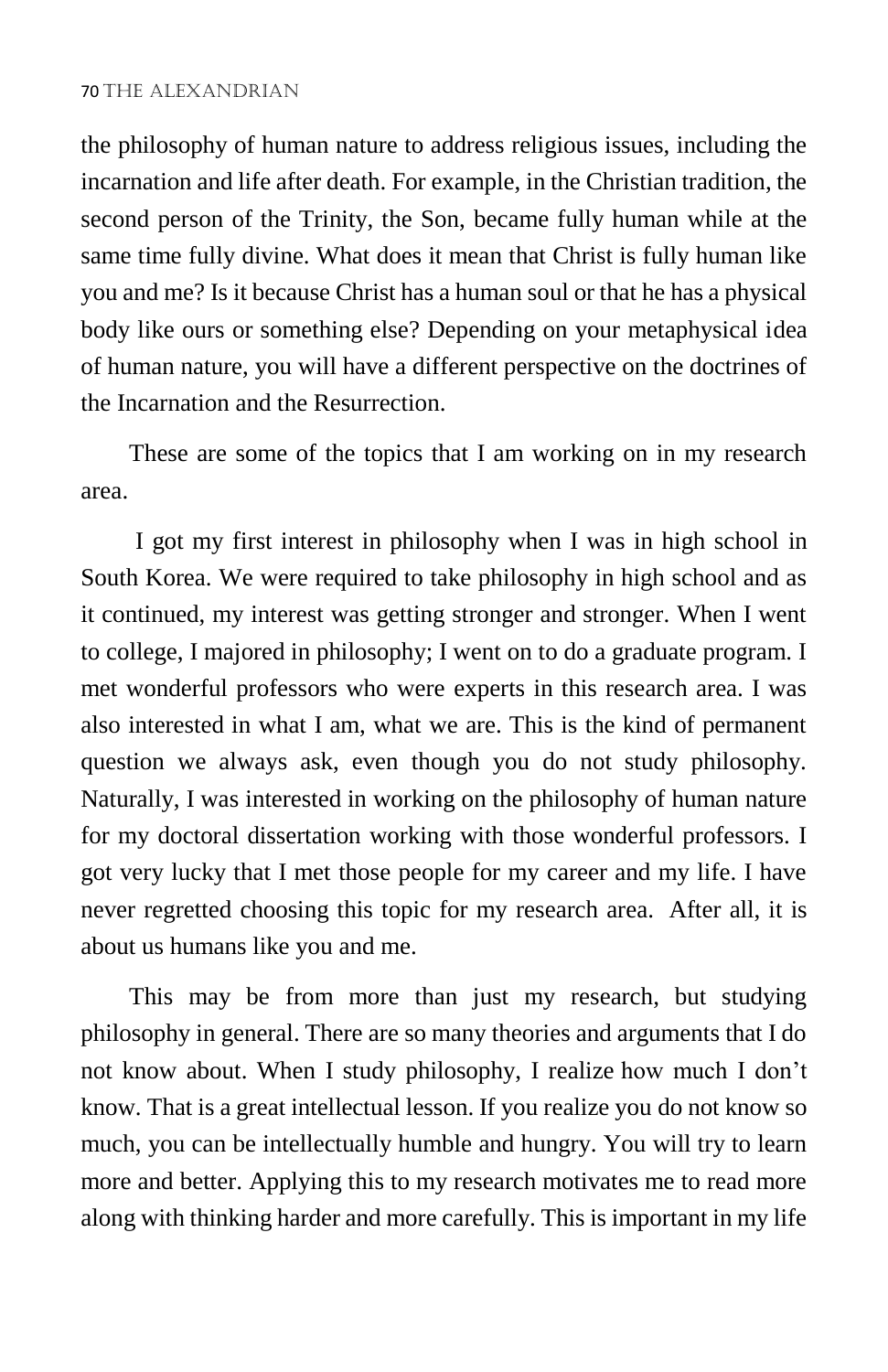#### 70 The Alexandrian

the philosophy of human nature to address religious issues, including the incarnation and life after death. For example, in the Christian tradition, the second person of the Trinity, the Son, became fully human while at the same time fully divine. What does it mean that Christ is fully human like you and me? Is it because Christ has a human soul or that he has a physical body like ours or something else? Depending on your metaphysical idea of human nature, you will have a different perspective on the doctrines of the Incarnation and the Resurrection.

These are some of the topics that I am working on in my research area.

I got my first interest in philosophy when I was in high school in South Korea. We were required to take philosophy in high school and as it continued, my interest was getting stronger and stronger. When I went to college, I majored in philosophy; I went on to do a graduate program. I met wonderful professors who were experts in this research area. I was also interested in what I am, what we are. This is the kind of permanent question we always ask, even though you do not study philosophy. Naturally, I was interested in working on the philosophy of human nature for my doctoral dissertation working with those wonderful professors. I got very lucky that I met those people for my career and my life. I have never regretted choosing this topic for my research area. After all, it is about us humans like you and me.

This may be from more than just my research, but studying philosophy in general. There are so many theories and arguments that I do not know about. When I study philosophy, I realize how much I don't know. That is a great intellectual lesson. If you realize you do not know so much, you can be intellectually humble and hungry. You will try to learn more and better. Applying this to my research motivates me to read more along with thinking harder and more carefully. This is important in my life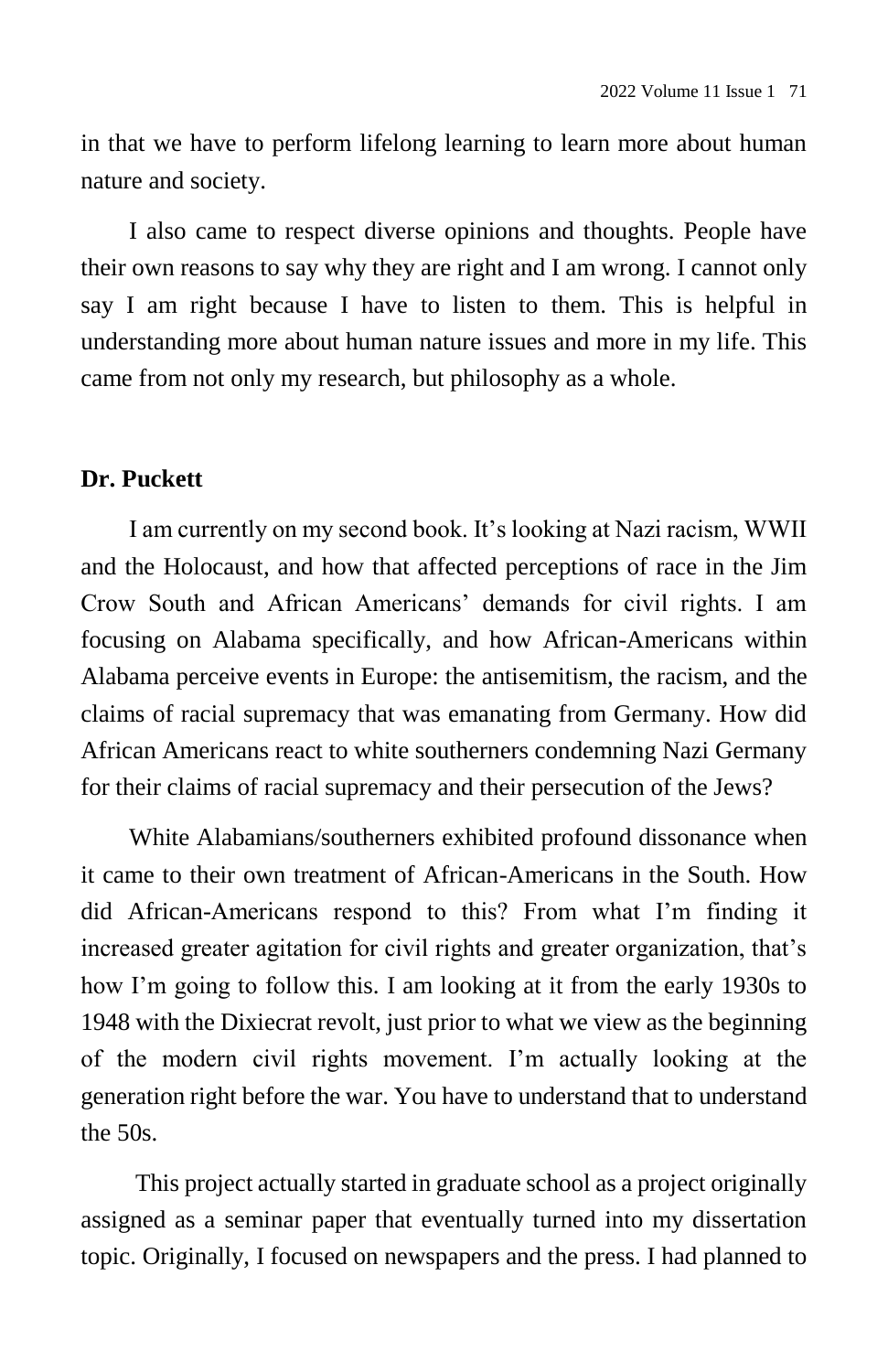in that we have to perform lifelong learning to learn more about human nature and society.

I also came to respect diverse opinions and thoughts. People have their own reasons to say why they are right and I am wrong. I cannot only say I am right because I have to listen to them. This is helpful in understanding more about human nature issues and more in my life. This came from not only my research, but philosophy as a whole.

### **Dr. Puckett**

I am currently on my second book. It's looking at Nazi racism, WWII and the Holocaust, and how that affected perceptions of race in the Jim Crow South and African Americans' demands for civil rights. I am focusing on Alabama specifically, and how African-Americans within Alabama perceive events in Europe: the antisemitism, the racism, and the claims of racial supremacy that was emanating from Germany. How did African Americans react to white southerners condemning Nazi Germany for their claims of racial supremacy and their persecution of the Jews?

White Alabamians/southerners exhibited profound dissonance when it came to their own treatment of African-Americans in the South. How did African-Americans respond to this? From what I'm finding it increased greater agitation for civil rights and greater organization, that's how I'm going to follow this. I am looking at it from the early 1930s to 1948 with the Dixiecrat revolt, just prior to what we view as the beginning of the modern civil rights movement. I'm actually looking at the generation right before the war. You have to understand that to understand the 50s.

This project actually started in graduate school as a project originally assigned as a seminar paper that eventually turned into my dissertation topic. Originally, I focused on newspapers and the press. I had planned to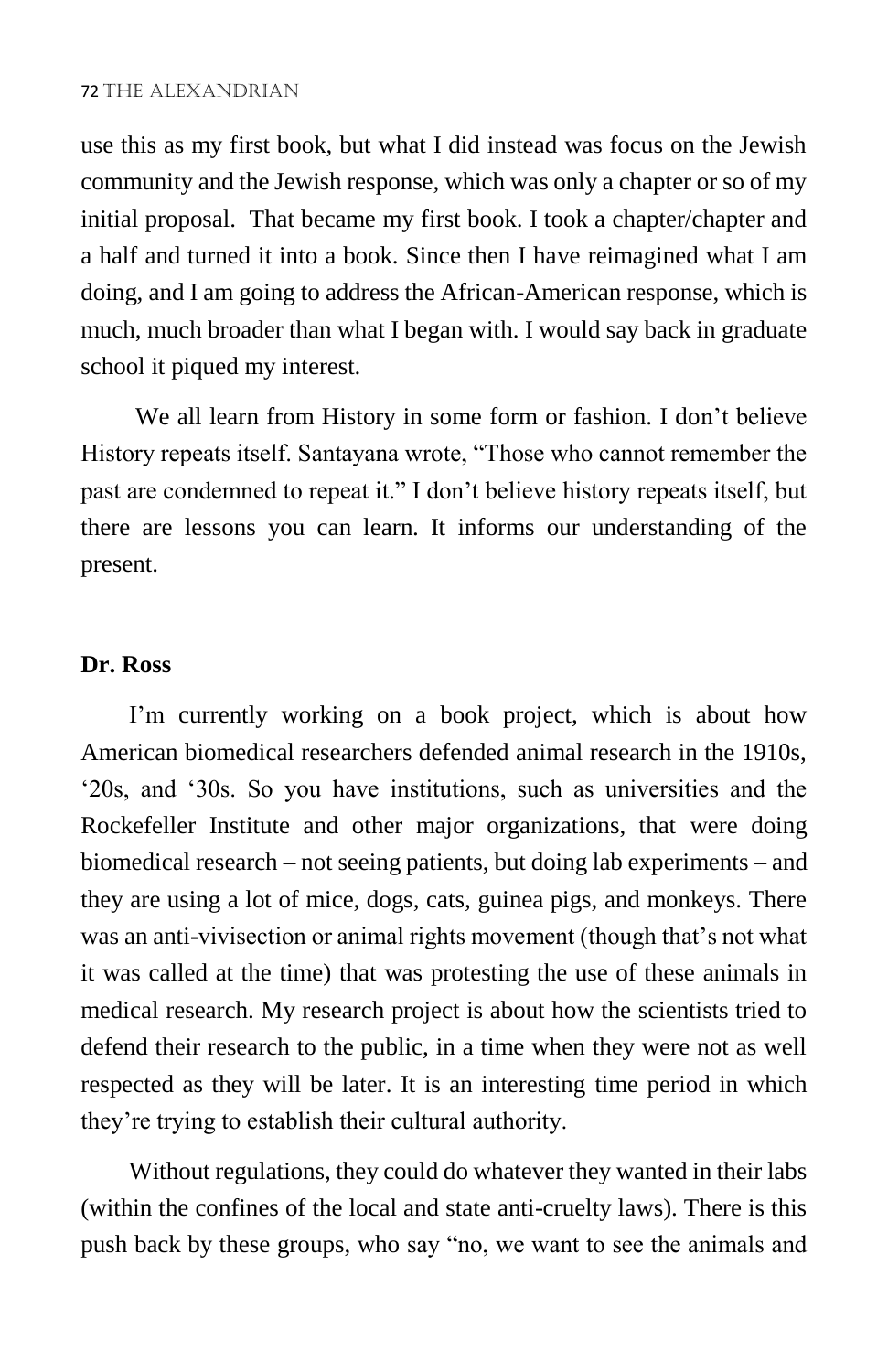use this as my first book, but what I did instead was focus on the Jewish community and the Jewish response, which was only a chapter or so of my initial proposal. That became my first book. I took a chapter/chapter and a half and turned it into a book. Since then I have reimagined what I am doing, and I am going to address the African-American response, which is much, much broader than what I began with. I would say back in graduate school it piqued my interest.

We all learn from History in some form or fashion. I don't believe History repeats itself. Santayana wrote, "Those who cannot remember the past are condemned to repeat it." I don't believe history repeats itself, but there are lessons you can learn. It informs our understanding of the present.

### **Dr. Ross**

I'm currently working on a book project, which is about how American biomedical researchers defended animal research in the 1910s, '20s, and '30s. So you have institutions, such as universities and the Rockefeller Institute and other major organizations, that were doing biomedical research – not seeing patients, but doing lab experiments – and they are using a lot of mice, dogs, cats, guinea pigs, and monkeys. There was an anti-vivisection or animal rights movement (though that's not what it was called at the time) that was protesting the use of these animals in medical research. My research project is about how the scientists tried to defend their research to the public, in a time when they were not as well respected as they will be later. It is an interesting time period in which they're trying to establish their cultural authority.

Without regulations, they could do whatever they wanted in their labs (within the confines of the local and state anti-cruelty laws). There is this push back by these groups, who say "no, we want to see the animals and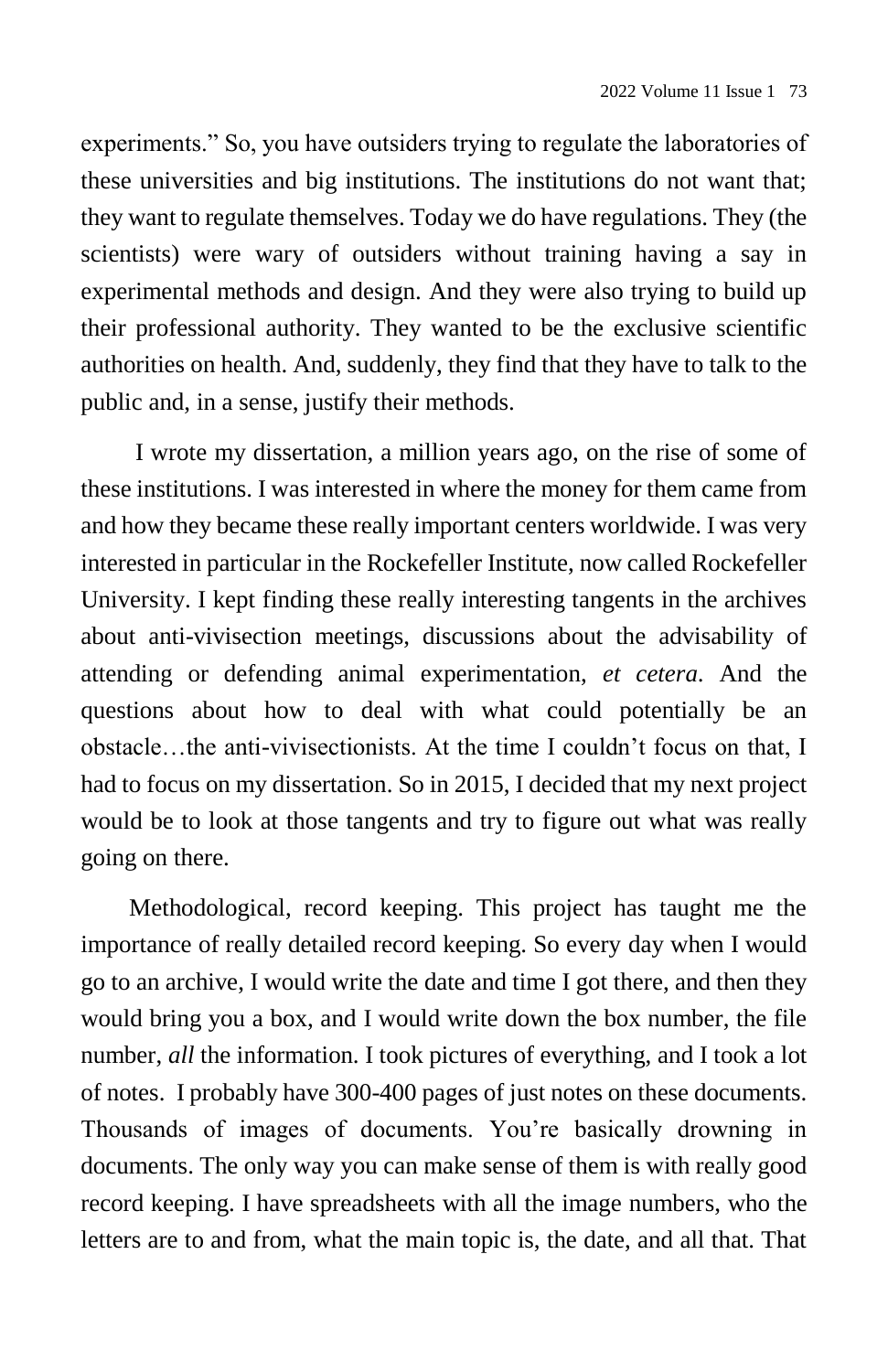experiments." So, you have outsiders trying to regulate the laboratories of these universities and big institutions. The institutions do not want that; they want to regulate themselves. Today we do have regulations. They (the scientists) were wary of outsiders without training having a say in experimental methods and design. And they were also trying to build up their professional authority. They wanted to be the exclusive scientific authorities on health. And, suddenly, they find that they have to talk to the public and, in a sense, justify their methods.

I wrote my dissertation, a million years ago, on the rise of some of these institutions. I was interested in where the money for them came from and how they became these really important centers worldwide. I was very interested in particular in the Rockefeller Institute, now called Rockefeller University. I kept finding these really interesting tangents in the archives about anti-vivisection meetings, discussions about the advisability of attending or defending animal experimentation, *et cetera*. And the questions about how to deal with what could potentially be an obstacle…the anti-vivisectionists. At the time I couldn't focus on that, I had to focus on my dissertation. So in 2015, I decided that my next project would be to look at those tangents and try to figure out what was really going on there.

Methodological, record keeping. This project has taught me the importance of really detailed record keeping. So every day when I would go to an archive, I would write the date and time I got there, and then they would bring you a box, and I would write down the box number, the file number, *all* the information. I took pictures of everything, and I took a lot of notes. I probably have 300-400 pages of just notes on these documents. Thousands of images of documents. You're basically drowning in documents. The only way you can make sense of them is with really good record keeping. I have spreadsheets with all the image numbers, who the letters are to and from, what the main topic is, the date, and all that. That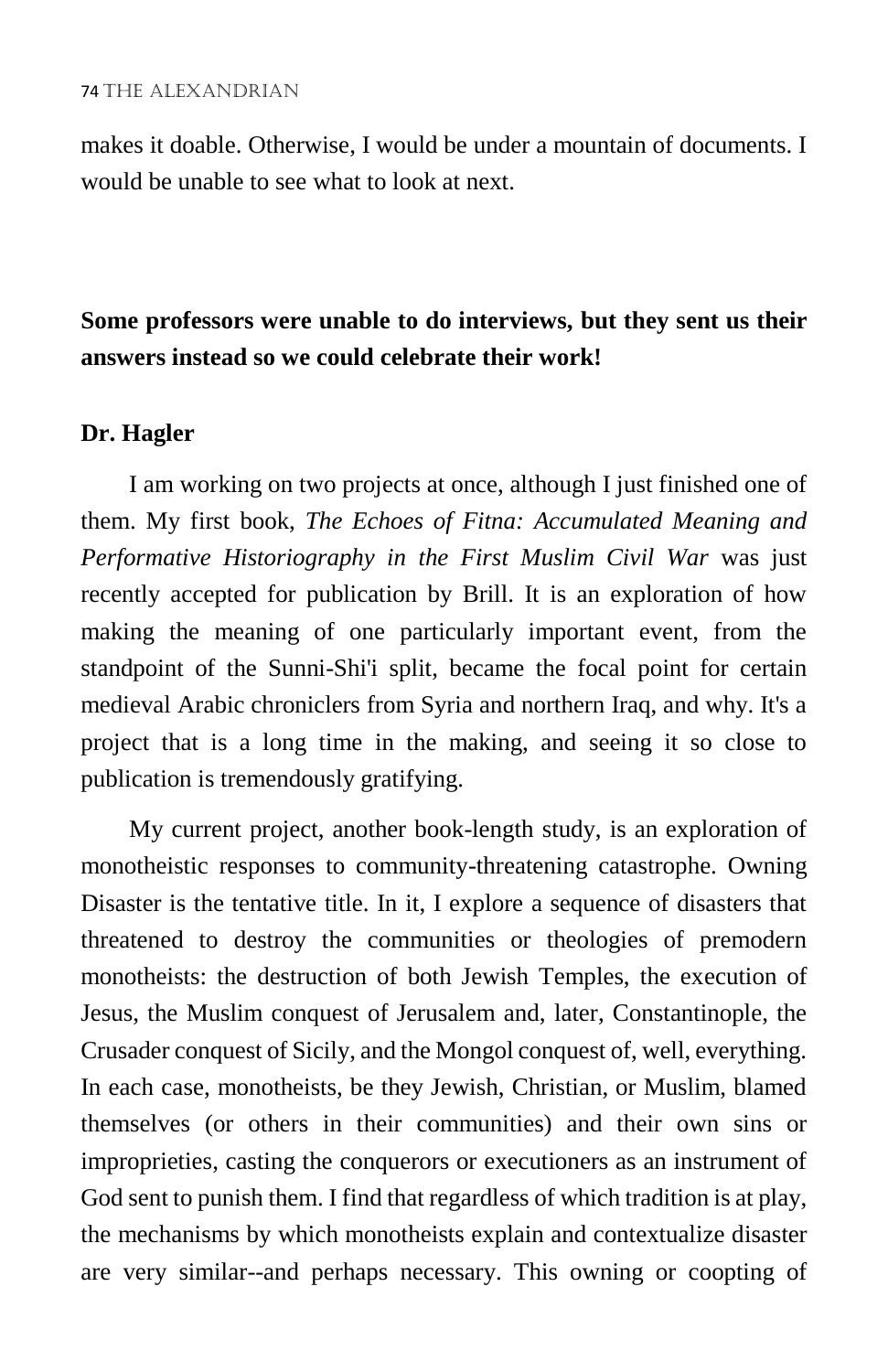makes it doable. Otherwise, I would be under a mountain of documents. I would be unable to see what to look at next.

## **Some professors were unable to do interviews, but they sent us their answers instead so we could celebrate their work!**

## **Dr. Hagler**

I am working on two projects at once, although I just finished one of them. My first book, *The Echoes of Fitna: Accumulated Meaning and Performative Historiography in the First Muslim Civil War* was just recently accepted for publication by Brill. It is an exploration of how making the meaning of one particularly important event, from the standpoint of the Sunni-Shi'i split, became the focal point for certain medieval Arabic chroniclers from Syria and northern Iraq, and why. It's a project that is a long time in the making, and seeing it so close to publication is tremendously gratifying.

My current project, another book-length study, is an exploration of monotheistic responses to community-threatening catastrophe. Owning Disaster is the tentative title. In it, I explore a sequence of disasters that threatened to destroy the communities or theologies of premodern monotheists: the destruction of both Jewish Temples, the execution of Jesus, the Muslim conquest of Jerusalem and, later, Constantinople, the Crusader conquest of Sicily, and the Mongol conquest of, well, everything. In each case, monotheists, be they Jewish, Christian, or Muslim, blamed themselves (or others in their communities) and their own sins or improprieties, casting the conquerors or executioners as an instrument of God sent to punish them. I find that regardless of which tradition is at play, the mechanisms by which monotheists explain and contextualize disaster are very similar--and perhaps necessary. This owning or coopting of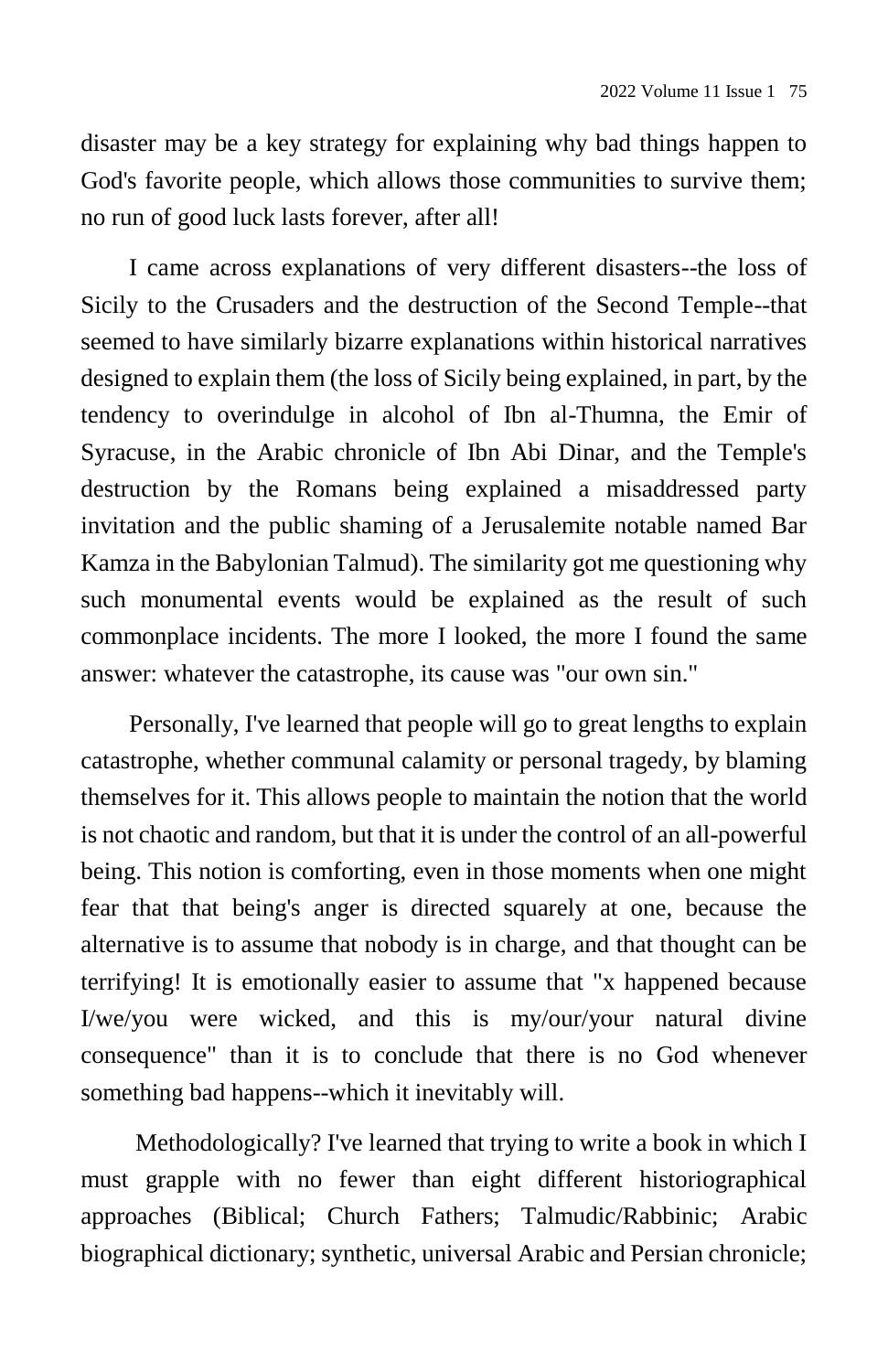disaster may be a key strategy for explaining why bad things happen to God's favorite people, which allows those communities to survive them; no run of good luck lasts forever, after all!

I came across explanations of very different disasters--the loss of Sicily to the Crusaders and the destruction of the Second Temple--that seemed to have similarly bizarre explanations within historical narratives designed to explain them (the loss of Sicily being explained, in part, by the tendency to overindulge in alcohol of Ibn al-Thumna, the Emir of Syracuse, in the Arabic chronicle of Ibn Abi Dinar, and the Temple's destruction by the Romans being explained a misaddressed party invitation and the public shaming of a Jerusalemite notable named Bar Kamza in the Babylonian Talmud). The similarity got me questioning why such monumental events would be explained as the result of such commonplace incidents. The more I looked, the more I found the same answer: whatever the catastrophe, its cause was "our own sin."

Personally, I've learned that people will go to great lengths to explain catastrophe, whether communal calamity or personal tragedy, by blaming themselves for it. This allows people to maintain the notion that the world is not chaotic and random, but that it is under the control of an all-powerful being. This notion is comforting, even in those moments when one might fear that that being's anger is directed squarely at one, because the alternative is to assume that nobody is in charge, and that thought can be terrifying! It is emotionally easier to assume that "x happened because I/we/you were wicked, and this is my/our/your natural divine consequence" than it is to conclude that there is no God whenever something bad happens--which it inevitably will.

Methodologically? I've learned that trying to write a book in which I must grapple with no fewer than eight different historiographical approaches (Biblical; Church Fathers; Talmudic/Rabbinic; Arabic biographical dictionary; synthetic, universal Arabic and Persian chronicle;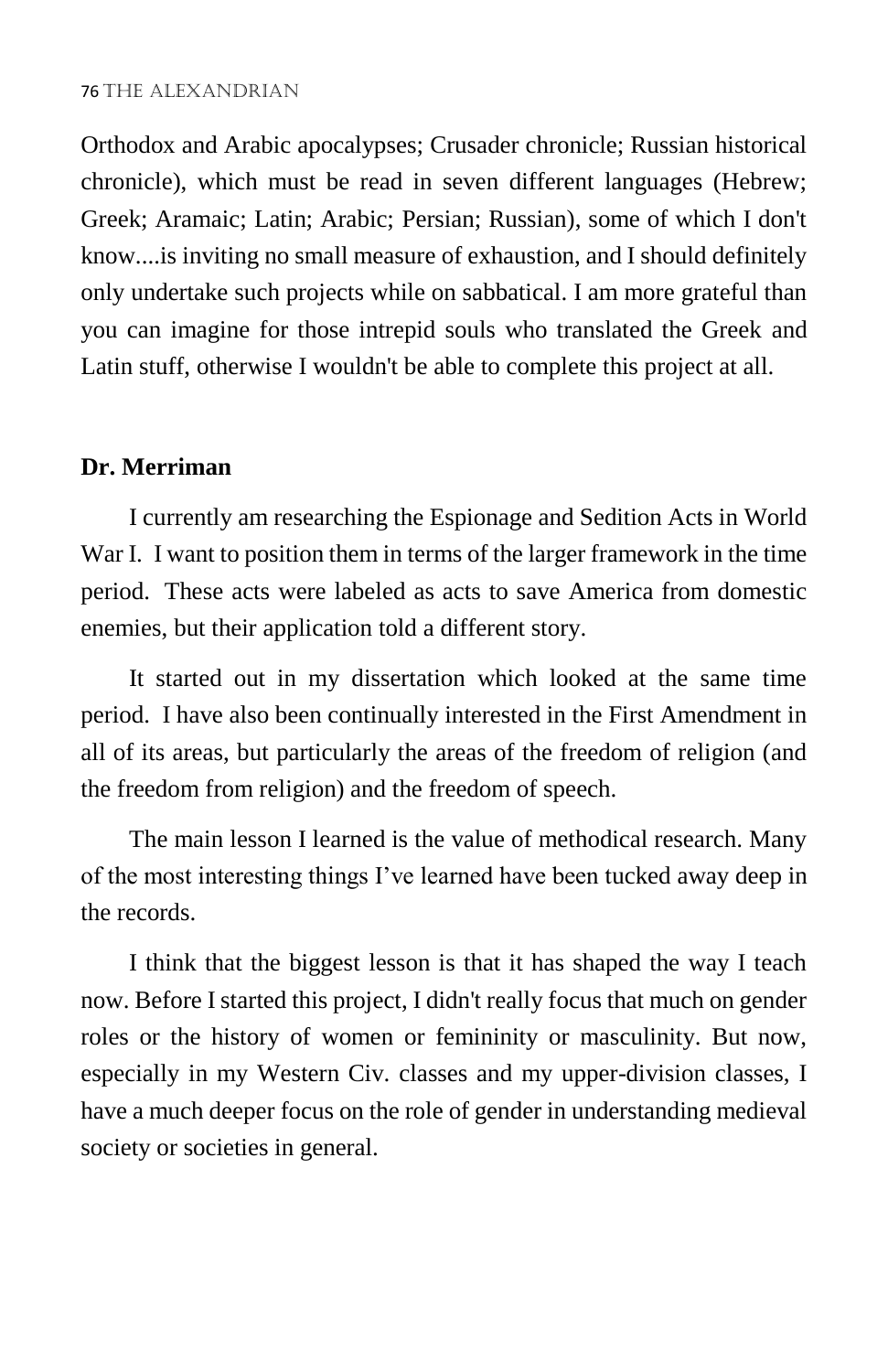#### 76 The Alexandrian

Orthodox and Arabic apocalypses; Crusader chronicle; Russian historical chronicle), which must be read in seven different languages (Hebrew; Greek; Aramaic; Latin; Arabic; Persian; Russian), some of which I don't know....is inviting no small measure of exhaustion, and I should definitely only undertake such projects while on sabbatical. I am more grateful than you can imagine for those intrepid souls who translated the Greek and Latin stuff, otherwise I wouldn't be able to complete this project at all.

### **Dr. Merriman**

I currently am researching the Espionage and Sedition Acts in World War I. I want to position them in terms of the larger framework in the time period. These acts were labeled as acts to save America from domestic enemies, but their application told a different story.

It started out in my dissertation which looked at the same time period. I have also been continually interested in the First Amendment in all of its areas, but particularly the areas of the freedom of religion (and the freedom from religion) and the freedom of speech.

The main lesson I learned is the value of methodical research. Many of the most interesting things I've learned have been tucked away deep in the records.

I think that the biggest lesson is that it has shaped the way I teach now. Before I started this project, I didn't really focus that much on gender roles or the history of women or femininity or masculinity. But now, especially in my Western Civ. classes and my upper-division classes, I have a much deeper focus on the role of gender in understanding medieval society or societies in general.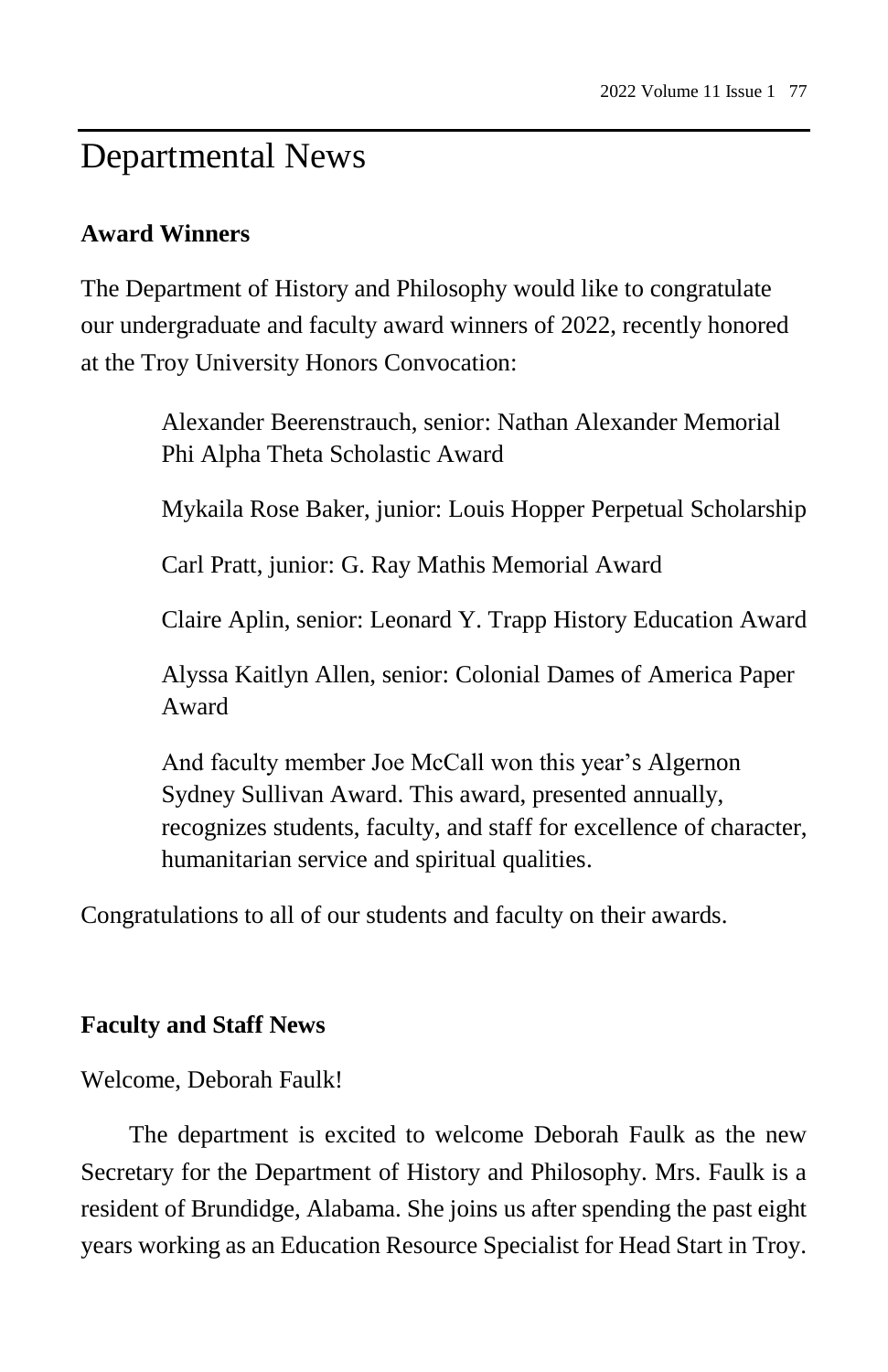# Departmental News

## **Award Winners**

The Department of History and Philosophy would like to congratulate our undergraduate and faculty award winners of 2022, recently honored at the Troy University Honors Convocation:

> Alexander Beerenstrauch, senior: Nathan Alexander Memorial Phi Alpha Theta Scholastic Award

Mykaila Rose Baker, junior: Louis Hopper Perpetual Scholarship

Carl Pratt, junior: G. Ray Mathis Memorial Award

Claire Aplin, senior: Leonard Y. Trapp History Education Award

Alyssa Kaitlyn Allen, senior: Colonial Dames of America Paper Award

And faculty member Joe McCall won this year's Algernon Sydney Sullivan Award. This award, presented annually, recognizes students, faculty, and staff for excellence of character, humanitarian service and spiritual qualities.

Congratulations to all of our students and faculty on their awards.

## **Faculty and Staff News**

Welcome, Deborah Faulk!

The department is excited to welcome Deborah Faulk as the new Secretary for the Department of History and Philosophy. Mrs. Faulk is a resident of Brundidge, Alabama. She joins us after spending the past eight years working as an Education Resource Specialist for Head Start in Troy.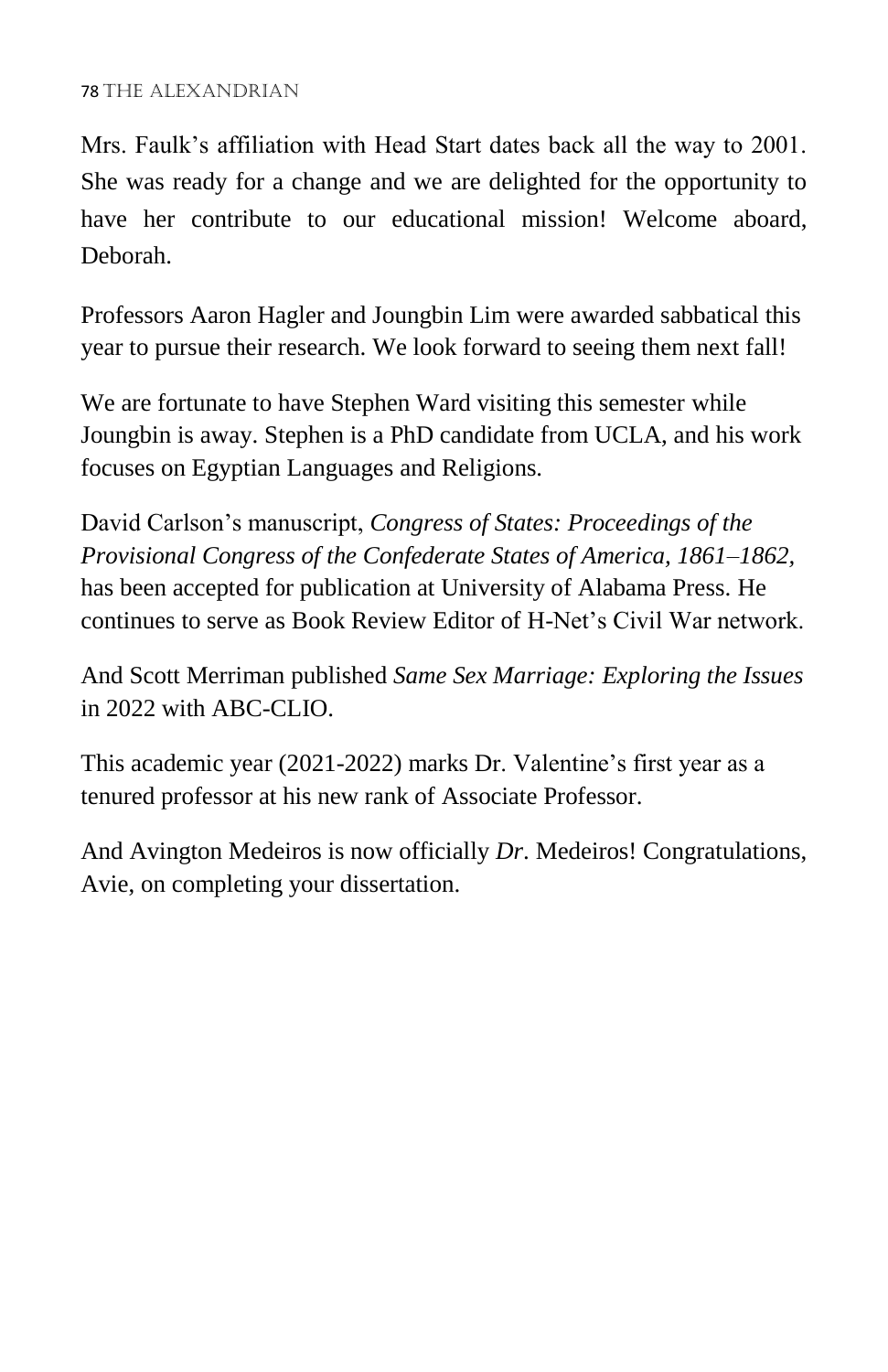#### 78 The Alexandrian

Mrs. Faulk's affiliation with Head Start dates back all the way to 2001. She was ready for a change and we are delighted for the opportunity to have her contribute to our educational mission! Welcome aboard, Deborah.

Professors Aaron Hagler and Joungbin Lim were awarded sabbatical this year to pursue their research. We look forward to seeing them next fall!

We are fortunate to have Stephen Ward visiting this semester while Joungbin is away. Stephen is a PhD candidate from UCLA, and his work focuses on Egyptian Languages and Religions.

David Carlson's manuscript, *Congress of States: Proceedings of the Provisional Congress of the Confederate States of America, 1861–1862,* has been accepted for publication at University of Alabama Press. He continues to serve as Book Review Editor of H-Net's Civil War network.

And Scott Merriman published *Same Sex Marriage: Exploring the Issues* in 2022 with ABC-CLIO.

This academic year (2021-2022) marks Dr. Valentine's first year as a tenured professor at his new rank of Associate Professor.

And Avington Medeiros is now officially *Dr*. Medeiros! Congratulations, Avie, on completing your dissertation.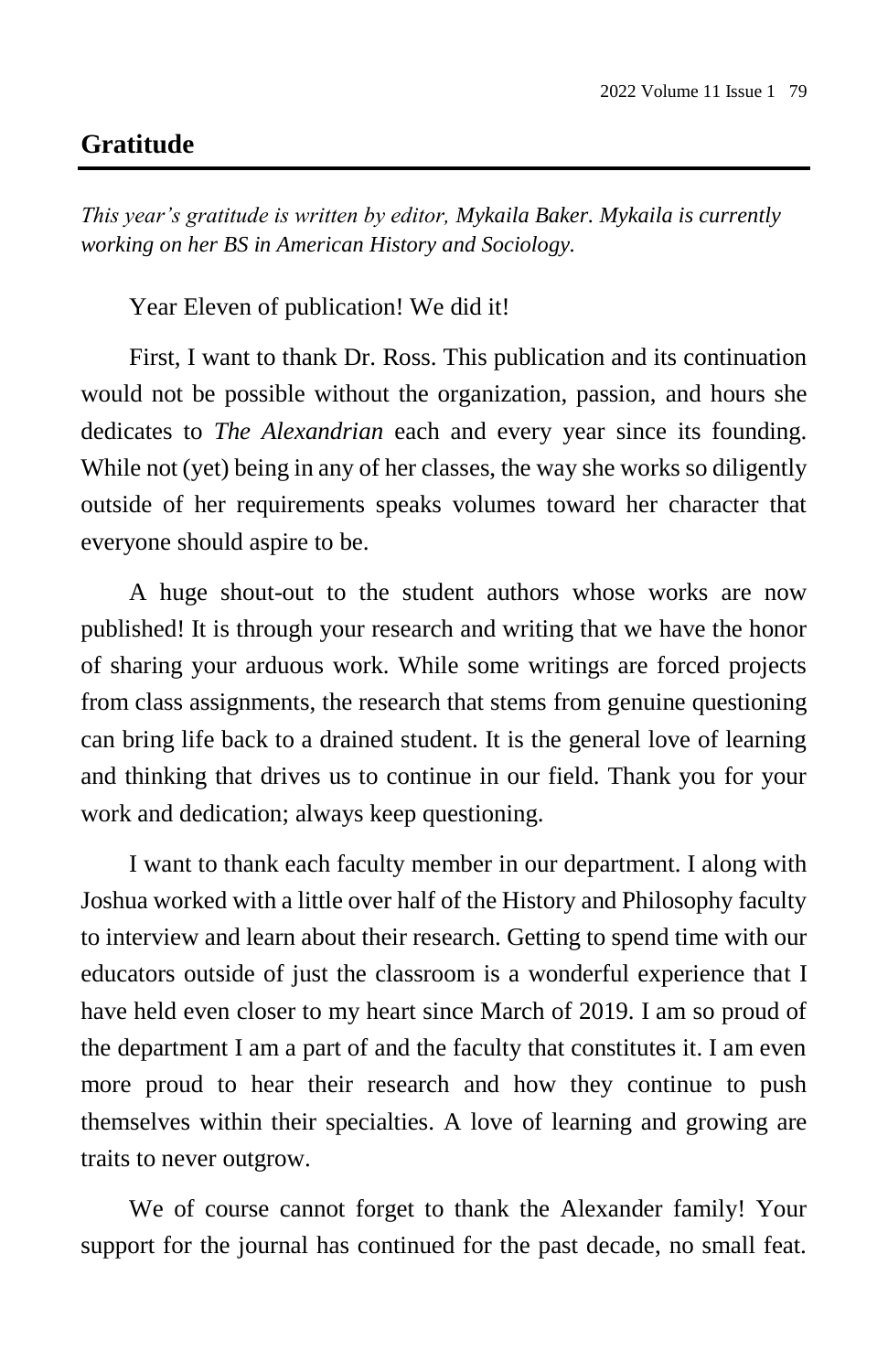## **Gratitude**

*This year's gratitude is written by editor, Mykaila Baker. Mykaila is currently working on her BS in American History and Sociology.*

Year Eleven of publication! We did it!

First, I want to thank Dr. Ross. This publication and its continuation would not be possible without the organization, passion, and hours she dedicates to *The Alexandrian* each and every year since its founding. While not (yet) being in any of her classes, the way she works so diligently outside of her requirements speaks volumes toward her character that everyone should aspire to be.

A huge shout-out to the student authors whose works are now published! It is through your research and writing that we have the honor of sharing your arduous work. While some writings are forced projects from class assignments, the research that stems from genuine questioning can bring life back to a drained student. It is the general love of learning and thinking that drives us to continue in our field. Thank you for your work and dedication; always keep questioning.

I want to thank each faculty member in our department. I along with Joshua worked with a little over half of the History and Philosophy faculty to interview and learn about their research. Getting to spend time with our educators outside of just the classroom is a wonderful experience that I have held even closer to my heart since March of 2019. I am so proud of the department I am a part of and the faculty that constitutes it. I am even more proud to hear their research and how they continue to push themselves within their specialties. A love of learning and growing are traits to never outgrow.

We of course cannot forget to thank the Alexander family! Your support for the journal has continued for the past decade, no small feat.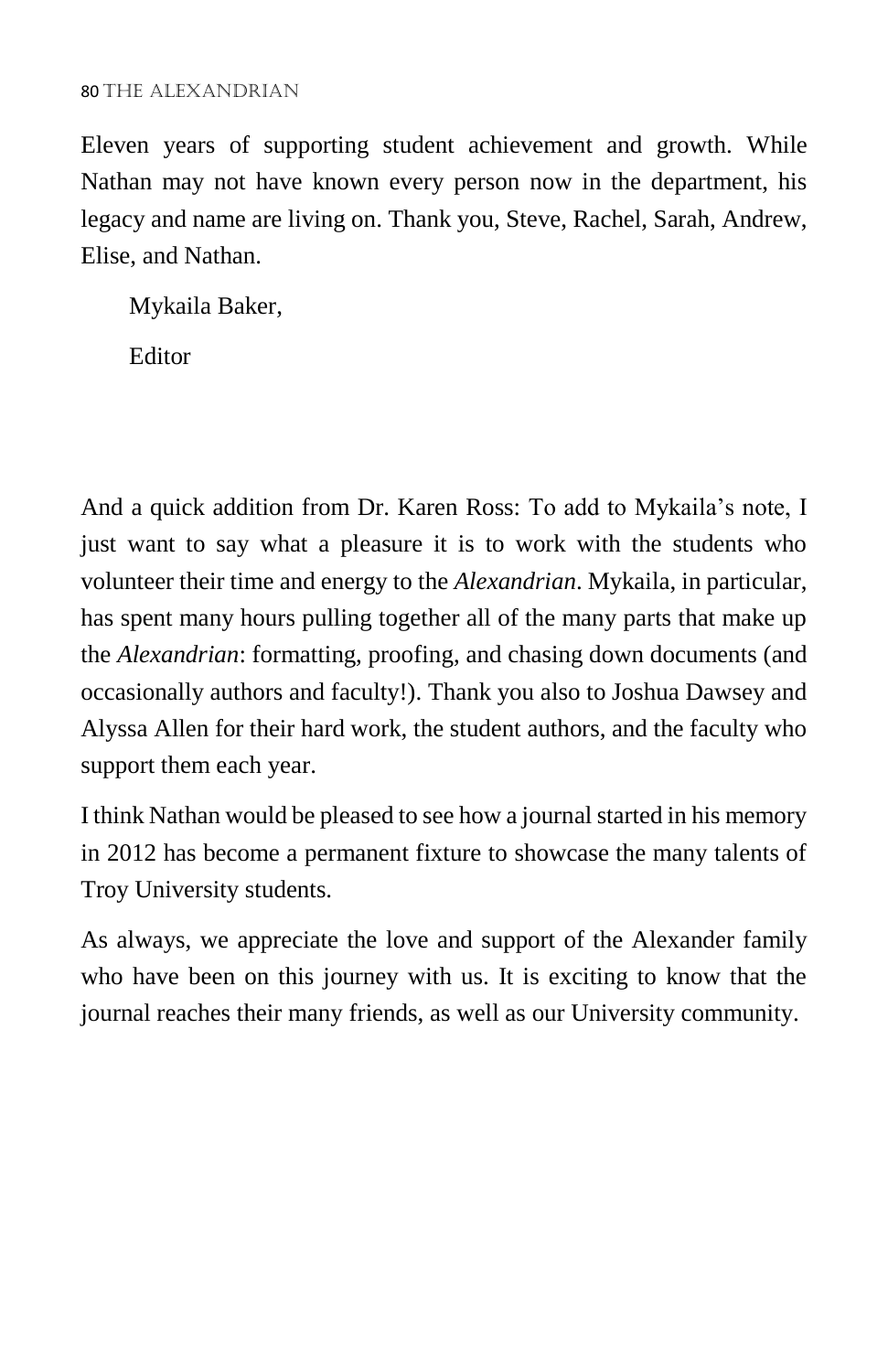#### 80 The Alexandrian

Eleven years of supporting student achievement and growth. While Nathan may not have known every person now in the department, his legacy and name are living on. Thank you, Steve, Rachel, Sarah, Andrew, Elise, and Nathan.

Mykaila Baker,

Editor

And a quick addition from Dr. Karen Ross: To add to Mykaila's note, I just want to say what a pleasure it is to work with the students who volunteer their time and energy to the *Alexandrian*. Mykaila, in particular, has spent many hours pulling together all of the many parts that make up the *Alexandrian*: formatting, proofing, and chasing down documents (and occasionally authors and faculty!). Thank you also to Joshua Dawsey and Alyssa Allen for their hard work, the student authors, and the faculty who support them each year.

I think Nathan would be pleased to see how a journal started in his memory in 2012 has become a permanent fixture to showcase the many talents of Troy University students.

As always, we appreciate the love and support of the Alexander family who have been on this journey with us. It is exciting to know that the journal reaches their many friends, as well as our University community.